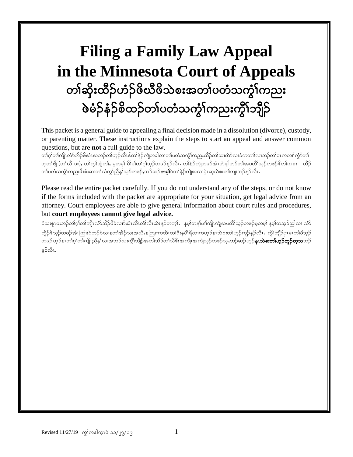# **Filing a Family Law Appeal in the Minnesota Court of Appeals** တၢ်ဆိုးထိဉ်ဟံဉ်ဖိယီဖိသဲစးအတၢ်ပတံသက္ငံ၊်ကညး ဖဲခ်ဉ်နံဉ်စိထဉ်တၢ်ပတံသက္ခံၤ်ကညးကွိၤ်ဘျိဉ်

This packet is a general guide to appealing a final decision made in a dissolution (divorce), custody, or parenting matter. These instructions explain the steps to start an appeal and answer common questions, but are **not** a full guide to the law.

တၢ်ဂုံတ၊်ကျိုးလံာ်ဘိဉ်ဖိအံၤအဘဉ်တ၊်ဟုဉ်လီၤဒ်တ၊်နဉ်ကျဲတခါလ၊တ၊်ပတံသက္ဂံ၊်ကညးထိဉ်တ၊်ဆ၊တဲလ၊ခံကတၢ၊်လ၊ဘဉ်တ၊်မၤကတၢ၊်ကွာ်တ၊ တ့တ၊်ဖျီ (တ၊်လီၤဖး), တ၊်ကွ၊်ထွဲတ၊်, မ့တမ့)် မိါပါတ၊်ဂ့ၢ်သူဉ်တဖဉ်နူဉ်လီၤ. တ၊်နဉ်ကျဲတဖဉ်အံၤတဲဖျါဘဉ်တ၊်အပတိ၊်သူဉ်တဖဉ်ဒ်တ၊်ကစး တိဉ် တၢ်ပတံသက္ဂံၤ်ကညးဒီးစံးဆ၊တၢ်သံကျွညီနှၤ်သူဉ်တဖဉ်ႇဘဉ်ဆဉ်**တမှု၊်**ဝဲတၢ်နှဉ်ကျဲအလ၊ပုဲၤဆူသဲစးတၢ်ဘျ၊ဘဉ်နူဉ်လီၤ

Please read the entire packet carefully. If you do not understand any of the steps, or do not know if the forms included with the packet are appropriate for your situation, get legal advice from an attorney. Court employees are able to give general information about court rules and procedures, but **court employees cannot give legal advice.**

ဝံသးစူၤဖးဘဉ်တကြုံတါကျိုးလံာ်ဘိဉ်ဖိခဲလျာ်အားလီးတီ၊လီးဆဲးနဉ်တက္ငါ. နမ္နါတနပ်။ါကျိုးကျဲအပတိါသူဉ်တဖဉ်မူတမှု၊ နမ္နါတသူဉ်ညါလ၊ လံာ ကွိဉ်ဒိသ့ဉ်တဖဉ်အံၤကြုးဝဲဘဉ်ဝဲလၢနတၢ်အိဉ်သးအယိႇနကြုးကတိၤတၢ်ဒီးနပိါရီလ၊ကဟုဉ်နၤသဲစးတ၊်ဟုဉ်ကူဉ်နဉ်လီၤ. ကွိၢ်ဘျိဉ်ပုၤမၤတၢ်ဖိသ့ဉ် www.compolicy.com<br>တဖဉ် ဟုဉ်နၤတၢ်ဂု၊်တ၊်ကျိုးညီနှၤ်လၢအဘဉ်ယးကွိၢ်ဘျိဉ်အတၢ်သိဉ်တၢ်သိဒီးအကျိုးအကျဲသုဉ်တဖဉ်သု,ဘဉ်ဆဉ်ဟုဉ်**နၤသဲစးတ၊်ဟုဉ်ကူဉ်တူသ**ဘဉ် န5်လီၤ.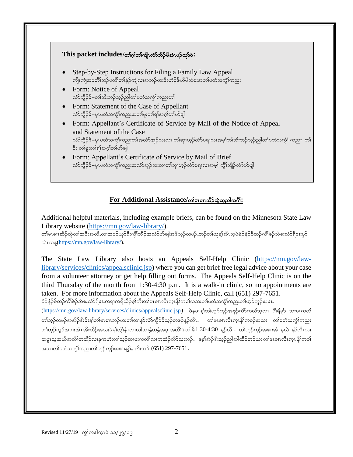

## $For Additional Assistance/$ ด์ตามส์วิตุลอมไตก็:

Additional helpful materials, including example briefs, can be found on the Minnesota State Law Library website [\(https://mn.gov/law-library/\)](https://mn.gov/law-library/).

တါမၤစၢၤဆီဉ်ထွဲတၢ်အပီးအလိႆႇလၢအပဉ်ယှာ်ဒီးကွိၢ်ဘျိဉ်အလံာ်ဟ်ဖျါအဒိသ့ဉ်တဖဉ်ႇဘဉ်တ၊်ယုန္၊်အီၤသ့ဖဲမံဉ်နံဉ်စိထဉ်ကိၢ်စဉ်သဲစးလံာ်ရိဒၢးဟ်  $\omega$ ι $\infty$  [\(https://mn.gov/law-library/\)](https://mn.gov/law-library/).

The State Law Library also hosts an Appeals Self-Help Clinic [\(https://mn.gov/law](https://mn.gov/law-library/services/clinics/appealsclinic.jsp)[library/services/clinics/appealsclinic.jsp\)](https://mn.gov/law-library/services/clinics/appealsclinic.jsp) where you can get brief free legal advice about your case from a volunteer attorney or get help filling out forms. The Appeals Self-Help Clinic is on the third Thursday of the month from 1:30-4:30 p.m. It is a walk-in clinic, so no appointments are taken. For more information about the Appeals Self-Help Clinic, call (651) 297-7651.

မံဉ်နံဉ်စိထဉ်ကိၢိစဉ်သဲစးလံာ်ရိဒၢးကရ၊ကရိထိဉ်စ့ၢ်ကီးတ၊်မၤစၢၤလီၤက္ၤနိၢ်ကစၢ်အသးတ၊်ပတံသက္ငံ၊်ကညးတ၊်ဟှဉ်ကူဉ်အဒၢး

[\(https://mn.gov/law-library/services/clinics/appealsclinic.jsp](https://mn.gov/law-library/services/clinics/appealsclinic.jsp)) ဖဲနမၤန္၊ါတါဟုဉ်ကူဉ်အဖုဉ်ကိ်ာကလီသူလ၊ ပိါရီမှာ် သးမၤကလီ တၢ်သ္ဥ်ာတဖဉ်အအိဉ်ဒီးဒိုးနှုံတ၊်မၤစၢၤဘဉ်ယးတ၊်ထ၊နှာ်လံာကွိဉ်ဒိသ္ဥတဖဉ်နှဉ်လီၤ. တ၊်မၤစၢၤလီၤက္ၤနိ၊်ကစဉ်အသး တ၊်ပတံသကွံၤ်ကညး တါဟ္ဥာ်ကူဥ်အဒၤးအံၤ အိးထိဉ်အသးဖဲမှၢ်လွံၢ်နံၤလ၊လါသ၊နွံတနွံ့အပူၤအတိၢ်ဖဲ ဟါခိ $1:30$ -4:30  $\,$ နူဥ်လီၤ $\,$  တါဟ္ဥာ်ကူဥ်အဒၤးအံၤ နလဲၤ နုဉ်လီၤလ၊ အပူးသူအယိအလိၢ်တအိဉ်လၢနကဟံးတ၊်သွဉ်ဆ၊ဖးကတိၢ်လ၊ကထံဉ်လိာ်သးဘဉ်. နမ့္ပ်အဲ့ဉ်နီးသူဉ်ညါအါထိဉ်ဘဉ်ယး တ၊်မၤစၢၤလီၤက္၊ နိၢဴကစၢ် အသးတါပတံသကွံါကညးတါဟူဉ်ကူဉ်အဒၢးနူဉ်, ကိးဘဉ် (651) 297-7651.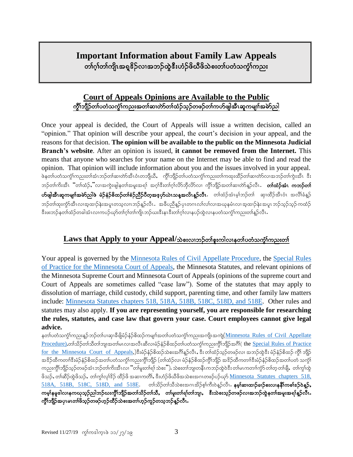## **Important Information about Family Law Appeals** တၢ်ဂ္ဂါတၢ်ကျိၤအရှူဒိဉ်လၢအဘဉ်ထွဲဒီးဟံဉ်ဖိယီဖိသဲစးတ၊်ပတံသက္ဂါကညး

## **Court of Appeals Opinions are Available to the Public** ကိုၤ်ဘျိဉ်တၤ်ပတံသကဲ့ၤ်ကညးအတၤ်ဆၢတဲာ်တၤ်ထံဉ်သူဉ်တဖဉ်တၤ်ကဟ်ဖျါအီၤဆူကမျၤၤ်အမဲာ်ညါ

Once your appeal is decided, the Court of Appeals will issue a written decision, called an "opinion." That opinion will describe your appeal, the court's decision in your appeal, and the reasons for that decision. **The opinion will be available to the public on the Minnesota Judicial Branch's website**. After an opinion is issued, **it cannot be removed from the Internet.** This means that anyone who searches for your name on the Internet may be able to find and read the opinion. That opinion will include information about you and the issues involved in your appeal. ဖဲနတ္ပါပတံသက္ပါကညးတါအံၤဘဉ်တါဆ၊တဲာအီၤဝံၤတဘျိယီ, ကွိါဘျိဉ်တါပတံသက္ငါကညးတါကထူးထိဉ်တါဆ၊တဲာ်လ၊အဘဉ်တါကွဲးအီၤ ဒီး ဘဉ်တ၊်ကိးအီၤ ၱတ၊်ထံဉ်ႇိလ၊အကွဲးဖျါနတ၊်အမူးအရ)် အဂ္ဂါဒီးတ၊်ဂ္ဂါလိာဘိုလိာ်လ၊ ကွိၢ်ဘျိဉ်အတ၊်ဆ၊တာ်နူဉ်လီၤ တ**ာ်ထံဉ်အံၤ ကဘဉ်တ၊်** ဟ်ဖျါအီၤ<mark>ဆူကမျာၢ်အမဲာ်ညါဖဲ မံဉ်နံဉ်စိထဉ်တၢ်စံဉ်ညီဉ်ပီတူအဒုဟ်ယဲၤသန္အလိၤန္ဉာ်လီၤ. တၢ်ထံဉ်အံၤမ့္ပ်ဘဉ်တ၊် ဆု၊ထိဉ်အီၤပံၤ အလိၢ်ခံန္ဉဉ်</mark> ဘဉ်တါထုးကွဲာ်အီၤလၢအ့ထၢဉ်နဲးအပူၤတသ့လၢၤဘဉ်န္ဉာ်လီၤ.အခ်ိဳပညီန္ဉာ် ပုၤတဂၤလၤ်လၤ်လ၊အယုနမံၤလ၊ အ့ထၢဉ်နဲး အပူၤဘဉ်သူဉ်ဘူဉ် ကထံဉ် ဒီးဖးဘဉ်နတါထံဉ်တခါအံၤလ၊ကပဉ်ယှာ်တာ်ဂ္ဂါတါကျိၤဘဉ်ယးဒီးနၤဒီးတါဂ္ဂါလ၊နပဉ်ထွဲလ၊နပတံသကွံါကညးတါန္ဉာ်လီၤ

## $\rm\,Laws$  that  $\rm{Apply}$  to your  $\rm{Appendi/}$ သဲစးလၢဘဉ်တါစူးကါလ၊နတါပတံသက္ငါကညးတါ

Your appeal is governed by the [Minnesota Rules of Civil Appellate Procedure,](https://www.revisor.mn.gov/court_rules/ap/) the [Special Rules](http://www.mncourts.gov/mncourtsgov/media/Appellate/Court%20of%20Appeals/Special_Rules_of_Practice_COA.pdf)  [of Practice for the Minnesota Court of Appeals,](http://www.mncourts.gov/mncourtsgov/media/Appellate/Court%20of%20Appeals/Special_Rules_of_Practice_COA.pdf) the Minnesota Statutes, and relevant opinions of the Minnesota Supreme Court and Minnesota Court of Appeals (opinions of the supreme court and Court of Appeals are sometimes called "case law"). Some of the statutes that may apply to dissolution of marriage, child custody, child support, parenting time, and other family law matters include: Minnesota Statutes chapters [518, 518A, 518B, 518C, 518D, and 518E.](https://www.revisor.mn.gov/statutes/part/DOMESTIC+RELATIONS) Other rules and statutes may also apply. **If you are representing yourself, you are responsible for researching the rules, statutes, and case law that govern your case. Court employees cannot give legal advice.**

နတၤ်ပတံသကွဲ်ကညးနူဉ်ဘဉ်တၤ်ပ၊ဆု၊ခီဖြိုမံဉ်နံဉ်စိထဉ်ကမျπ်အတၤ်ပတံသကွဲၤ်ကညးအကျိုအကျဲ $(\underline{\text{Minnessota Rules of Civil Appellate}})$ [Procedure\)](https://www.revisor.mn.gov/court_rules/ap/).တါသိဉ်တါသိတါဘျ၊အတါမၤလ၊အလီၤဆီလ၊မံဉ်နံဉ်စိထဉ်တါပတံသက္ငါကညးကွိါဘိုဉ်အဂိါ( the Special Rules of Practice  $for$  the Minnesota Court of Appeals,)ဒီးမံဉ်နံဉ်စိထဉ်သဲစးအဂ်ိါန္ဉ်လီၤ, ဒီးတါထံဉ်သုဉ်တဖဉ်လ၊ အဘဉ်ထွဲဒီး မံဉ်နံဉ်စိထဉ် ကွိါ ဘျိဉ် အဒိဉ်ထိကတၢါဒီးမံဉ်နံဉ်စိထဉ်အတၢ်ပတံသကွံၤ်ကညးကွိၤ်ဘျိဉ် (တ၊်ထံဉ်လ၊ မံဉ်နံဉ်စိထဉ်ကွိၤ်ဘျိဉ် အဒိဉ်ထိကတၢါဒီးမံဉ်နံဉ်စိထဉ်အတၤ်ပတံ သကွံၤ် ကညးကွိါဘျိဉ်သူဉ်တဖဉ်အံၤဘဉ်တါကိးအီၤလ၊ "တါမူးတါရ)် သဲစး"). သဲစးတါဘျ၊တနီၤကဘဉ်ထွဲဝဲဒီး တါမၤကတၢါကွဲ၁် တါတ္ တါဖျိ, တါကွါထွဲ ဖိသဉ်, တါဆီဉ်ထွဲဖိသဉ်, တါကွါလု၊်ဒိဉ် ထိဉ်ဖိ အဆ၊ကတိ၊်, ဒီးဟံဉ်ဖိယီဖိအသဲစးအဂၤတဖဉ်ပဉ်ယှာ် <u>Minnesota Statutes chapters 518,</u>  $518A$ ,  $518B$ ,  $518C$ ,  $518D$ , and  $518E$ . တၢ်သိဉ်တၢ်သိသဲစးအဂၤအိဉ်စ္၊်ကီးဝဲန္ဉ်လီး. နမ္၊ါဆ၊ထ၊ဉ်ခ၊ဉ်စးလ၊နနီ၊ိကစ၊်နဉ်ဝဲနဉ်, ကမ္ါနမူဒါလ၊နကဃုသူဉ်ညါဘဉ်ဃးကွိၢ်ဘျိုာ်အတၢ်သိဉ်တၢ်သိႆႇ တ၊်မူးတ၊်ရၢ်တ၊်ဘျ၊, ဒီးသဲစးသုဉ်တဖဉ်လ၊အဘဉ်ထွဲနတၢ်အမူးအရ၊်နူဉ်လီၤ ကွိၢ်ဘျိဉ်အပုၤမၤတၢ်ဖိသ္ဉ်တဖဉ်ဟ္ဉ်ာထိဉ်သဲစးအတၢ်ဟ္ဉ်ာကူဉ်တသူဘဉ်န္ဉာလီၤ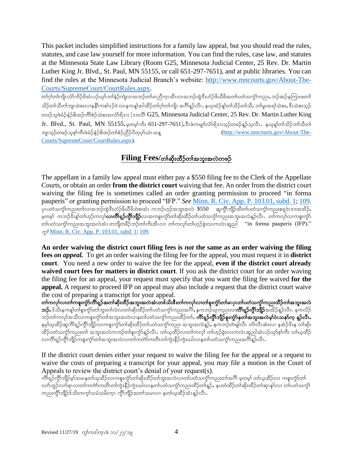This packet includes simplified instructions for a family law appeal, but you should read the rules, statutes, and case law yourself for more information. You can find the rules, case law, and statutes at the Minnesota State Law Library (Room G25, Minnesota Judicial Center, 25 Rev. Dr. Martin Luther King Jr. Blvd., St. Paul, MN 55155, or call 651-297-7651), and at public libraries. You can find the rules at the Minnesota Judicial Branch's website: [http://www.mncourts.gov/About-The-](http://www.mncourts.gov/About-The-Courts/SupremeCourt/CourtRules.aspx)[Courts/SupremeCourt/CourtRules.aspx.](http://www.mncourts.gov/About-The-Courts/SupremeCourt/CourtRules.aspx)

တၢ်ဂ္ဂါတၢ်ကျိုးလံာ်ဘိဉ်ဖိအံၤပဉ်ယှာ်တျ်နဉ်ကျဲလ၊အဘဉ်တျ်မၤညီကူၤအီၤလ၊အဘဉ်ထွဲဒီးဟံဉ်ဖိယီဖိအတျ်ပတံသက္ငံၫ်ကညး, ဘဉ်ဆဉ်နကြူးဖးတ၊ သိဉ်တါသိတါဘျ၊သဲစးလၢနနိၵိကစါဒဉ်ဝဲ လၢနကန္1အါထိဉ်တါဂူါတါကျိ၊ အင်္ဂါန္ဥာလိၤ. နယုထံဉ်န္]တါသိဉ်တါသိႇ တါမူးအရ)်သဲစးႇ ဒီးသဲစးသူဉ် တဖဉ်သူဖဲမဉ်နံ့ဉ်စိထဉ်ကိ<sup>ု</sup>စဉ်သဲစးအလံာရိဒးး (ဒးႏလို) G25, Minnesota Judicial Center, 25 Rev. Dr. Martin Luther King  $Jr.$  Blvd., St. Paul, MN 55155, မှတမ့ $\delta$ ကိုး 651-297-7651), နီးဖဲကမျာ်လံ $\delta$ ရိုဒ $i$ သ္၄တဖဉ်နူဉ်သူလီၤ. နယုန့ $\delta$ တ်သိဉ်တ $\delta$ သိတ $\delta$ ဘျာသွဉ်တဖဉ်သူစု၊်ကီးဖဲမံဉ်နံဉ်စိထဉ်တ၊်စံဉ်ညီဉ်ပိတ္ပပုာ်ယဲၤသန္ ကာကားဆကားအကား [\(http://www.mncourts.gov/About-The-](http://www.mncourts.gov/About-The-Courts/SupremeCourt/CourtRules.aspx)[Courts/SupremeCourt/CourtRules.aspx\)](http://www.mncourts.gov/About-The-Courts/SupremeCourt/CourtRules.aspx).

## $\textbf{Filing}\ \textbf{Fees}/\text{of} \text{a}$ ိုးထိဉ်တ $\textbf{Fang}$ းအလဲတဖဉ်

The appellant in a family law appeal must either pay a \$550 filing fee to the Clerk of the Appellate Courts, or obtain an order **from the district court** waiving that fee. An order from the district court waiving the filing fee is sometimes called an order granting permission to proceed "in forma pauperis" or granting permission to proceed "IFP." *See* [Minn. R. Civ.](https://www.revisor.mn.gov/court_rules/ap/subtype/rcap/id/103/#103.01) App. P. 103.01, subd. 1; [109.](https://www.revisor.mn.gov/court_rules/ap/subtype/rcap/id/109/) \_<br>ပြီးပတ်သက္ခံ၊ကညးတ၊်လ၊အဘဉ်ထွဲဒီးဟံဉ်ဖိယိဖိသဲစးအံၤ ကဘဉ်ဟှဉ်အဘူးအလဲ \$550 \_ ဆူကွိၢ်ဘျိဉ်ထိတ၊်ပတံသက္ခံ၊ကညးစရူဝဲၤဒၢးအအိဉ်, .<br>'မှတမ့္ပ်ံ 'ကဘဉ်ဒိႏၵ္န္)တ္ပါဟုဉ်ကလုပ်**လ၊ကိၢရှ္ဝ်က္ဂိုဘျိဉ်**လ၊အကစူးကွာတ်၊ဆိုးထိဉ်တ၊်ပတံသက္ဂါကညးအဘူးအလဲန္ဝ်ာလီး - တ၊ကလုပ်လ၊ကစူးကွဲ၁ တ္ပါပတံသက္င်္ဂါကညးအဘူးအလဲအံၤ တဘျီတခ်ိဉ်ဘဉ်တါကိုးအီၤလ၊ တါကလုာ်တာ်ဟူဉ်ခွဲးလ၊ကလဲၤဆူည $|$  "in forma pauperis (IFP)."  $\infty$  [Minn. R. Civ.](https://www.revisor.mn.gov/court_rules/ap/subtype/rcap/id/103/#103.01) App. P. 103.01, subd. 1; [109.](https://www.revisor.mn.gov/court_rules/ap/subtype/rcap/id/109/)

**An order waiving the district court filing fees is** *not* **the same as an order waiving the filing fees** *on appeal.* To get an order waiving the filing fee for the appeal, you must request it in **district court**. You need a new order to waive the fee for the appeal, **even if the district court already waived court fees for matters in district court**. If you ask the district court for an order waving the filing fee for an appeal, your request must specify that you want the filing fee waived **for the appeal.** A request to proceed IFP on appeal may also include a request that the district court waive the cost of preparing a transcript for your appeal.

တၢ်ကလု၊်လ၊တၢ်ကစူးကွဲ၁်ကိၢိရှ္ဉ်အတ၊်ဆိုးထိဉ်အဘူးအလဲအံၤတၖ်သိးဒီးတ၊်ကလု၊်လ၊တ၊်စူးကွဲာ်တ၊်မၤပု၊တ၊်ပတံသကွံ၊်ကညးထိဉ်တ၊်အဘူးအလဲ **ဘ}်.** ဒ်သိးနကန့်၊တါစူးကွာ်တါဘူးတါလဲလ၊တါဆိုးထိဉ်တါပတံသကွဲ၊်ကညးအင်္ဂါန နကဘဉ်ယုကညးလၢ**ကိၢရှဉ်ကွိၢ်ဘျိဉ်**အအိဉ်နူဉ်လိၤန နကလိဉ် ဘဉ်တါကလု၊်အသိလၢကစူးကွဲာ်တါအဘူးအလဲလၢနတါပတံသက္ပါကညးထိဉ်တါ**, ကိၢရှဉ်ကွိၢ်ဘျိဉ်စူးကွဲ၁နတၢ်အဘူးအလဲမှ၊်ဝံၤသနာ်က္ နူဉ်လီၤ** နမ့္ပ်ယ္ထိုာသူကိၢရျာ်ကွိၤဘျိုာလၤကစူးကွဲာ်တါဆိုးထိဉ်တၤ်ပတံသက္ငၤ်ကညး အဘူးအလဲနူဉ်ႇ နကဘဉ်တဲဖျါလီၤ တၤ်လိၤဆဲးလၤ နအဲဉ်ဒီးန တၤ်ဆိုး .<br>ထိဉ်ပတံသက္ခါကညးတါ အဘူးအလဲကဘဉ်တစူးကွဲ၁န္ဥလီၤ. တါယ္နထိဉ်လ၊တါကလု၊ တါဟ္နဉ်ခွဲးလ၊ကလဲၤဆူညါအံၤပဉ်ယှာ်စ့ါကီး တါယ္နထိဉ် လၢကိၢရှဉ်ကွိၢ်ဘျိဉ်ကစူးကွဲ၁်တ၊်အဘူးအလဲလ၊တ၊်ကတဲာ်ကတိၤတ၊်ကွဲးနိဉ်ကွဲးယါလ၊နတ၊်ပတံသကွံ၊်ကညးအင်္ဂါန္ဉာ်လီၤ

If the district court denies either your request to waive the filing fee for the appeal or a request to waive the costs of preparing a transcript for your appeal, you may file a motion in the Court of Appeals to review the district court's denial of your request(s).

ကိၢရျာ်ကိုသြိုသမ၊နတ၊်ယူထိဉ်လ၊ကစူးကွဲာ်တ၊်ဆိုးထိဉ်တ၊်ဘူးအလဲလ၊တ၊်ပတံသက္ခံ၊်ကညးတ၊်အဂိၢ် မူတမ္၊် တ၊်ယူထိဉ်လ၊ ကစူးကွဲာ်တ၊ လက်ဘူဉ်လက်စူးလ၊တါကတဲာ်ကတိၤတါကွဲးနိဉ်ကွဲးယါလ၊နတါပတံသကွံ<sup>ရ</sup>ကညးထိဉ်တါန<mark>္</mark>ဉ်, နပတံထိဉ်တါဆိုးထိဉ်တါဆု၊နုာ်လ၊ တါပတံသကွံ<sup>ရ</sup> ကညးကွိၤ်ဘျိဉ်ဒ်သိးကကွၤ်သမံသမိးကူၤ ကွိၤ်ဘျိဉ်အတၤ်သမၤလၢ နတၤ်ယူထိဉ်အံၤန္ဉာ်လီၤ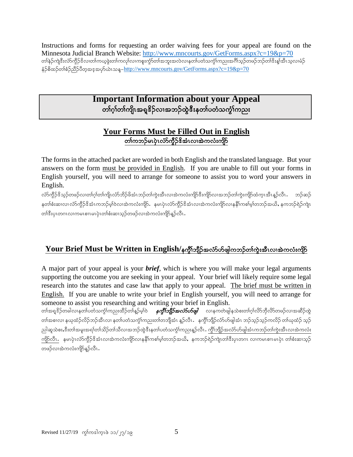Instructions and forms for requesting an order waiving fees for your appeal are found on the Minnesota Judicial Branch Website:<http://www.mncourts.gov/GetForms.aspx?c=19&p=70> တါနဉ်ကျဲဒီးလံာ်ကွိဉ်ဒိလ၊တါကယ့ခွဲးတါကလုါလ၊ကစူးကွံာ်တါအဘူးအလဲလ၊နတါပတံသကွံါကညးအင်္ဂါသ့ဉ်တဖဉ်ဘဉ်တါဒိးန္ါအီၤသ့လ၊မံဉ် နံဉ်စိထဉ်တၢ်စံဉ်ညီဉ်ပိတ့အဒ့အဟ်ယဲၤသန္– $\frac{http://www.mncourts.gov/GetForms.aspx?c=19&p=70}{$  $\frac{http://www.mncourts.gov/GetForms.aspx?c=19&p=70}{$  $\frac{http://www.mncourts.gov/GetForms.aspx?c=19&p=70}{$ 

## **Important Information about your Appeal** တၢ်ဂ္ဂါတၢ်ကျိၤအရှူဒိဉ်လၢအဘဉ်ထွဲဒီးနတၢ်ပတံသကွံၢ်ကညး

## **Your Forms Must be Filled Out in English** တၢ်ကဘဉ်မၤပုံၤလံာ်ကွိဉ်&အံၤလ၊အဲကလံးကျိဉ်

The forms in the attached packet are worded in both English and the translated language. But your answers on the form must be provided in English. If you are unable to fill out your forms in English yourself, you will need to arrange for someone to assist you to word your answers in English.

လ်ာ်ကွိဉ်ဒိသ္ဥတဖဉ်လ၊တ၊်ဂ္ဂါတ၊်ကျိ၊လံာ်ဘိဉ်ဖိအံၤဘဉ်တ၊်ကွဲးအီၤလ၊အဲကလံးကျိဉ်ဒီးကျိဉ်လ၊အဘဉ်တ၊်ကွဲးကျိဉ်ထံကူၤအီၤန္ဥလီၤ နတၢ်စီးဆ၊လ၊ လံာ်ကွိဉ်ဒိအံၤကဘဉ်မှု၊်ဝဲလ၊အဲကလံးကျိာ်. နမၤပုံၤလံာ်ကွိဉ်ဒိအံၤလ၊အဲကလံးကျိဉ်လ၊နနိ1ကစါမှ၊်တဘဉ်အယိႇ နကဘဉ်ရဲဉ်ကျဲ၊  $\alpha$ )ဒီးပုၤတဂၤလၢကမၤစၢၤမၤပုၤတၢ်စံးဆၢသ္၄်တဖဉ်လၢအဲကလံးကျိဉ်နဉ်လီၤ $.$ 

## **Your Brief Must be Written in English/နက္ဂို်ဘျိဉ်အလံSဟ်ဖျါကဘဉ်တါကွဲးအီၤလ၊အဲကလံးကျိဉ်**

A major part of your appeal is your *brief*, which is where you will make your legal arguments supporting the outcome you are seeking in your appeal. Your brief will likely require some legal research into the statutes and case law that apply to your appeal. The brief must be written in English. If you are unable to write your brief in English yourself, you will need to arrange for someone to assist you researching and writing your brief in English.

တၢ်အရူဒိဉ်တခါလၢနတၢ်ပတံသက္ဂၢ်ကညးထိဉ်တၢ်နူဉ်မ့ၢ်ဝဲ *နက္ဂ်ီ1်ဘျိဉ်အလံ>်ပာဖျ၊* လၢနကတဲဖျါနသဲစးတၢ်ဂ့ၢ်လိာ်ဘိုလိာ်တဖဉ်လၢအဆိဉ်ထွဲ တၢ်အစၢလ၊ နယုထံဉ်လိဉ်ဘဉ်အီၤလ၊ နတၢ်ပတံသကွံၢ်ကညးတၢ်တဘျီအံၤ နူဉ်လီၤ.နကွိၢ်ဘျိဉ်လံာ်ပာဖျါအံၤ ဘဉ်သူဉ်ဘုဉ်ကလိဉ် တ၊်ယုထံဉ် သူဉ် ညါဆူသဲစးႇဒီးတၢ်အမူးအရၢ်တၢ်သိဉ်တၢ်သိလၢအဘဉ်ထွဲဒီးနတ၊်ပတံသက္ဂၤ်ကညးနှဉ်လီၤ ကွိၢ်ဘျိဉ်အလံာ်ဟ်ဖျါအံၤကဘဉ်တ၊်ကွဲးအီၤလၢအဲကလံး ကြိုလီၤ. နမၤပုံၤလံာ်ကွိဉ်ဒိအံၤလ၊အဲကလံးကျိဉ်လ၊နနိၤ်ကစါမူ၊်တဘဉ်အယိႇနကဘဉ်ရဲဉ်ကျဲၤတၢဒီးပုၤတဂၤ လ၊ကမၤစၢ၊မၤပုံၤ တၢဴစီးဆ၊သူဉ် တဖဉ်လ၊အဲကလံးကျိန့်ဉ်လီၤ.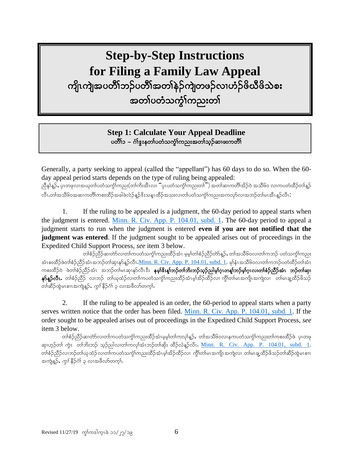## **Step-by-Step Instructions for Filing a Family Law Appeal**

ကျိုးကျွဲအပတိိၢိဘဉ်ပတိိၢ်အတၢ်နဲဉ်ကျဲတဖဉ်လၢဟံဉ်ဖိယီဖိသဲစး အတၤ်ပတံသက္ခၤ်ကညးတၤ်

> ֚֚֘ **Step 1: Calculate Your Appeal Deadline** ပတိႆၢ၁ – ဂံၢ်ဴઙူးနတၢ်ပတံသက္ခံၢ်ကညးအတၢ်သ္ဥနာၢဖးကတိၢ

֘֒

֖֖֖֚֚֚֚֚֚֬

Generally, a party seeking to appeal (called the "appellant") has 60 days to do so. When the 60 day appeal period starts depends on the type of ruling being appealed: ညီနှၤ်န္ဉာ်, ပုၤတဖုလၢအယုတ်ပတံသက္ငံၤ်ကညး(တၢ်ကိးအီၤလ၊ ''ပုၤပတံသက္ငံၤ်ကညးတ၊ိ'') အတၢ်ဆၢကတိၢ်အိဉ်ဝဲ အသိ၆၀ လၢကပတံထိဉ်တၢန္ဉ လီၤ.တါအသိ၆၀အဆၢကတိၢ်ကစးထိဉ်အခါဖဲလဲဉ်နဉ်ဒိးသန္ၤထိဉ်အသးလ၊တ၊်ပတံသက္ငါ်ကညးအကလှာ်လ၊အဘဉ်တ၊်မၤအီၤန္ဉာလီၤ $\colon$ 

1. If the ruling to be appealed is a judgment, the 60-day period to appeal starts when the judgment is entered. [Minn. R. Civ. App. P. 104.01, subd. 1.](https://www.revisor.mn.gov/court_rules/ap/subtype/rcap/id/104/#104.01) The 60-day period to appeal a judgment starts to run when the judgment is entered **even if you are not notified that the judgment was entered**. If the judgment sought to be appealed arises out of proceedings in the Expedited Child Support Process, *see* item 3 below.

တၢ်စံဉ်ညီဉ်ဆ၊တဲာ်လ၊တ၊်ကပတံသကွံၤ်ကညးထိဉ်အံၤ မှမ့ၢ်တၢ်စံဉ်ညီဉ်တဲာ်နူဉ်, တ၊်အသိ၆၀လ၊တ၊်ကဘဉ် ပတံသကွံၤ်ကညး အံၤစးထိဉ်ဖဲတၢ်စံဉ်ညိဉ်အံၤအဘဉ်တ၊်ဆု၊နှာ်နူဉ်လီၤ.<u>Minn. R. Civ. App. P. 104.01, subd. 1</u>. မု∫နံၤအသိ၆၀လ၊တ၊်ကဘဉ်ပတံထိဉ်တ၊်အံၤ ကစးထိဉ်ဝဲ ဖဲတၢ်စံဉ်ညီဉ်အံၤ အဘဉ်တ၊်မၤဆု၊နှာ်လီၤဒီး **နမ္<b>၊ိ**နိးန္[ဘဉ်တၢ်ဘိးဘဉ်သူဉ်ညါမှၤ်ဂူၤတန့်[ဘဉ်မှၤ်ဂူၤလၢတၢ်စံဉ်ညီဉ်အံၤ ဘဉ်တ၊်ဆု၊ န**်နဥ်လီၤ**• တၢ်စံဉ်ညီဉ် လၢဘဉ် တ၊်ယုထံဉ်လ၊တ၊်ကပတံသင်္ကုံကညးထိဉ်အံၤမ့၊်အိဉ်ထိဉ်လ၊ ကွိၢ်တ၊်မၤအကျိုၤအကျဲလ၊ တ၊်မၤချ့ထိဉ်ဖိသဉ် တ)်ဆိဉ်ထွဲမၤစၢၤအကျဲနူဉ်, *ကွ<sup>ှ</sup>*နိဉ်ငံ္ဂါ ၃ လၢအဖိလာ်တက္ $\mathbf{\hat{h}}$ 

2. If the ruling to be appealed is an order, the 60-period to appeal starts when a party serves written notice that the order has been filed. [Minn. R. Civ. App. P. 104.01, subd. 1.](https://www.revisor.mn.gov/court_rules/ap/subtype/rcap/id/104/#104.01) If the order sought to be appealed arises out of proceedings in the Expedited Child Support Process, *see* item 3 below.

တၢ်စဉ်ညိဉ်ဆ၊တဲာ်လ၊တ၊်ကပတံသကဲ့၊်ကညးထိဉ်အံၤမှမှ၊်တ၊်ကလု၊်နူဉ်,တ၊်အသိ၆၀လ၊နကပတံသကဲ့၊်ကညးတ၊်ကစးထိဉ်ဖဲ ပုၤတဖု ဆု၊ဟူဉ်တါ ကွဲး တါဘိးဘဉ် သူဉ်ညါလ၊တါကလု၊်အံၤဘဉ်တါဆိုး ထိဉ်လံနဉ်လိၤ. [Minn. R. Civ. App. P. 104.01, subd. 1.](https://www.revisor.mn.gov/court_rules/ap/subtype/rcap/id/104/#104.01) တၢ်စံဉ်ညီဉ်လ၊ဘဉ်တ၊်ယုထံဉ်လ၊တ၊်ကပတံသကွံၤ်ကညးထိဉ်အံၤမ့၊်အိဉ်ထိဉ်လ၊ ကွိၤ်တ၊မၤအကျိၤအကျဲလ၊ တ၊်မၤချ့ထိဉ်ဖိသဉ်တ၊်ဆိဉ်ထွဲမၤစၢၤ အကျဲနူဉ်, *ကွ<sup>ှ</sup>*န်ဉ်ငံ္ဂါ ၃ လၢအဖိလာ်တက္နါ.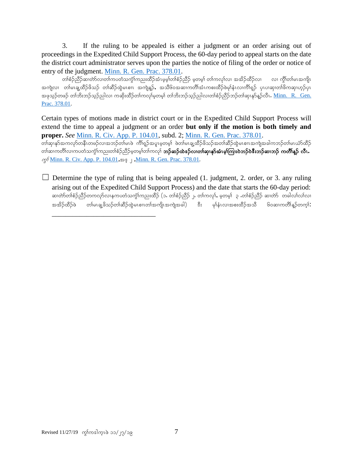3. If the ruling to be appealed is either a judgment or an order arising out of proceedings in the Expedited Child Support Process, the 60-day period to appeal starts on the date the district court administrator serves upon the parties the notice of filing of the order or notice of entry of the judgment. [Minn. R. Gen. Prac. 378.01.](https://www.revisor.mn.gov/court_rules/gp/id/378/)

တၢ်စဉ်ညီဉ်ဆ၊တာ်လ၊တ၊်ကပတံသကွဲ၊်ကညးထိဉ်အံၤမ္နမ့္၊်တၢ်စဉ်ညီဉ် မူတမူ၊် တ၊်ကလု၊်လ၊ အအိဉ်ထိဉ်လ၊ လ၊ ကွိ၊်တ၊်မၤအကျိၤ အကျဲလ၊ တါမၤချ့ထိဉ်ဖိသဉ် တါဆိဉ်ထွဲမၤစၢ၊ အကျဲနူဉ်, အသိ၆၀အဆၢကတိၢ်အံၤကစးထိဉ်ဖဲမှုနံၤလ၊ကိၢရျှာ် ပုၤပ၊ဆု၊တါဖိကဆု၊ဟုဉ်ပုၤ အဖုသုဉ်တဖဉ် တၢ်ဘိးဘဉ်သူဉ်ညါလ၊ ကဆိုးထိဉ်တ၊်ကလု၊်မ့တမ့၊် တ၊်ဘိးဘဉ်သုဉ်ညါလ၊တၢ်စံဉ်ညိဉ်ဘဉ်တ၊်ဆု၊နု၁်နူဉ်လီၤ**. <u>Minn. R. Gen.</u>** [Prac. 378.01.](https://www.revisor.mn.gov/court_rules/gp/id/378/)

Certain types of motions made in district court or in the Expedited Child Support Process will extend the time to appeal a judgment or an order **but only if the motion is both timely and proper.** *See* [Minn. R. Civ. App. P. 104.01,](https://www.revisor.mn.gov/court_rules/ap/subtype/rcap/id/104/#104.01) subd. 2; [Minn. R. Gen. Prac. 378.01.](https://www.revisor.mn.gov/court_rules/gp/id/378/) w>qSXEkmtuvkmweDRwz.vXtb.w>rRzJ uD>&h.tylRrhwrh> zJw>rRcVxD.zdo.tw>qD.x GJrRpXRtusJtcgub.w>rR,HmxD.

တါဆ၊ကတိါလ၊ကပတံသက္ဂါကညးတါစံဉ်ညိဉ်မှတမ့ါတါကလုါ **ဘဉ်ဆဉ်ထဲဒဉ်လ၊တါဆု၊နုာ်အံၤမ့ါကြ၊းဝဲဘဉ်ဝဲဒီးဘဉ်ဆ၊ဘဉ် ကတိါန့ဉ် လီၤ**  $\varphi$ <sup>5</sup> <u>[Minn. R. Civ. App. P. 104.01](https://www.revisor.mn.gov/court_rules/ap/subtype/rcap/id/104/#104.01)</u>,∞ຸຸ່<u>Minn. R. Gen. Prac. 378.01</u>.

 $\Box$  Determine the type of ruling that is being appealed (1. judgment, 2. order, or 3. any ruling arising out of the Expedited Child Support Process) and the date that starts the 60-day period: ဆ၊တ်ာတ်၊်စဉ်ညီဉ်တကလုာ်လၢနကပတံသကွဲၤ်ကညးထိဉ် (၁. တၢ်စံဉ်ညီဉ် ၂. တၢ်ကလု၊်, မဲ့တမ့၊် ၃ .တၢ်စံဉ်ညီဉ် ဆ၊တာ် တခါလၤ်လၤလ၊ အအိဉ်ထိဉ်ဖဲ တ၊်မၤချု့ဖိသဉ်တ၊်ဆီဉ်ထွဲမၤစၢၤတၢ်အကျိၤအကျဲအခါ) ဒီး မှၢနံၤလၢအစးထိဉ်အသိ ၆၀ဆၢကတိၢန္ဥာ်တက္၊် $\colon$ 

\_\_\_\_\_\_\_\_\_\_\_\_\_\_\_\_\_\_\_\_\_\_\_\_\_\_\_\_\_\_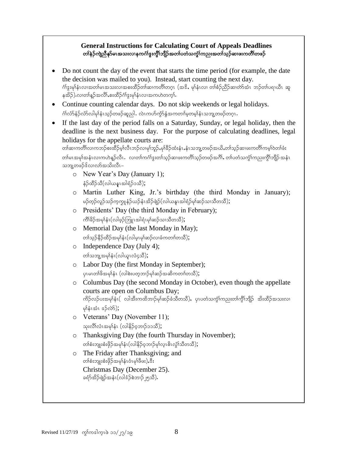### **General Instructions for Calculating Court of Appeals Deadlines** တၢ်နဲဉ်ကျဲညီနှာ်မၤအသးလၢနကင်္ဂါဒွးကွိၢ်ဘျိဉ်အတ၊်ပတံသကွဲၤ်ကညးအတၢ်သုဉ်ဆၢဖးကတိၢ်တဖဉ်

- Do not count the day of the event that starts the time period (for example, the date the decision was mailed to you). Instead, start counting the next day. .<br>ဂံၢိဒ္နးမှၢနံၤလၢအတၢ်မၤအသးလၢအစးထိဉ်တၢ်ဆၢကတိၢ်တဂုၤ (အဒိ , မှၢနံၤလ၊ တၢဴစံဉ်ညိဉ်ဆ၊တဲာ်အံၤာာဉ်တ၊်ပရၢယီၤ ဆူ နအိဉ်) လ၊တၢ်န္ဉာ်အလိၢ်,စးထိဉ်ဂၢ်ဒွးမှၢ်နံၤလ၊အကဟဲတက္i်.
- Continue counting calendar days. Do not skip weekends or legal holidays. ဂံၢ်လံာ်နံဉ်လံာ်လါမှါနံၤသ္ဉ်တဖဉ်ဆူညါ. လဲၤကဟ်ကွဲာ်နွံအကတၢ်မှတမှါနံၤသဘျ့တဖဉ်တဂူၤ.
- If the last day of the period falls on a Saturday, Sunday, or legal holiday, then the deadline is the next business day. For the purpose of calculating deadlines, legal holidays for the appellate courts are:

```
တါဆၢကတိါလၢကဘဉ်စးထိဉ်မှၤ်လိၤဘဉ်လ၊မုၢ်ဘူဉ်ႇမုၢိခိဉ်ထံးနံၤႇနံၤသဘျ့တဖဉ်အယိႇတါသူဉ်ဆ၊ဖးကတိါကမ္ါဝဲတါဖံး
တါမၤအမု)်အနံၤလၢကဟဲန္ဉာလီၤ.  လ၊တါကင်္ဂါဒွးတါသ္ဉာ်ဆ၊ဖးကတိါသ္ဉာ်တဖဉ်အဂိၢ်, တါပတံသက္ဂါကညးကွိၢ်ဘျိဉ် အနံၤ
သဘျ့တဖဉ်ဒ်လၢလာ်အသိးလီၤ–
```
- o New Year's Day (January 1); နံဉ်ထိဉ်သိ $(\infty)$ ယန $\infty$ ခါရံဉ်၁သိ $)$ ;
- o Martin Luther King, Jr.'s birthday (the third Monday in January); မဉ်တှဉ်လှဉ်သဉ်ကူကျုနံဉ်ယဉ်နံၤအိဉ်ဖျဲဉ်(လါယနူၤအါရံဉ်မှၢ်ဆဉ်သၢသီတသီ);
- o Presidents' Day (the third Monday in February);  $\beta$ ကိ $\beta$ ဉ်အမှ $\mathfrak{f}_\mathfrak{p}$ (လါဖူဉ်ဘြူၤအါရံၤမု $\mathfrak{p}_\mathfrak{p}$ သာသီတသီ $\mathfrak{f},\mathfrak{p}_\mathfrak{p}$
- o Memorial Day (the last Monday in May); တ)်သုဉ်နိဉ်ထိဉ်အမှါနံ $1$ (လါမှ $1$ မှာ်ဆဉ်လၢခံကတၢါတသိ $)$ ;
- o Independence Day (July 4); တၢဴသဘူ့အမှၢ်နံၤ(လါယူၤလံ၄သိ);
- o Labor Day (the first Monday in September);  $\varphi$ ပူမျာတ်ဖြို့အမျိန်း (လါစဲးပတ္စ္ကာ)ဉ်များဆိုအဆိုကတ္ပါတသီ);
- o Columbus Day (the second Monday in October), even though the appellate courts are open on Columbus Day; ကိဉ်လဉ်ပးအမု $\mathring{\mathfrak{g}}$ း( လါအီးကထိဘၢဉ်မု $\mathfrak{so}$ ဉ်ခံသီတသီ), ပုၤပတံသကွံ $\mathfrak{h}$ ကညးတ $\mathfrak{h}$ ကွိ $\mathfrak{f}$ ဘျိဉ် အိးထိဉ်အသးလ $\mathfrak{v}$  $\phi$ န်းအံၤ $\sigma$ ဉ်လဲ $\delta$ );
- o Veterans' Day (November 11); သုးလိ်္ဂလံၤအမှါနံၤ (လါနိဉ်ဝ့ဘၢဉ်၁၁သီ);
- o Thanksgiving Day (the fourth Thursday in November); တ)်စီးဘျုးစီးဖိုဉ်အမှါနံၤ $(\infty)$ နိဉ်ဝ့ဘ $\beta$ မှါလူ $\infty$ ကိုသိတသိ $)$ ;
- o The Friday after Thanksgiving; and တၢ်စံးဘျုးစံးဖိုဉ်အမှါနံၤဝံၤမှါဖီဖး),ဒီး Christmas Day (December 25). ခရံာ်အိဉ်ဖျဲဉ်အနံၤ(လါဒံဉ်စဲဘၢဉ်၂၅သီ).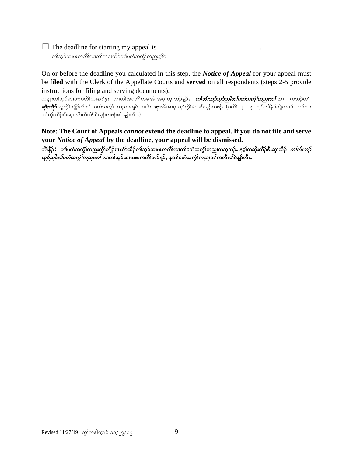$\Box$  The deadline for starting my appeal is

တၢ်သ္၃်ဆၢဖးကတိၤ်လၢတၢ်ကစးထိဉ်တၢ်ပတံသကဲ့ၤ်ကညးမ္ၤ်ဝဲ

On or before the deadline you calculated in this step, the *Notice of Appeal* for your appeal must be **filed** with the Clerk of the Appellate Courts and **served** on all respondents (steps 2-5 provide instructions for filing and serving documents).

တချုးတါသ့ဉ်ဆၢဖးကတိၢိလၢနင်္ဂါဒွး လ၊တါအပတိၢိတခါအံၤအပူၤတုၤဘဉ်နူဉ်ႇ *တြဘိးဘဉ်သူဉ်ညါတၤ်ပတံသကွဲၤ်ကညးတၤ်* အံၤ ကဘဉ်တၤ် *ဆိုးထိံβ*်ဆူကိုၤ်ဘျိဉ်ထိတၤ် ပတံသက္ဂၤ် ကညးစရူဝဲၤဒၢးဒီး **ဆု၊**အီၤဆူပု၊တူဂ်က္ဂ်ါခဲလၢာ်သူဉ်တဖဉ် (ပတိၢ် ၂ −၅ ဟူဉ်တၢ်နဲဉ်ကျဲတဖဉ် ဘဉ်ယး တ၊်ဆိုးထိဉ်ဒီးဆု၊လံာ်တီလံာမိသူဉ်တဖဉ်အံၤန္နာ်လီၤ.)

**Note: The Court of Appeals** *cannot* **extend the deadline to appeal. If you do not file and serve your** *Notice of Appeal* **by the deadline, your appeal will be dismissed.**

တိ၊နိဉ်**:** တ၊်ပတံသက္ပံ၊်ကညးကွိ၊်ဘျိဉ်မၤယံာ်ထိဉ်တ၊်သူဉ်ဆ၊ဖးကတိ၊်လ၊တ၊်ပတံသက္ပံ၊်ကညးတသူဘဉ်**.** နမ္၊်တဆိုးထိဉ်<sup>8</sup>းဆု၊ထိဉ် *တ၊်ဘိးဘဉ် သူဉ်သါတၤ်ပတံသကွၤ်ကညးတ*်လၢတၤ်သုဉ်ဆၤဖးအကတိၤ်ဘဉ်န**ှ**, နတၤ်ပတံသကွၤ်ကညးတၤ်ကလီၤမၤ်ဝဲန္**ဉ်လီၤ**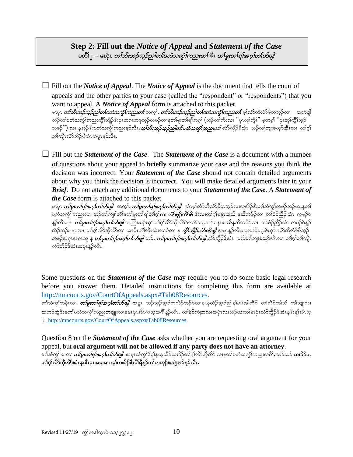## **Step 2: Fill out the** *Notice of Appeal* **and** *Statement of the Case* ပတိၱ၊ ၊ – မၤပဲုၤ *တၫ်ဘိးဘဉ်သူဉ်ညါတၤ်ပတံသက္*ဴ၊က*ညးတၤ်* ီး *တၢ်မူးတၢ်ရၢ်အဂ္ဂၢ်တပ်ဖျါ*

☐ Fill out the *Notice of Appeal*. The *Notice of Appeal* is the document that tells the court of appeals and the other parties to your case (called the "respondent" or "respondents") that you want to appeal. A *Notice of Appeal* form is attached to this packet. မၤပုံၤ *တၢ်ဘိးဘဉ်သူဉ်ညါတၤ်ပတံသက္* $\hbar$ က္ငညားတ၊် တက္်၊*. တၤ်ဘိးဘဉ်သူဉ်ညါတၤ်ပတံသက္* $\hbar$ က္ငညားတ၊ မှါလ်ာတီလံာမိတဘ္ဉ်လၢ အတဲဖျါ ထိဉ်တၤ်ပတံသကွဲၤ်ကညးကွိၤ်ဘျိဉ်ဒီးပုၤအဂၤအဖုသ့ဉ်တဖဉ်လၢနတၤ်မူးတၤ်ရၤ်အဂ္ဂါ (ဘဉ်တၤ်ကိုးလ၊ "ပုၤတူၤ်ကွိၤ်" မှတမ္၊ "ပုၤတူၤ်ကွိၤ်သွဉ် တဖဉ်ိႆ') လ၊ နအဲ့ဉ်ဒိးပတံသက္ခါကညးနဉ်လီၤ**.***တၤ်ဘိးဘဉ်သူဉ်သါတၤ်ဖတံသက္ခါကညးတၤ်* **လံ**ာ်ကိုဉ်ဒိအံၤာာဉ်တၢ်ဘျးစဲယှာ်အီၤလ၊ တၢ်ဂ္ဂါ တ၊်ကျိၤလံာ်ဘိဉ်ဖိအံၤအပူၤန္ဉာလီၤ.

☐ Fill out the *Statement of the Case*. The *Statement of the Case* is a document with a number of questions about your appeal to **briefly** summarize your case and the reasons you think the decision was incorrect. Your *Statement of the Case* should not contain detailed arguments about why you think the decision is incorrect. You will make detailed arguments later in your *Brief*. Do not attach any additional documents to your *Statement of the Case*. A *Statement of the Case* form is attached to this packet.

မၤပုံၤ *တ်မူးတစ်ရ<sup>န်</sup>အဂ္ဂါတပ်တွေ<sup>ူ</sup>ာက့်ရှင် တန်မူးတစ်ရန်အဂ္ဂါတပ်တိမျို ့အံၤမ္*ဂ်လံာတိလံာမိတဘွဉ်လၢအအိဉ်ဒီးတာသံကွာ်တဖဉ်ဘဉ်ယႏနတာ် ပတံသကွံ၊် ကညးလ၊ ဘဉ်တ၊်ကျ၊ၢ်တံ၊်နတ၊်မူးတ၊်ရ၊်တ၊်ဂ့၊်**လ၊ လံာ်ဖှဉ်ကိာ်ဖိ** ဒီးလ၊တ၊်ဂ့၊်မနုၤအယိ နဆိကမိဉ်လ၊ တ၊်စံဉ်ညီဉ် အံၤကမဉ်ဝဲ န္ဉ်လီၤႉ န *တ်မူးတရ်ရအဂ္ဂါတပ်ာဖျါ* တကြၤးပဉ်ယှာ်တရဂ္ဂါလိာ်ဘိုလိာ်ခဲလက်ခဲဆဲ့ဘဉ်မနုၤအယိနဆိကမိဉ်လၢ တါစံဉ်ညီဉ်အံၤ ကမဉ်ဝဲန္ဉဉ် လဲဉ်ဘဉ်**.** နကမၤ တၢ်ဂုၤ်လိာဘိုလိာ်လၢ အလီၤတံၤ်လိၤဆဲးလၢခံလ၊ န *ကွီၤ်ဘို္ဉ်ာလ်ာဟ်ဖျါ* အပူၤန္ဥာလီၤ**.** တဘဉ်ဘူးစဲယှာ် လံာ်တီလံာ်မိသူဉ် တဖဉ်အဂုၤအဂၤဆူ နု *တ1်မူးတ1်ရ1်အဂ္ဂါတ1်ဟိဖျါ ဘဉ်. တ1်မူးတ1်ရ1်အဂ္ဂါတ1်ဟိဖျါ လံ>်ကွိဉ်ဒိအံၤာာဉ်တ1်ဘျးစဲယှာ်အီၤလၢ တ1်ဂ္ဂါတ1်ကျိုၤ* လံာ်ဘိဉ်ဖိအံၤအပူးနဉ်လီး.

Some questions on the *Statement of the Case* may require you to do some basic legal research before you answer them. Detailed instructions for completing this form are available at http://mncourts.gov/CourtOfAppeals.aspx#Tab08Resources.

တါသံကွါတနီၤလ၊ *တါမူးတါရါအဂူါတါဟ်ဖျါ* အပူ၊ ဘဉ်သူဉ်သုဉ်ကလိဉ်ဘဉ်ဝဲလၢနယုထံဉ်သုဉ်ညါန၊်ပၢါအါထိဉ် တါသိဉ်တါသိ တါဘျ၊လ၊ အဘဉ်ထွဲဒီးနတၢ်ပတံသကဲ့ၤ်ကညးတချူးလၢနမၤပုံၤအီၤကသ္အာဂိါန္ဉ်ာလီၤ. တါနဉ်ကျဲအလၢအပုံၤလ၊ဘဉ်ဃးတ၊်မၤပုံၤလံာ်ကိုဉ်ဒိအံၤနဒိးန၊်အီၤသ္  $\delta$  [http://mncourts.gov/CourtOfAppeals.aspx#Tab08Resources.](http://mncourts.gov/CourtOfAppeals.aspx#Tab08Resources)

Question 8 on the *Statement of the Case* asks whether you are requesting oral argument for your appeal, but **oral argument will not be allowed if any party does not have an attorney**. တၢ်သံကွ၊် ၈ လ၊ *တၢ်မူးတၢ်ရၢ်အဂူၢ်တပ်မျို* အပူၤသံကွ၊်ဝဲမ့္ခ်နယ္ဝေိဉ်ထးခ်ဉ်တၢ်ဂ့၊်လိာဘိုလိာ် လ၊နတ၊်ပတံသက္ဂါကညးအဂိါ, ဘဉ်ဆဉ် **ထးခိဉ်တ** တၢ်ဂ္ဂါလိာ်ဘိုလိာ်အံၤနၤဒီးပုၤအဖုအဂၤမ္၊်တအိဉ်ဒီးပိါရီနဉ်တ၊်တဟ္**ဉ်အပျဲဘဉ်န**ဉ်လီၤ.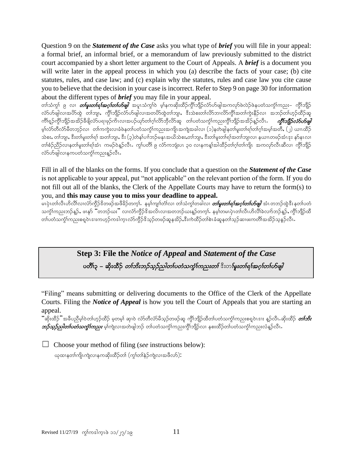Question 9 on the *Statement of the Case* asks you what type of *brief* you will file in your appeal: a formal brief, an informal brief, or a memorandum of law previously submitted to the district court accompanied by a short letter argument to the Court of Appeals. A *brief* is a document you will write later in the appeal process in which you (a) describe the facts of your case; (b) cite statutes, rules, and case law; and (c) explain why the statutes, rules and case law you cite cause you to believe that the decision in your case is incorrect. Refer to Step 9 on page 30 for information about the different types of *brief* you may file in your appeal.

တၢ်သံကွၢ် ၉ လ၊ *တၢ်မူးတၢ်ရၢ်အဂ္ဂၢ်တပ်မျှ၊* အပူၤသံကွၢ်ဝဲ မ့ှန်ကဆိုးထိဉ်ကွိၢ်ဘျိဉ်လံာ်ပာ်ဖျါအကလှာ်ဖဲလဲဉ်ဖဲနပတံသကွဲၤ်ကညး– ကွိၤ်ဘျိဉ် လ်ာဟ်ဖျါလ၊အဟိထွဲ တါဘျ၊, ကွိၢ်ဘျိဉ်လာပျေါ်လ၊အတဟိထွဲတါဘျ၊, ဒီးသဲစးတါလိ၁ာ၊လိ၁်ကွိၢ်အတါကွဲးနိဉ်လ၊ အဘဉ်တါဟုဉ်ထိဉ်ဆူ ကိၢရျှဉ်ကွိၤ်ဘျိဉ်အအိဉ်ခီဖျိလံာပရၢဖုဉ်ကိၤလ၊အပဉ်ယှာ်တၢဂုၤ်လိာဘိုလိာဆူ တၤ်ပတံသက္ငၤ်ကညးကွိၤ်ဘျိဉ်အအိဉ်နှဉ်လီၤ**.** *ကွီၤ်ဘျိဉ်လံာဟ်ဖျါ* မ္)်လ်ာတီလ်ာမိတဘူဉ်လ၊ တ၊်ကကွဲးလ၊ခံဖဲနတၤ်ပတံသကွဲၤ်ကညးအကျိုးအကျဲအခါလ၊ (၁)နတ်ဖျါနတၤ်မူးတ၊်ရၢ်တၢ်ဂူ၊်အမ္)အတိ, (၂) ယၢၤထိဉ် သဲစး, တါဘျ၊, ဒီးတါမူးတါရ)် အတါဘျ၊, ဒီး (၃)တဲနှၤ်ပၢါဘဉ်မနုၤအယိသဲစး,တါဘျ၊, ဒီးတါမူးတါရ)်အတါဘျ၊လ၊ နယၢၤတဖဉ်အံၤဒုး နာ်နၤလ၊ တၢ်စံဉ်ညီဉ်လၢနတ၊်မူးတ၊်ရ၊်အံၤ ကမဉ်ဝဲန္ဥာလီၤ. ကွၤ်ပတိ၊် ၉ လံာကဘျံးပၤ ၃၀ လၢနကန္၊်အါထိဉ်တ၊်ဂ့ၢ်တ၊်ကျိ၊ အကလှာ်လီၤဆီလ၊ ကွီၢ်ဘျိဉ် လ်ာ်ပာ်ဖျါလၢနကပတံသင်္ကုကညးန္5လီၤ $\boldsymbol{\cdot}$ 

Fill in all of the blanks on the forms. If you conclude that a question on the *Statement of the Case* is not applicable to your appeal, put "not applicable" on the relevant portion of the form. If you do not fill out all of the blanks, the Clerk of the Appellate Courts may have to return the form(s) to you, and **this may cause you to miss your deadline to appeal.**

မၤပုံၤတၢ်လီၤဟိလိၢ်လၢလံာ်ကိုဉ်ဒိတဖဉ်အဖိခိဉ်တက္). နမ္၊ကျ၊၊်တံ၊်လ၊ တာ်သံကု၊်တခါလ၊ *တြမူးတၢ်ရၢ်အဂ္ဂ၊်တပ်ဖျါ* အံၤတဘဉ်ထွဲဒီးနတ၊်ပတံ သက္ခံၤ်ကညးဘဉ်န္ဉာ်, ဖ၊နှာ် "တဘဉ်ဃး" လ၊လံာ်ကွီဉ်ဒိအလိၤလ၊အတဘဉ်ဃးန္ဉာ်တက္ငါ. နမ္န၊်တမၤပုံၤတၤလီးပတိလိ၊ခဲလၢာ်ဘဉ်န္ဉာ်, ကွီၤဘျီဉ်ထိ တ်၊ပတံသက္ခံ)ကညးစရူဝဲၤဒၢးကဟ္၌ကဒါက္ၤလံာကိုဥ်ဒိသ္ဥတဖဉ်ဆူနအိ၌ႇဒီးကဲထိဥတၢါစဲၤခံဆူနတၢ်သ္ဥခံစာ၊ဖးကတိၢ်အအိဥသူနှဥ်လီၤ

> **Step 3: File the** *Notice of Appeal* **and** *Statement of the Case* ပတိၱျာ – ဆိုးထိဉ် *တၤ်ဘိးဘဉ်သူဉ်သါတၤ်ပတံသက္* $i$ က*ညးတၤ် <sup>ဇွ</sup>း*ာ*မြူးတၤ်ရၤ်အဂ္ဂါတၤ်ဟ်ဖျါ*

"Filing" means submitting or delivering documents to the Office of the Clerk of the Appellate Courts. Filing the *Notice of Appeal* is how you tell the Court of Appeals that you are starting an appeal.

ີ່ ဆိုးထိဉ်ႛအခီပညီမ္ၢ်ဝဲတၢ်ဟ္ဉ်ထိဉ် မ္စတမ္၊် ဆု၊ဝဲ လံာ်တီလံာ်မိသ္ဉ်တဖဉ်ဆူ ကွီၢ်ဘျိဉ်ထိတၢ်ပတ໋သက္ငံၢ်ကညးစရူဝဲၤဒၢႏ န္ဉ်လီၤႉဆိုးထိဉ် *တၢ်ဘိး ဘဉ်သူဉ်သါတၤ်ပတံသကွာ်ကြသး* မ့္ပ်ကျဲလၢအတဲဖျါဘဉ် တၤ်ပတံသကွံၤ်ကညးကွိၤ်ဘျိဉ်လ၊ နစးထိဉ်တၤ်ပတံသကွၤ်ကညးလံန္ဉ်လီၤ**.** 

☐ Choose your method of filing (*see* instructions below): ယုထၢနတၢ်ကျိုးကျဲလၢနကဆိုးထိဉ်တ၊်  $(\eta_2)$ တၢ်နဉ်ကျဲလ၊အဖိလာ် $)$ :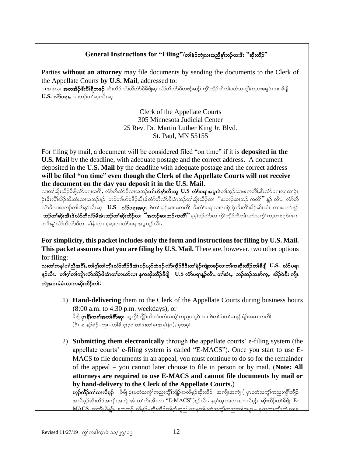## **General Instructions for "Filing"/တ<sup>န္</sup>ဉ်ကျဲလ၊အညီန၊်ဘဉ်**ယးဒီး "ဆိုးထိဉ်"

Parties **without an attorney** may file documents by sending the documents to the Clerk of the Appellate Courts **by U.S. Mail**, addressed to:

ပုၤအဖုလၢ **အတအိဉ်ဒီးပိၢိရိတဖဉ်** ဆိုးထိဉ်လံာတိလံာမိခိဖိျဆု၊လံာ်တိလံာမိတဖဉ်ဆဉ် ကွိၢ်ဘျိဉ်ထိတ၊်ပတံသကွါ်ကညးစရူဝဲၤဒၢႏ ခီဖျိ  $U.S.$  လံ $S$ ပရၢ, လၢဘဉ်တါဆု၊ယီၤဆူ–

> Clerk of the Appellate Courts 305 Minnesota Judicial Center 25 Rev. Dr. Martin Luther King Jr. Blvd. St. Paul, MN 55155

For filing by mail, a document will be considered filed "on time" if it is **deposited in the U.S. Mail** by the deadline, with adequate postage and the correct address. A document deposited in the **U.S. Mail** by the deadline with adequate postage and the correct address **will be filed "on time" even though the Clerk of the Appellate Courts will not receive the document on the day you deposit it in the U.S. Mail**.

လ၊တါဆိုးထိဉ်ခီဖိျလ်ာပရ၊အင်္ဂါ, လာ်တီလာ်မီလ၊အဘဉ်**တ်၊ဟ်နုာ်လီၤဆူ**  $\rm U.S$  **လာ်ပရ၊အပူ၊**ဖဲတၢ်သုဉ်ဆ၊ဖးကတိ၊်ႇဒီးလံာ်ပရ၊လ၊လၢပုံ၊ .<br>ပုံၤဒီးလိၢ်အိဉ်ဆိးထံးလၢအဘဉ်နဉ် ဘဉ်တ၊်ဟ်ပနိဉ်အီၤဒ်လံာတီလံာ်မီအံၤဘဉ်တ၊်ဆိုးထိဉ်လ၊ "အဘဉ်ဆ၊ဘဉ် ကတိ၊" နဉ် လီၤ. လံာတိ လံာ်မီလၢအဘဉ်တၢ်ဟ်နှာ်လီၤဆူ **U.S လံာ်ပရၢအပူ၊** ဖဲတၢ်သ္**ဉ်ဆၢဖးကတိ၊် ဒီးလံာ်ပရ၊လ၊လ၊ပုံ၊ပုံ၊ဒီးလိ၊်**အိဉ်ဆိးထံး လ၊အဘဉ်နူဉ် **ဘဉ်တါဆိုးအီၤဒ်လ််ာတီလံာ်မီအံၤဘဉ်တါဆိုးထိဉ်လ၊ "အဘဉ်ဆ၊ဘဉ်ကတိၢိ"** မဲ့မျ်ဒဉ်လဲာ်လ၊ကွိါဘျိဉ်ထိတါပတံသကွံါကညးစရဝဲၤဒၢး တၖိးန္၊်လံာ်တီလံာ်မီလ၊ မုၢႆနံၤလ၊ နဆု၊လ၊လံာ်ပရ၊အပူၤန္ဉာ်လီၤႉ

**For simplicity, this packet includes only the form and instructions for filing by U.S. Mail. This packet assumes that you are filing by U.S. Mail.** There are, however, two other options for filing:

လ၊တၢ်ကန၊်ပၢါညီအင်္ဂါ, တၢဴဂ့ၢ်တ၊်ကျိုးလံာ်ဘိဉ်ဖိအံၤပဉ်ယှာ်ထဲဒဉ်လံာ်ကွိဉ်<sup>ဥွ</sup>နီးတ၊်နဲဉ်ကျဲတဖဉ်လ၊တ၊်ကဆိုးထိဉ်တ၊်ခီဖျိ U.S. လံာ်ပရ၊ န္**ဉ်လီၤ**ႋ တၢ်ဂ္(တၫ်ကျိုၤလံာ်ဘိဉ်ဖိအံၤတၢ်တယာ်လၢ နကဆိုးထိဉ်ခ်ီဖျိ U.S လံာ်ပရၢန္ဉာလီၤႉ တၢ်အံၤႇာာဉ်ဆဉ်သနာ်က္,အိဉ်ဝဲဒီး ကျို၊ ကျဲအဂၤခံမံၤလၢကဆိုးထိဉ်တၢ်:

- 1) **Hand-delivering** them to the Clerk of the Appellate Courts during business hours (8:00 a.m. to 4:30 p.m. weekdays), or ခီဖျိ **ပုၤနိ1်ကစၤ်အတၤ်စိ>်ဆု၊** ဆူကွိၢ်ဘျိဉ်ထိတၤ်ပတံသက္ဂၤ်ကညးစရူဝဲၤဒၢး ဖဲတၤ်ဖီးတၤ်မၤနဉ်ရံဉ်အဆၤကတိၤ် (ဂီၤ ၈ နဉ်ရံဉ်–တုၤ–ဟါခီ ၄း၃၀ တၢ်ဖီးတ၊်မၤအမှၢ်နံၤ), မှတမှ၊်
- 2) **Submitting them electronically** through the appellate courts' e-filing system (the appellate courts' e-filing system is called "E-MACS"). Once you start to use E-MACS to file documents in an appeal, you must continue to do so for the remainder of the appeal – you cannot later choose to file in person or by mail. (**Note: All attorneys are required to use E-MACS and cannot file documents by mail or by hand-delivery to the Clerk of the Appellate Courts.**)  $\mathbf{v}$ **ှာတိဉ်တၢ်လ၊လီမှဉ်** ခီဖြို ပုၤပတံသက္ဂၤ်ကညးကွိၢ်ဘျိဉ်အလိမ့ဉ်ဆိုးထိဉ် အကျိၤအကျဲ ( ပုၤပတံသက္ဂၤ်ကညးကွိၢ်ဘျိဉ်

အလိမ္နာ်ဆိုးထိဉ်အကျိုအကျဲ့ အံၤတၢ်ကိုးအီၤလ၊ ''E-MACS'')န္ဉာလီၤ. နမ္န္ဂါယုထ၊လ၊နကလိမ္နာ်–ဆိုးထိဉ်တၢ်ခ်ီဖိုု E-<u>MACS ့တာျပီနဉ်, နတဘဉ် လီမဉ်–ဆိုးထိဉ်တစ်ု၊်ဆည္ပါလ၊နတ္ပါပတံသတ္ပါတည္းတါအပူ၊ – နယုထ၊တို့။ကျဲလ၊န</u>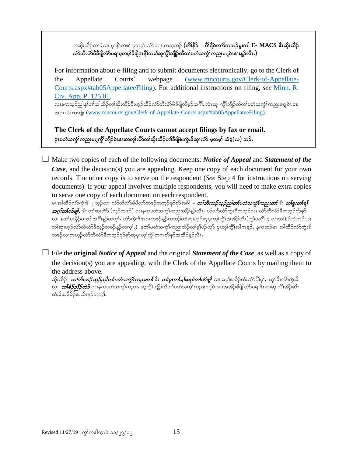ကဆိုးထိဉ်လၢခံလၢ ပုၤနိါကစါ မှတမ့<sup>ု</sup> လံာ်ပရၢ တသ္**ဘဉ် (တိ၊နိဉ် – တိ၊ရီခဲလက်ကဘဉ်စူးကါ E- MACS အီးဆိုးထိဉ်** လ်ာ်တီလ်ာမီခီဖိုလ်ာ်ပရၢမှုတမှၤ်ခီဖြိုပုၤနိါကစါဆူကွိါဘျီဉ်ထီတၤ်ပတံသက္ဂါကညးစရူဝဲၤဒၢးနူဉ်လီၤ.)

For information about e-filing and to submit documents electronically, go to the Clerk of the Appellate Courts' webpage [\(www.mncourts.gov/Clerk-of-Appellate-](http://www.mncourts.gov/Clerk-of-Appellate-Courts.aspx#tab05AppellateeFiling)[Courts.aspx#tab05AppellateeFiling\)](http://www.mncourts.gov/Clerk-of-Appellate-Courts.aspx#tab05AppellateeFiling). For additional instructions on filing, *see* [Minn. R.](https://www.revisor.mn.gov/court_rules/ap/subtype/rcap/id/125/#125.01)  [Civ. App. P. 125.01.](https://www.revisor.mn.gov/court_rules/ap/subtype/rcap/id/125/#125.01) လၢနကသူဉ်ညါန1်ပၢါအါထိဉ်တၢ်ဆိုးထိဉ်ဒီးဟုဉ်ထိဉ်လံာတိလံာမီခီဖျိလိမ့ဉ်အင်္ဂါ, လဲၤဆူ ကွိၢ်ဘျိဉ်ထိတၤ်ပတံသက္ဂၤ်ကညးစရူ ဝဲၤ ဒၢႏ

အပှၤယဲၤကဘျုံး [\(www.mncourts.gov/Clerk-of-Appellate-Courts.aspx#tab05AppellateeFiling\)](http://www.mncourts.gov/Clerk-of-Appellate-Courts.aspx#tab05AppellateeFiling).

**The Clerk of the Appellate Courts cannot accept filings by fax or email**. ပုၤပတံသကွံၤ်ကညးစရ္ခက္ဂ်ိါဘျီဉ်ဝဲၤဒၤတတူၤ်လိာတၤ်ဆိုးထိဉ်တၤ်ခီဖျိစဲးကွဲးဒိဆု၊လံာ် မှတမ္<sup>ု</sup> အံမှ(လ) ဘဉ်**.** 

☐ Make two copies of each of the following documents: *Notice of Appeal* and *Statement of the Case*, and the decision(s) you are appealing. Keep one copy of each document for your own records. The other copy is to serve on the respondent (*See* Step 4 for instructions on serving documents). If your appeal involves multiple respondents, you will need to make extra copies to serve one copy of each document on each respondent.

မၤအါထိဉ်လံာ်ကွဲး<sup>ဥ</sup> ၂ ဘုဉ်လ၊ လံာ်တီလံာ်မိဖိလာ်တဖဉ်တဘုဉ်စုာ်စုာ်အဂ်ိ၊ – *တ်ဘိးဘဉ်သုဉ်သါတၤ်ပတံသကွၤ်ကညးတြီး တြမူးတၤ်ရ်၊ အဂ္ဂ်တၤ်ဟိဖျါႇ* ဒီး တါဆ၊တဲာ် (သ့ဉ်တဖဉ်) လၢနကပတံသက္ငံ)ကညးထိဉ်နှဉ်လီၤ*. ယ်*ဃာ်လံာ်ကွဲးဒိတဘုဉ်လ၊ လံာ်တီလံာ်မိတဘုဉ်စုာ်စုာ် လ၊ နတါမၤနိဉ်မၤယါအဂ်ိါန္ဉာ်တက္i်. လံာ်ကွဲးဒိအဂၤတဖဉ်န္ဉာ်ကဘဉ်တာ်ဆု၊ဟူဉ်ဆူပုၤတူ၊်ကွိၤ်အအိဉ်လီၤ(က္ဂၤဴပတိၢ် ၄ လၢတၢ်နဲဉ်ကျဲဘဉ်ယး တါဆု၊ဟုဉ်လံာ်တိလံာမိသူဉ်တဖဉ်နူဉ်တကု့ၤ်) နတၢ်ပတံသက္ဂၤ်ကညးထိဉ်တ၊်မူးပဉ်ယှာ ပုၤတူ၊်ကွီၤအါဂၤနူဉ်ႇ နကဘဉ်မၤ အါထိဉ်လံာ်ကွဲးဒိ တဖဉ်လၢကဟ္ဥ်လ်ာတီလံာမိတဘ္ဥစုာရာရာယူကုန်ကိုကာကစာရာအိုသည်သိုး

☐ File the **original** *Notice of Appeal* and the original *Statement of the Case*, as well as a copy of the decision(s) you are appealing, with the Clerk of the Appellate Courts by mailing them to the address above.

ဆိုးထိဉ် *တၢ်ဘိးဘဉ်သူဉ်ညါတၤ်ပတံသက္ဂၤ်ကညးတ်*၊ ဒီး *တၢ်မူးတၢ်ရၢ်အဂ္ဂါတၤ်ဟ်မျုံ* လၢအမ္န၊်အခိဉ်ထံးလံာမိါပု၊်, ယှာ်ဒီးလံာ်ကွဲးဒိ လ၊ *တၢ်စံဉ်သို့ာ်တာ်* လၢနကပတံသက္ဂံ၊ကညး, ဆူကွိၢ်ဘျိဉ်ထိတ၊်ပတံသက္ဂံ၊ကညးစရူဝဲၤဒၢးအအိဉ်ခီဖျို လံာ်ပရၢဒီးဆု၊ဆူ လိၢ်အိဉ်ဆိး ထံးဒ်အဖိခိဉ်အသိးန္ဉာတက္န}.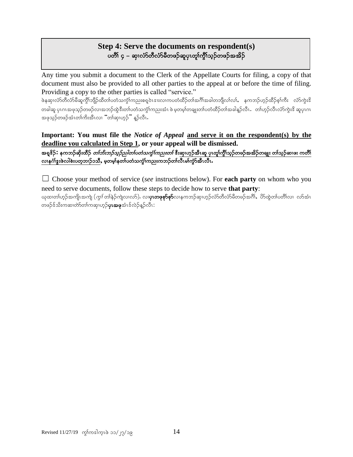## **Step 4: Serve the documents on respondent(s)** ပတိႆ၊ ၄ – ဆု၊လံာ်တီလံာ်မီတဖဉ်ဆူပု၊တူ၊်ကွီၢ်သူဉ်တဖဉ်အအိဉ်

Any time you submit a document to the Clerk of the Appellate Courts for filing, a copy of that document must also be provided to all other parties to the appeal at or before the time of filing. Providing a copy to the other parties is called "service."

ဖဲနဆု၊လံာ်တီလံာမိဆူကွိၢ်ဘျိဉ်ထိတ၊်ပတံသကွဲ၊်ကညးစရူဝဲၤဒၢးလ၊ကပတံထိဉ်တ၊်အဂါ်အခါတဘျိလ၊်လ၊်, နကဘဉ်ဟုဉ်ထိဉ်စ့၊်ကီး လံာ်ကွဲးဒိ တခါဆူ ပုၤဂၤအဖုသ့ဉ်တဖဉ်လၢအဘဉ်ထွဲဒီးတၢ်ပတံသကွဲၤ်ကညးအံၤ ဖဲ မ့တမ့ၢ်တချူးတၢ်ပတံထိဉ်တၢ်အခါနူဉ်လီၤ . တ၊်ဟုဉ်လီၤလံာ်ကွဲးဒိ ဆူပုၤဂၤ အဖုသွဉ်တဖဉ်အံၤတၢ်ကိႈအီၤလ၊ "တၢိဆု၊ဟူဉ်" နူဉ်လီၤ.

**Important: You must file the** *Notice of Appeal* **and serve it on the respondent(s) by the deadline you calculated in Step 1, or your appeal will be dismissed.**

အရှ<sup>စ္စ</sup>ဉ်**:** နကဘဉ်ဆိုးထိဉ် *တၢ်ဘိးဘဉ်သူဉ်သါတၤ်ပတံသကွဲၤ်ကညးတၤ်* ဒီးဆု၊ဟုဉ်အီၤဆူ ပုၤတူ၊်ကွိၢ်သုဉ်တဖဉ်အအိဉ်တချုး တၢ်သုဉ်ဆၢဖး ကတိၢ် လ၊နင်္ဂါဒွးဖဲလါစဲးပတ္စ္ကာ)ဉ်ာသီ, မူတမ္န္ကုနတ္ပါပတ္စ္ကာက္စုံကညးကဘဉ်တ္ပါလီၤမ္ပါက္စာအီၤလီၤ

☐ Choose your method of service (*see* instructions below). For **each party** on whom who you need to serve documents, follow these steps to decide how to serve **that party**:

ယုထ၊တါဟ္ဉာ်အကျို၊အကျဲ (*ကွ<sup>န်</sup>*တါနဉ်ကျဲလ၊လာ်). လ၊**ပု၊တဖုစှာ်စှာ်**လ၊နကဘဉ်ဆု၊ဟ္ဥလံာ်တီလံာ်မီတဖဉ်အဂိါႇ ဟ်ထွဲတ၊်ပတိ၊်လ၊ လာ်အံၤ တဖဉ်ဒ်သိးကဆ၊တဲာ်တၢ်ကဆု၊ဟုဉ်**ပုၤအဖု**အံၤဒ်လဲဉ်နဉ်လီၤ: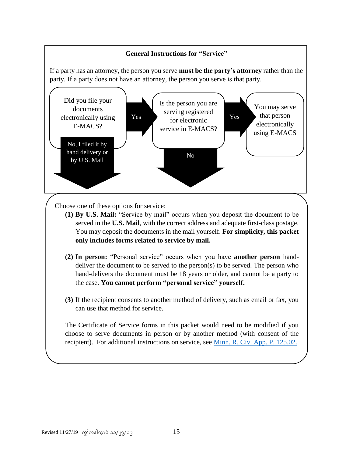

Choose one of these options for service:

- **(1) By U.S. Mail:** "Service by mail" occurs when you deposit the document to be served in the **U.S. Mail**, with the correct address and adequate first-class postage. You may deposit the documents in the mail yourself. **For simplicity, this packet only includes forms related to service by mail.**
- **(2) In person:** "Personal service" occurs when you have **another person** handdeliver the document to be served to the person(s) to be served. The person who hand-delivers the document must be 18 years or older, and cannot be a party to the case. **You cannot perform "personal service" yourself.**
- **(3)** If the recipient consents to another method of delivery, such as email or fax, you can use that method for service.

The Certificate of Service forms in this packet would need to be modified if you choose to serve documents in person or by another method (with consent of the recipient). For additional instructions on service, see [Minn. R. Civ. App. P. 125.02.](https://www.revisor.mn.gov/court_rules/ap/subtype/rcap/id/125/#125.02)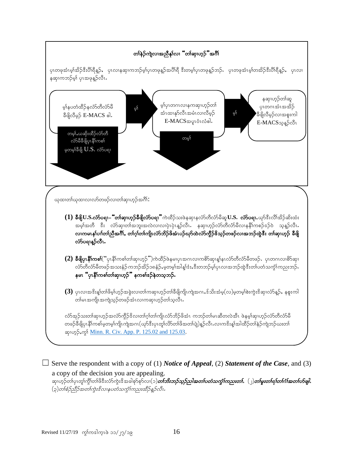

 $\Box$  Serve the respondent with a copy of (1) *Notice of Appeal*, (2) *Statement of the Case*, and (3) a copy of the decision you are appealing. ဆု၊ဟုဉ်တ၊်ပု၊တူ၊်ကွိၤ်တ၊်ဖိဒီးလံာကွဲးဒိအခါစုာ်စုာ်လ၊(၁)*တ၊်ဘိးဘှာ်သုဉ်ညါအတၤ်ပတံသကွံၤ်ကညးတၤ်, (၂)တ၊်မူးတ၊်ရၢ်တ၊်ဂါအတၤ်ဟိဖျါ,* (၃)တ1်စဉ်ညီဉ်အတ1်ကွဲးဒိလၢနပတံသက္ခၤ်ကညးထိဉ်နဉ်လီး.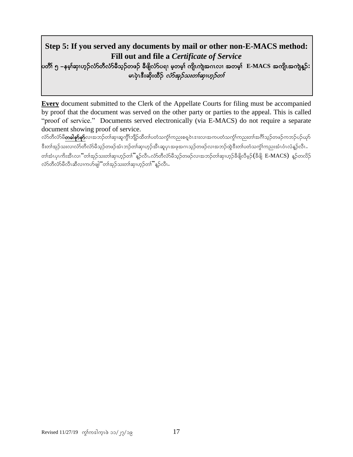## **Step 5: If you served any documents by mail or other non-E-MACS method: Fill out and file a** *Certificate of Service* ပတိၢ် ၅ –နမ့္သာဟုသလားတိုလည်မိသုဉ်တဖဉ် ခ်ီဖျိလံာ်ပရ၊ မ့တမ့္၊ ကျိၤကျဲအဂၤလ၊ အတမ့္၊ E-MACS အကျိၤအကျဲန္**ဉ်:**

## မၤပှဲၤဒီးဆိုးထိဉ် *လံာ်အုဉ်သးတ<sup>ြ</sup>တုက်တင်္ဂ*

֘֒

**Every** document submitted to the Clerk of the Appellate Courts for filing must be accompanied by proof that the document was served on the other party or parties to the appeal. This is called "proof of service." Documents served electronically (via E-MACS) do not require a separate document showing proof of service.

လံာ်တိလံာမိ**တခါစုာ်စုာ်**လၤအဘဉ်တါဆု၊ဆူကွိၢ်ဘျိဉ်ထိတါပတံသက္ခံโကညးစရပဲၤဒးးလၢအကပတံသက္ခံโကညးတါအဂိါသုဉ်တဖဉ်ကဘဉ်ပဉ်ယုဉ် ီးတ၊်အုဉ်သးလၢလံ်ာတိလံာမိသုဉ်တဖဉ်အံၤဘဉ်တ၊်ဆု၊ဟုဉ်အီၤဆူပုၤအဖုအဂၤသုဉ်တဖဉ်လ၊အဘဉ်ထွဲဒီးတ၊်ပတံသကွဲ၊်ကညးအံၤဝံၤလံနူဉ်လီၤ တါအံၤပုၤကိးအီၤလ၊ "တါအုဉ်သးတါဆု၊ဟုဉ်တါ" နူဉ်လီၤ.လံာ်တီလံာမိသုဉ်တဖဉ်လၢအဘဉ်တါဆု၊ဟုဉ်ခီဖိျလီမှဉ် $(\mathbb{S}$ ဖိျ  $\text{E-MACS})$  နူဉ်တလိဉ် လံာ်တီလံာမိလိၤဆိလၢကဟ်ဖျါ်ံတ၊်အုဉ်သးတၢ်ဆု၊ဟုဉ်တ၊ိႆန္ဉာလီၤ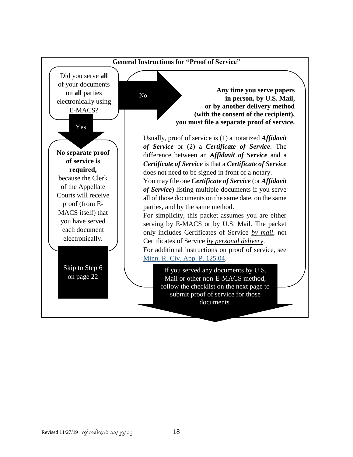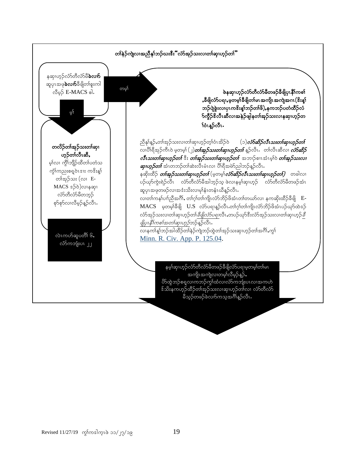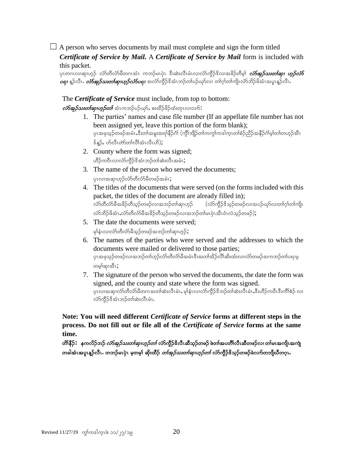$\Box$  A person who serves documents by mail must complete and sign the form titled *Certificate of Service by Mail.* A *Certificate of Service by Mail* form is included with

this packet.

```
ပုၤတဂၤလၢဆု၊ဟ္၄် လံာ်တိလံာ်မိတဂၤအံၤ ကဘဉ်မၤပုံၤ ဒီးဆဲးလီၤမံၤလၢလံာ်ကွိဉ်ဒိလၢအခိဉ်တီမှ၊် လံာ်အှဉ်သးတ<sup>ု့</sup>ဆု၊ ဟူဉ်လံာ်
\omegaوكو\beta7 مِن \omegaوكركردكراء، وكوبارمات ماكوركوكوكيليكوكوكيا، وكان كان ماركون بالمكامر ماركوبان وكان بالمكافر
```
The *Certificate of Service* must include, from top to bottom:

 $\vec{v}$ တ်အု $\beta$ သးတ $\vec{v}$ ဆု၊ဟူ $\beta$ တ $\vec{b}$  အံၤကဘဉ်ပဉ်ယု $\hat{b}$ , စးထိဉ်ခိဉ်ထံးတုၤလၢလ $\hat{b}$ :

- 1. The parties' names and case file number (If an appellate file number has not been assigned yet, leave this portion of the form blank); ပှၤအဖုသုဉ်တဖဉ်အမံၤႇဒီးတၢ်အမူးအရၢိနိဉ်ဂံၢ် (ကွိၢ်ဘျိဉ်တ၊်ကကွ၊်ကဒါက္ၤတၢ်စံဉ်ညိဉ်အနိဉ်ဂံၢမ့၊်တ၊်တဟ္ဉ်အီၤ  $\frac{1}{2}$ န်နဉ်, ဟ်လီးတဲတစ်လိုက်တံ $\frac{1}{2}$
- 2. County where the form was signed; ဟိဉ်ကဝီၤလၢလံာ်ကိုဉ်ဒိအံၤဘဉ်တၢ်ဆဲးလီၤအမံၤ;
- 3. The name of the person who served the documents; ပုၤလၢအဆု၊ဟ္၄်လံာ်တီလံာမိတဖဉ်အမံၤ;
- 4. The titles of the documents that were served (on the forms included with this packet, the titles of the document are already filled in); လ်ာတိလ်ာမီအခိဉ်တီသွဉ်တဖဉ်လၢအဘဉ်တၢ်ဆု၊ဟူဉ် (လ်ာ်ကွီဉ်ဒိသွဉ်တဖဉ်လ၊အပဉ်ယှာ်လ၊တၢ်ဂ္ဂ၊်တ၊်ကျို၊  $\Delta$ လ်ာဘိဉ်ဖိအံၤ $\Delta$ လ်ာတီလ်ာမီအခိဉ်တီသွဉ်တဖဉ်လၢအဘဉ်တ $\alpha$ များကိုးထီးဝံၤလံသွဉ်တဖဉ် $\Delta$
- 5. The date the documents were served; မှါနံၤလၢလံာတိလံာ်မိသုဉ်တဖဉ်အဘဉ်တါဆု၊ဟုဉ်;
- 6. The names of the parties who were served and the addresses to which the documents were mailed or delivered to those parties; ပုၤအဖုသုဉ်တဖဉ်လၤအဘဉ်တဂ်ဟ့ဉ်လံာ်တီလံာမိအမံၤဒီးအတၤ်အိဉ်လိါဆိးထံးလၤလံာ်တဖဉ်အကဘဉ်တၤ်ပရၢမ့ တမ့ါဆု၊အီၤ;
- 7. The signature of the person who served the documents, the date the form was signed, and the county and state where the form was signed. ပုၤလၢအဆု၊လံာ်တီလံာမိတဂၤအတၢ်ဆဲးလီၤမံၤ,မုနံၤလ၊လံာ်ကွိဉ်ဒိဘဉ်တၢ်ဆဲးလီၤမံၤႇဒီးဟိဉ်ကဝီၤဒီးကိၢ်စဉ် လ၊ လံာ်ကိုဉ်ဒိအံၤဘဉ်တၢ်ဆဲးလီၤမံၤ.

**Note: You will need different** *Certificate of Service* **forms at different steps in the process. Do not fill out or file all of the** *Certificate of Service* **forms at the same time.**

တိ၊နီဉ် $\boldsymbol{:} \quad$ နကလိဉ်ဘဉ် *လံာ်အှဉ်သးတၤ်ဆုၤဟ္ဥ်တၤ်* လံာ်ကွီဉ်ဒိလီၤဆီသ္ဥ်တဖဉ် ဖဲတၤ်အပတိၤ်လီၤဆီတဖဉ်လ၊ တၤ်မၤအကျိၤအကျဲ တခါအံၤအပူၤန္ဥာလီၤႉ တဘဉ်မၤပုံၤ မှတမ္<sup>ု</sup> ဆိုးထိဉ် *တါအုဉ်သးတါဆုၤဟ္ဥတၤ်* လံာ်ကွီဉ်<sup>ဥ</sup>သ္ဥတဖဉ်ခဲလက်တဘျီယီတဂူၤႉ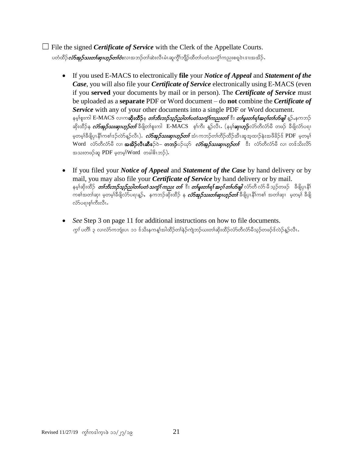☐ File the signed *Certificate of Service* with the Clerk of the Appellate Courts. ပတံထိဉ်*လံာ်အူဉ်သးတါဆု၊ဟူဉ်တၢ်ဝံ*းလၢအဘဉ်တါဆဲးလီၤမံၤဆူကို)်ဘျိဉ်ထိတ၊်ပတံသကဲ့၊်ကညးစရူဝဲၤဒၢးအအိဉ်

- If you used E-MACS to electronically **file** your *Notice of Appeal* and *Statement of the Case*, you will also file your *Certificate of Service* electronically using E-MACS (even if you **served** your documents by mail or in person). The *Certificate of Service* must be uploaded as a **separate** PDF or Word document – do **not** combine the *Certificate of Service* with any of your other documents into a single PDF or Word document. နမ့္ပ်စူးကါ E-MACS လၤက**ဆိုးထိဉ်**န *တၤ်ဘိးဘဉ်သူဉ်ညါတၤ်ပတံသကွံၤ်ကညးတြီး တ၊်မူးတ၊်ရၢ်အဂ္ဂ၊်တ်ဟျ၊ နဉ်နေကဘဉ်* ္<br>ဆိုးထိဉ်န *ကံ်အု<i>ဉ်သးဆု၊ဟူဉ်တ***်** ခီဖြိုတစ်ူးကါ E-MACS စ့ဂ်ကီး နူဉ်လီၤ. (နမ့**်ဆု၊ဟူဉ်**လံာ်တီလံာ်မီ တဖဉ် ခီဖိျလံာ်ပရၢ မ့တမ္)ခ်ီဖျိပုၤနိၢ်ကစၢ်ဒဉ်လဲ>န္ဉ်ာလီၤ)**.** *လံာ်အှဉ်သးဆု၊ဟူဉ်တၤ်* **အံ**ၤကဘဉ်တၢ်တိဉ်ထိဉ်အီၤဆူအ့ထၢဉ်နဲးအဖိခိဉ်ဒ် PDF မှတမ့၊် Word လံာ်တီလံာမီ လ၊ **အအိဉ်လီၤဆီဒ**ဉ်ဝဲ– **တဘဉ်**ပဉ်ယှာ် *လံာ်အူဉ်သးဆု၊ဟူဉ်တၤ်* းီး လံာ်တီလံာ်မီ လ၊ တဒ်သိးလိာ် အသးတဖဉ်ဆူ  $PDF$  မှတမ့ $\{Word$  တခါဓိၤဘဉ်).
- If you filed your *Notice of Appeal* and *Statement of the Case* by hand delivery or by mail, you may also file your *Certificate of Service* by hand delivery or by mail. နမ့္်ာဆိုးထိဉ် *တြားဘဉ်သူဉ်ညါတၤ်ပတံ သက္ဂၤ် ကညး တၤ် ဒီး တၤ်မူးတၤ်ရ၊် အဂ္ဂ၊် တၤ်ဟ်ဖျါ လံာ်ဟီ လိာ မီ သုဉ်တဖဉ် စီမြိုပုၤနို႞* ာ<br>စစ်အတါဆု၊ မှတမူ)ခ်ီဖိျလံာ်ပရၢန္**ဉ်,** နကဘဉ်ဆိုးထိဉ် န *လံာ်အှဉ်သးတါဆု၊ဟူဉ်တ၊်* ခီဖိျပုၤနိ1်ကစၤ် အတၤ်ဆု၊ မှတမူ၊် ခီဖိျ လံ>်ပရາစ္}ကိုးလီၤ.
- *See* Step 3 on page 11 for additional instructions on how to file documents.  $\phi$ ်တော် ၃ လ၊လာ်ကဘျံးပၤာ၁ ဒ်သိးနကန္၊်အါထိဉ်တ၊်နဉ်ကျဲဘဉ်ယးတ၊်ဆိုးထိဉ်လာ်တီလာ်မီသူဉ်တဖဉ်ဒ်လဲဉ်နှဉ်လီၤ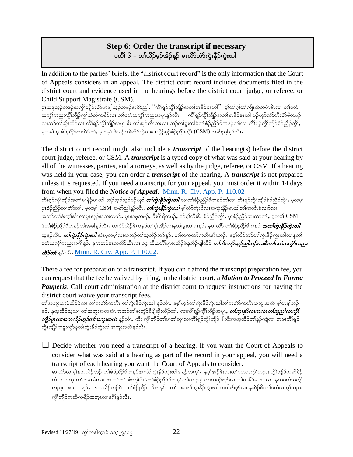## **Step 6: Order the transcript if necessary** ပတိၱ၊ ၆ – တၢ်လိဉ်မှဉ်အိဉ်နူဉ် မၤလိာ်လံာ်ကွဲးနီဉ်ကွဲးယါ

In addition to the parties' briefs, the "district court record" is the only information that the Court of Appeals considers in an appeal. The district court record includes documents filed in the district court and evidence used in the hearings before the district court judge, or referee, or Child Support Magistrate (CSM).

ပုၤအဖုသ္ဉ်တဖဉ်အကွိ\ဘျိဉ်လံာ်ဟ်ဖျါသ္ဉ်တဖဉ်အမဲာ်ညါႇ "ကိ\ရှဉ်ကွိ\ဘျိဉ်အတ\မၤနိဉ်မၤယါ" မ့\တ\ဂ္\တ\ဂျိၤထဲတမံၤဓိၤလ၊ တ\ပတံ သက္ခံၤ်ကညးကွိၤ်ဘျိဉ်ကွၤ်ထံဆိကမိဉ်လ၊ တၤ်ပတံသက္ခံၤ်ကညးအပူၤန္ဥာလီး… ကိၢရှဉ်ကွိၤ်ဘျိဉ်အတၤ်မၤနိဉ်မၤယါ ပဉ်ယှာ်လံာတီလံာမိတဖဉ် လ၊ဘဉ်တါဆိုးထိဉ်လ၊ ကိါရှဉ်ကွိါဘျိဉ်အပူၤ ဒီး တါအုဉ်ကီၤသးလ၊ ဘဉ်တါစူးကါဖဲတါစံဉ်ညိဉ်ဒိကနဉ်တါလ၊ ကိါရှဉ်ကွိါဘျိဉ်စံဉ်ညိဉ်ကွိါႇ မှတမှါ ပုၤစံဉ်ညီဉ်ဆ၊တဲာ်တာ်, မှတမှါ ဖိသဉ်တါဆီဉ်ထွဲမၤစၢၤကွိဉ်မှဉ်စံဉ်ညီဉ်ကွိါ (CSM) အမဲာ်ညါနူဉ်လီၤ.

The district court record might also include a *transcript* of the hearing(s) before the district court judge, referee, or CSM. A *transcript* is a typed copy of what was said at your hearing by all of the witnesses, parties, and attorneys, as well as by the judge, referee, or CSM. If a hearing was held in your case, you can order a *transcript* of the hearing. A *transcript* is not prepared unless it is requested. If you need a transcript for your appeal, you must order it within 14 days from when you filed the *Notice of Appeal.* [Minn. R. Civ. App. P. 110.02](https://www.revisor.mn.gov/court_rules/ap/subtype/rcap/id/110/#110.02)

ကိၢရျာ်ကွိၤဘျိာအတ၊်မၤနီဉ်မၤယါ ဘဉ်သူဉ်သုဉ်ပဉ်ယှာ *တ၊်ကွဲးနီဉ်ကွဲးဃါ* **လ၊တ၊်စံဉ်ညိ**ဉ်ဒိကနဉ်တ၊်လ၊ ကိၢရျာ်ကွိၢ်ဘျိဉ်စံဉ်ညိဉ်ကွိၢ်, မ့တမ့၊် ပုၤစံဉ်ညီဉ်ဆ၊တဲာ်တာ်, မှုတမှ္ဂါ CSM အမဲာ်ညါန္ဉာလီၤ*. တ်ကွဲးနီဉ်ကွဲးဃါ* မွ၊်လံာ်ကွဲးဒိလ၊အကွဲးနီဉ်မၤဃါတ၊်ကတိၤခဲလၢာ်လ၊ အဘဉ်တၢ်စံးတ္၊်အီၤလ၊ပုၤအုဉ်အသးတဖဉ်, ပုၤအဖုတဖဉ်, ဒီးပိါရီတဖဉ်, ပဉ်စု၊်ကီးဒီး စံဉ်ညီဉ်ကို၊်, ပုၤစံဉ်ညီဉ်ဆ၊တဲာ်တ၊်, မှတမှ၊် $\,\rm{CSM}\,$ ဖဲတၢ်စဉ်ညီဉ်ဒိကနဉ်တၢ်အခါနှဉ်လီၤ. တၢ်စဉ်ညီဉ်ဒိကနဉ်တ၊်မ့၊်အိဉ်လ၊နတ၊်မူးတ၊်ရ၊်နူဉ်, နမၤလိ၁် တၢ်စဉ်ညီဉ်ဒိကနဉ် *အတ၊်ကွဲးနီဉ်ကွဲးယါ* သူနဉ်လီၤ**.** *တၢ်ကွဲးနီဉ်ကွဲးယါ* **အံ**ၤမှတမ့)်လၢအဘဉ်တ၊်ယူထိဉ်ဘဉ်နဉ်, တ၊်တကတ်ာကတီၤအီၤဘဉ်. နမ့၊်လိဉ်ဘဉ်တ၊်ကွဲးနီဉ်ကွဲးယါလ၊နတ၊် ပတံသက္ငါကညးအင်္ဂါန္ဉာ်, နကဘဉ်မၤလလိာ်အီၤလ၊ ၁၄ သီအတိါပူၤစးထိဉ်ဖဲနတိဉ်ဖျါထိဉ် *တ်ဘိးဘဉ်သူဉ်ညါဘဉ်ယးဒီးတၤ်ပတံသက္ခံာ်ကညး*  $\mathcal{A}$ Soof  $\mathcal{A}$ Soof. [Minn. R. Civ. App. P. 110.02.](https://www.revisor.mn.gov/court_rules/ap/subtype/rcap/id/110/#110.02)

There a fee for preparation of a transcript. If you can't afford the transcript preparation fee, you can request that the fee be waived by filing, in the district court, a *Motion to Proceed In Forma Pauperis*. Call court administration at the district court to request instructions for having the district court waive your transcript fees.

တ္ပါအဘူးအလဲအိဉ်ဝဲလ၊ တ္ပါကတ္ပာယတ္ပါး တျပားနို့ဉ်ယုံးယျှ နဉ်လိုးနေပါက်ပွဲကွဲမ်ားများကြွက်သားအလွယ် မျှသန်းသည် န္β်, နယ္နထိုည္ခယ္၊ တၢ်ဴအဘူးအလဲအံၤကဘဉ်တၢ်စူးကွံာ်ခ်ိဖျိဆိုးထိဉ်တၢ်, လ၊က်ိၢရျာ်ကွိုဘျိဉ်အပူၤ, *တၢ်ဴဆု၊န်လ၊ကလဲၤတ၊်ဆူညါလ၊ကွိ၊ ဘျိ<mark>ာ်ပူးလၢအတလိဉ်ဟုဉ်တါအဘူးအလဲ</mark>* နူဉ်လီၤ. ကိႈ ကွိၢ်ဘျိဉ်တ၊်ပ၊တ၊်ဆု၊လ၊ကိၢ်ရှဉ်ကွိၢ်ဘျိဉ် ဒ်သိးကယ္**ထိ**ဉ်တါနဉ်ကျဲလ၊ ကမ၊ကိၢ်ရှဉ် ကွိၢ်ဘျိဉ်ကစူးကွံာ်နတၢ်ကွဲးနိဉ်ကွဲးယါအဘူးအလဲန္ဝါလီၤ.

 $\Box$  Decide whether you need a transcript of a hearing. If you want the Court of Appeals to consider what was said at a hearing as part of the record in your appeal, you will need a transcript of each hearing you want the Court of Appeals to consider. ဆ၊တဲာ်လ၊မ့္ခ်ရကလိဉ်ဘဉ် တၢဴစံဉ်ညီဉ်ဒိကနဉ်အလံာ်ကွဲးနိဉ်ကွဲးယါဓါန္ဉာ်တက္i်. နမ့္ပ်အဲဉ်ဒိးလ၊တ၊်ပတံသက္ငံ၊်ကညး ကွိၤဘျိဉ်ကဆိမိဉ် ထံ ကဒါကူၤတၢ်တမံၤမံၤလ၊ အဘဉ်တ၊် စံးတ္၊်ဝံၤဖဲတ၊်စံဉ်ညီဉ်ဒိကနဉ်တ၊်လ၊ညါ လ၊ကပဉ်ယှာ်လ၊တ၊်မၤနိဉ်မၤယါလ၊ နကပတံသကွံ၊် ကညး အပူၤ နူဉ်, နကလိဉ်ဘဉ်ဝဲ တၢ်စံဉ်ညီဉ် ဒိကနဉ် တၢ် အတၢ်ကွဲးနိဉ်ကွဲးယါ တခါစုာ်စုာ်လၢ နအဲဉ်ဒိးတ၊်ပတံသက္ဂၢ်ကညး ကွိၢ်ဘျိဉ်ကဆိကမိဉ်ထံကူၤလၢနဂိၢန္ဉ်လီၤ.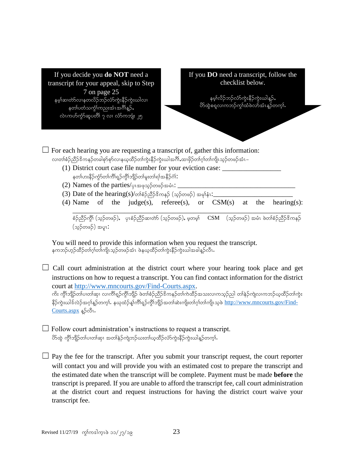

You will need to provide this information when you request the transcript. နကဘဉ်ဟုဉ်ထိဉ်တၢ်ဂ္၊်တ၊်ကျိၤသ္ဉ်တဖဉ်အံၤ ဖဲနယ္နထိဉ်တ၊်ကွဲးနိဉ်ကွဲးယါအခါန္ဉ်လီၤႉ

 $\Box$  Call court administration at the district court where your hearing took place and get instructions on how to request a transcript. You can find contact information for the district court at [http://www.mncourts.gov/Find-Courts.aspx.](http://www.mncourts.gov/Find-Courts.aspx)

ကိႏ ကွိၤ်ဘျိဉ်တၤ်ပ၊တၤ်ဆု၊ လ၊ကိၢ်ရှဉ်ကွိၤ်ဘျိဉ် ဖဲတၢ်စံဉ်ညိဉ်ဒိကနဉ်တၤ်ကဲထိဉ်အသးလ၊ကသ္ဉ်ညါ တၤ်နဉ်ကျဲလ၊ကဘဉ်ယ္ဇထိဉ်တၤ်ကွဲႏ နိဉ်ကွဲးယါဒ်လဲဉ်အဂ္ဂါန္ဉာ်တက္၊်. နယုထံဉ်န္၊်ကိၢိရ္ဉ်ကွိၢ်ဘျိဉ်အတၢ်ဆဲးကျိးတၢ်ဂ့ၢ်တၢ်ကျိၤသ့စဲ [http://www.mncourts.gov/Find-](http://www.mncourts.gov/Find-Courts.aspx)[Courts.aspx](http://www.mncourts.gov/Find-Courts.aspx) န**်**လီး.

 $\Box$  Follow court administration's instructions to request a transcript.  $\partial\phi$ တိုကျိဉ်တ၊်ပ၊တ၊်ဆု၊ အတ၊်နဉ်ကျဲဘဉ်ယးတ၊်ယုထိဉ်လံာ်ကွဲးနိဉ်ကွဲးယါနှဉ်တက္၊်.

 $\Box$  Pay the fee for the transcript. After you submit your transcript request, the court reporter will contact you and will provide you with an estimated cost to prepare the transcript and the estimated date when the transcript will be complete. Payment must be made **before** the transcript is prepared. If you are unable to afford the transcript fee, call court administration at the district court and request instructions for having the district court waive your transcript fee.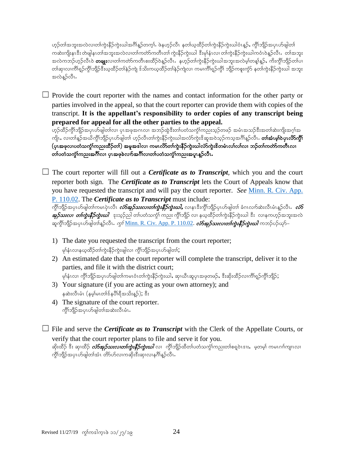ဟ္မာ်တၢ်အဘူးအလဲလ၊တၢ်ကွဲးနိဉ်ကွဲးယါအဂ်ိၢန္ဥတက္ခၤ်. ဖဲနဟ္ဥလီၤ နတၢ်ယ္နထိဉ်တၢ်ကွဲးနိဉ်ကွဲးယါဝံၤန္ဥ်ႇ ကွိၢ်ဘျိဉ်အပုၤဟ်ဖျါတၢ် ကဆဲးကျိးနၤဒီး တဲဖျါနၤတၢ်အဘူးအလဲလ၊တၢ်ကတ်ာကတိၤတ၊် ကွဲးနိဉ်ကွဲးယါ ဒီးမှ၊်နံၤလ၊ တ၊်ကွဲးနိဉ်ကွဲးယါကဝံၤဝဲန္ဉာလိၤ တ၊်အဘူး း<br>အလဲကဘဉ်ဟုဉ်လီၤဝဲ **တချုး**လ၊တါကတဲာ်ကတိၤစးထိဉ်ဝဲန္ဉာလီၤန နဟုဉ်တၢ်ကွဲးနိဉ်ကွဲးယါအဘူးအလဲမ့ၢ်တန္၊်န္ဉ်န ကိႏက္ဂိၢဘျိဉ်တၢ်ပၢ တါဆု၊လၢကိၢရှဉ်ကွိၢ်ဘျိဉ်ဒီးယူထိဉ်တါနဲ့ဉ်ကျဲ ဒ်သိးကယ္နထိဉ်တါနဲ့ဉ်ကျဲလ၊ ကမၢကိၢရှဉ်ကွိ၊် ဘျိဉ်ကစူးကွံ၁် နတၢ်ကွဲးနိဉ်ကွဲးယါ အဘူး အလဲနူဉ်လီး.

 $\Box$  Provide the court reporter with the names and contact information for the other party or parties involved in the appeal, so that the court reporter can provide them with copies of the transcript. **It is the appellant's responsibility to order copies of any transcript being prepared for appeal for all the other parties to the appeal.** 

ဟုဉ်ထိဉ်ကွိၢ်ဘျိဉ်အပှၤဟ်ဖျါတ၊်လ၊ ပှၤအဖုအဂၤလ၊ အဘဉ်ထွဲဒီးတ၊်ပတံသက္ဂါကညးသုဉ်တဖဉ် အမံၤအသဉ်ဒီးအတ၊်ဆဲးကျိးအဂ္ဂါအ ကျိၤ, လၢတၢ်န္ဉာ်အယိက္ဂ်ိါဘိုျာိပုၤဟ်ဖျါတ၊် ဟ္ဥာလီၤတ၊်ကွဲးနိဉ်ကွဲးဃါအလံာ်ကွဲးဒိဆူအဝဲသူဉ်ကသူအဂ်ိါန္ဥာလီ**း. တ၊်အံၤမ္၊်ဝဲပုၤလိ>်က္ဂ်ိါ** (ပုၤအဖုလၢပတံသက္ငံ္ကြည္မႈထိဉ်တ္) အမူအဒါလ၊ ကမၤလိာ်တ္ပ်က္လုံးနိဳဉ်က္မႈဃါလံာ်က္မႈဒိတမံၤလၤ်လၤလ၊ ဘဉ်တၤ်ကတဲာ်ကတီၤလ၊ တၢ်ပတံသက္ခံၤ်ကညးအင်္ဂါလ၊ ပုၤအဖုခဲလက်အင်္ဂါလ၊တၢ်ပတံသက္ခံၤ်ကညးအပူၤန္ဥလီၤ

 $\Box$  The court reporter will fill out a *Certificate as to Transcript*, which you and the court reporter both sign. The *Certificate as to Transcript* lets the Court of Appeals know that you have requested the transcript and will pay the court reporter. *See* [Minn. R. Civ. App.](https://www.revisor.mn.gov/court_rules/ap/subtype/rcap/id/110/#110.02)  [P. 110.02.](https://www.revisor.mn.gov/court_rules/ap/subtype/rcap/id/110/#110.02) The *Certificate as to Transcript* must include:

ကွိၢ်ဘျိဉ်အပုၤဟ်ဖျါတၢ်ကမၤပုဲၤလီၤ *လံာ်အှဉ်သးလၢတၢ်ကွဲးနီဉ်ကွဲးဃါႇ* **လၢနၤ**ဒီးကွိၢ်ဘျိဉ်ပုၤဟ်ဖျါတၢ် ခံဂၤလၢာ်ဆဲးလီၤမံၤန္ဉာ်လီၤ*. လံာ်* **အု***)်သးလၢ တၢ်ကွဲးနီဉ်ကွဲးဃါ* **ႏ**သုဉ်ညါ တ၊်ပတံသကွဲ်၊ ကညး ကွိၢ်ဘျိဉ် လ၊ နယ္ဇထိဉ်တၢ်ကွဲးနီဉ်ကွဲးယါ ဒီး လၢနကဟ္ဉ်အဘူးအလဲ ဆူကွိၤ်ဘျိဉ်အပုၤဟ်ဖျါတၤ်န္ဉ်ာလီၤ*. ကွၤ််<u>Minn. R. Civ. App. P. 110.02</u>. <i>လံာ်အုဉ်သးလၢတၤ်ကွဲးနီဉ်ကွဲးယါ* **ကဘဉ်ပဉ်**ယှာ်–

- 1) The date you requested the transcript from the court reporter; မှ)နံၤလၢနယ့ထိဉ်တၢ်ကွဲးနိဉ်ကွဲးဖျါလ၊ ကွိၢ်ဘျိဉ်အပုၤဟ်ဖျါတ**်**;
- 2) An estimated date that the court reporter will complete the transcript, deliver it to the parties, and file it with the district court; မှါနံၤလ၊ ကွိၢ်ဘျိဉ်အပှၤဟ်ဖျါတၢ်ကမၤဝံၤတၢ်ကွဲးနိဉ်ကွဲးယါႇ ဆု၊ယိၤဆူပုၤအဖုတဖဉ်ႇ ဒီးဆိုးထိဉ်လၢကိၢရှ္ဝ်ကွိၢ်ဘျိဉ်;
- 3) Your signature (if you are acting as your own attorney); and နဆဲးလီၤမံၤ (နမ္)မၤတၢ် $\hat{\mathfrak{so}}$ ရီအသိးနဉ်);  $\hat{\mathfrak{z}}$ း
- 4) The signature of the court reporter. ကွိ\်ဘျိဉ်အပုၤဟ်ဖျါတၤ်အဆဲးလီၤမံၤ.
- □ File and serve the *Certificate as to Transcript* with the Clerk of the Appellate Courts, or verify that the court reporter plans to file and serve it for you.

ဆိုးထိဉ် ဒီး ဆု၊ထိဉ် *လံာ်အုဉ်သးလၢတၢ်ကွဲးနီဉ်ကွဲးဃါ* **လ၊ ကိုၤ်ဘျိ**ဉ်ထိတၤ်ပတံသက္ငံၤ်ကညးတၤ်စရှဝဲၤဒၢး, မှတမ္ါ ကမၤဂၢၤ်ကျၤလ၊ ကိုၤ်ဘျိဉ်အပုၤဟ်ဖျါတ၊်အံၤ တိာ်ဟ်လၢကဆိုးဒီးဆု၊လၢနဂိၢနဉ်လီၤ**.**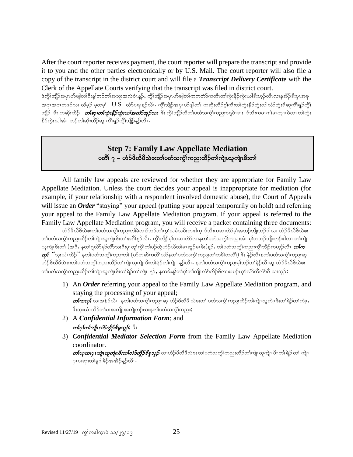After the court reporter receives payment, the court reporter will prepare the transcript and provide it to you and the other parties electronically or by U.S. Mail. The court reporter will also file a copy of the transcript in the district court and will file a *Transcript Delivery Certificate* with the Clerk of the Appellate Courts verifying that the transcript was filed in district court.

ဖဲကွိၤ်ဘျိဉ်အပုၤဟ်ဖျါတၤ်ဒီးန္1ဘဉ်တၤ်အဘူးအလဲဝံၤန္ဉဉ်, ကွိၤ်ဘျိဉ်အပုၤဟ်ဖျါတၤ်ကတာတိကတီၤတၤ်ကွဲးနိဉ်ကွဲးယါဒီးဟ္ဉ်လီၤလၢနအိဉ်ဒီးပုၤအဖု အဂုၤအဂၤတဖဉ်လ၊ လီမှဉ် မှတမှ $\;$   $\;$   $\;$   $\;$ U.S.  $\;$ လံ $\;$ ပဈန္ဥာလီး $\;$  ကွိုဘူံဉ်အပုၤဟ်ဖျါတ၊် ကဆိုးထိဉ်စု $\;$ ကီးတ $\;$ ကွဲးနိဉ်ကွဲးယါလံာ်ကွဲးဒိ ဆူကိ $\;$ ရှဉ်ကွိ $\;$ ်ဘျဉ် ဒီး ကဆိုးထိဉ် တ**်ဆု***၊တါကွဲးနီဉ်ကွဲးယါအလံာ်အှဉ်သး* ဒီး ကွိၢ်ဘျဉ်ထိတၤ်ပတံသက္ခါကညးစရှ္ဝဲၤဒၢႏၲလိုးကမၤဂၢါမၤကျၤဝဲလ၊ တါကွဲး နိဉ်ကွဲးယါအံၤ ဘဉ်တၢ်ဆိုးထိဉ်ဆူ ကိၢ်ရှဉ်ကွိၤ်ဘျိဉ်နှဉ်လီၤ

## **Step 7: Family Law Appellate Mediation** ပတိါ ၇ – ဟံဉ်ဖိယီဖိသဲစးတ၊်ပတံသက္ဂါကညးထိဉ်တ၊်ကျဲၤယူကျဲၤဖိးတ၊်

All family law appeals are reviewed for whether they are appropriate for Family Law Appellate Mediation. Unless the court decides your appeal is inappropriate for mediation (for example, if your relationship with a respondent involved domestic abuse), the Court of Appeals will issue an *Order* "staying" your appeal (putting your appeal temporarily on hold) and referring your appeal to the Family Law Appellate Mediation program. If your appeal is referred to the Family Law Appellate Mediation program, you will receive a packet containing three documents:

ဟံဉ်ဖိယီဖိသဲစးတ၊်ပတံသကဲ့၊်ကညးတ၊်ခဲလၢာ်ဘဉ်တ၊်ကွ၊်သမံသမိးကဒါက္ဥဒ်သိးကဆ၊တဲာ်မှ၊်အဘဉ်ဘျီးဘဉ်ဒါလ၊ ဟံဉ်ဖိယီဖိသဲစး w>ywHouGH>un;xD.w>usJRClusJRzd;w>t\*D>M.vDRIAuGD>bsD.rh>wqXwJmvXew>ywHouGH>un;tHRArh>wb.bsD;b.'gvXAw>usJR ယူကျဲၤဖိးတ၊် (အဒိႆ, နတၢ်ရှလိ>်မှ>်လိ>်သးဒီးပုၤတု၊်ကွိၤ်တၤ်ပဉ်ထွဲဟံဉ်ယိတ၊်မၤဆူဉ်မၤစိး)နူဉ်, တၤ်ပတံသက္ဂၤ်ကညးကွိၤဘျိဉ်ကဟုဉ်လီၤ *တၤ်က*  $\alpha$ က် "သူးယံၤထိဉ်" နတၢ်ပတံသက္ခံၤ်ကညးတၤ် (ဟ်ကဆိကတိၢ်ယာနတၤ်ပတံသက္ခံၤ်ကညးတၤ်တစိၤ်တလိၤ်) ဒီး နဲဉ်ယီၤနတၤ်ပတံသက္ခံၤ်ကညးဆူ ဟံဉ်ဖိယီဖိသဲစးတ၊်ပတံသကွံၤ်ကညးထိဉ်တၤ်ကျဲၤယူကျဲၤဖိးတၤ်ရဲဉ်တၤ်ကျဲၤ နူဉ်လီၤႉ နတၤ်ပတံသကွံၤ်ကညးမ့ၤ်ဘဉ်တၤ်နဉ်ယီၤဆူ ဟံဉ်ဖိယီဖိသဲစး တ္ပါပတ္ခံသယ္ပုံယားသွင္တည္ပယ္မယ္မယ္များမွာမယ္လုပ္ငန္းသူများ နဉ္း နယ္စင္မႈန္၊လုပ္ငံမယူမယ္မည္မလုပ္ငယ္မွာလုပ္ငည္ပေ

- 1) An *Order* referring your appeal to the Family Law Appellate Mediation program, and staying the processing of your appeal;  $\emph{on}$ တု $\emph{for}$  လာအနဲဉ်ယီၤနတ်ပတံသက္ဂါကညး ဆူ ဟံဉ်ဖိယီဖိ သဲစးတ၊် ပတံသက္ဂါကညးထိဉ်တ၊်ကျဲၤယူကျဲၤဖိးတ၊်ရဲဉ်တ၊်ကျဲၤ $\bm{s}$ ီးသုးယံၤထိဉ်တၢ်မၤအကျိၤအကျဲဘဉ်ဃးနတၢ်ပတံသက္ငံၢ်ကညး;
- 2) A *Confidential Information Form*; and တဂ္ဂါတကြို*လံ§ကို ၆နိခုသူ*၌; <sup>ဇွ</sup>ို
- 3) *Confidential Mediator Selection Form* from the Family Law Appellate Mediation coordinator.

 $\emph{of}$ ဆာပု $\emph{I}$ က္ခုံကိုးတားကြိဳကို တိုက္ခိုင်းမွည့္ကို လျဟံဉ်ဖိယိဖိသဲစး တျပတံသက္ခံ ကြားသိဉ်တာကြဲျပဉ္စကျဲ၊ ဖိုး တ၊ ရဲဉ် တ၊ ကျဲ၊ ပုၤပၢဆု၊တၢ်မှုဒါခိဉ်အအိဉ်နူဉ်လီၤ.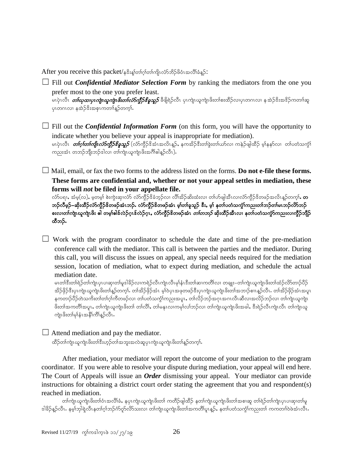After you receive this packet/န $\hat{s}$ းနှုတ်က်ုတ်ကျိုလ်ာဘိဉ်ဖိဝံၤအလိၢ်ခံနှဉ်:

 $\Box$  Fill out *Confidential Mediator Selection Form* by ranking the mediators from the one you prefer most to the one you prefer least.

မၤပုဲၤလီၤ *တ်ယှထ၊ပုၤကျဲၤယူကျဲၤဖိးတၤ်လံာ်ကွိဉ်နိခူသူဉ်* ခီဖြိုရဲဉ်လီၤ ပုၤကျဲၤယူကျဲၤဖိးတၤ်စးထိဉ်လ၊ပုၤတဂၤလၢ န အဲဉ်ဒိးအဒိဉ်ကတၢါဆူ ပုၤတဂၤလ၊ နအဲ့ဉ်ဒီးအစုၤကတၢါန္ဥာ်တက္နါ.

 $\Box$  Fill out the *Confidential Information Form* (on this form, you will have the opportunity to indicate whether you believe your appeal is inappropriate for mediation). မၤပုဲၤလီၤ *တ်ဂ္[တ်ကြိုၤလံာ်ကွီဉ်ဇိန္နသူ့ဉ်* **(**လံာ်ကွီဉ်ဒိအံၤအလိၤန္နဉ်, နကအိဉ်ဒီးတာ်ခွဲးတာ်ယာလ၊ ကနဲဉ်ဖျါထိဉ် မ့ာ်နနာ်လ၊ တာ်ပတံသကွာ် ကညးအံၤ တဘဉ်ဘိုးဘဉ်ဒါလ၊ တါကျဲၤယူကျဲၤဖိးအင်္ဂါခါန္ဉာလီၤ).

☐ Mail, email, or fax the two forms to the address listed on the forms. **Do not e-file these forms. These forms are confidential and, whether or not your appeal settles in mediation, these forms will** *not* **be filed in your appellate file.**

လံာ်ပရၢ, အံမှ(လ), မှတမှါ စဲးကွဲးဆု၊လံာ် လံာ်ကွိဉ်ဒိခံဘူဉ်လ၊ လိၢ်အိဉ်ဆိးထံးလ၊ တ၊်ဟ်ဖျါအီၤလ၊လံာ်ကွိဉ်ဒိတဖဉ်အလိၤနူဉ်တက္ $\mathbf{\hat{a}}$ , တ ဘဉ်လီမှဉ်–ဆိုးထိဉ်လာ်ကွိဉ်ဖိတဖဉ်အံၤဘဉ်. လာ်ကွိဉ်ဖိတဖဉ်အံၤ မူ၊်တ၊်ခူသူဉ် ဖီး, မူ၊် နတ၊်ပတံသကွံ၊်ကညးတ၊်ဘဉ်တ၊်မၤဘဉ်လိာဘဉ် စးလ၊တ၊်ကျဲၤယူကျဲၤဖိး ဓါ တမ္၊်ဓါဒ်လဲဉ်ဂူၤဒ်လဲဉ်ဂူး လံာ်ကွီဉ်ဒိတဖဉ်အံၤ *တ၊်တဘဉ်* ဆိုးထိဉ်အီၤလ၊ နတ၊်ပတံသကွံာ်ကညးလ၊ကွီဉ်ဘျိဉ် ထီဘဉ်.

 $\Box$  Work with the program coordinator to schedule the date and time of the pre-mediation conference call with the mediator. This call is between the parties and the mediator. During this call, you will discuss the issues on appeal, any special needs required for the mediation session, location of mediation, what to expect during mediation, and schedule the actual mediation date.

မၤတၢ်ဒီးတၢ်ရဲဉ်တၢ်ကျဲၤပုၤပၢဆု၊တၢ်မူဒါခိဉ်လၢကရဲဉ်လီၤကျဲၤလီၤမု၊်နှံၤဒီးတ၊်ဆၢကတိၢ်လ၊ တချူး–တၢ်ကျဲၤယူကျဲၤဖိးတ၊်ထံဉ်လိာတ၊ဉ်ပိဉ် အိဉ်ဖိုဉ်ဒီးပုၤကျဲၤယူကျဲၤဖိးတၤ်န္ဥတက္င္ကၤ် တၤ်အိဉ်ဖိုဉ်အံၤ မ့္ပြဲဝပူးအဖုတဖဉ်ဒီးပုၤကျဲၤယူကျဲၤဖိးတၤ်အဘၤ်စု၊ေနှဉ်လီၤ တၤ်အိဉ်ဖိုဉ်အံၤအပူၤ ှောက်သို့ပိုင်တဲ့သကိုးတါတါဂါကိတဖဉ်လ၊ တါပတံသက္ဂါကညးအပူး, တါလိဉ်ဘဉ်အဂုၤအဂၤလီၤဆီလ၊အလိဉ်ဘဉ်လ၊ တါကျဲၤယူကျဲၤ ဖိးတါအကတိါအပူၤ,တါကျဲၤယူကျဲၤဖိးတါ တါလိါ,တါမနုၤလၢကမုါလါဘဉ်လ၊ တါကျဲၤယူကျဲၤဖိးအခါ,ဒီးရဲဉ်လီၤကျဲၤလိၤ တါကျဲၤယူ ကျဲၤဖိးတ၊်မုန်းအနီုကိုနဉ်လီး.

 $\Box$  Attend mediation and pay the mediator. ထိဉ်တၢ်ကျဲၤယူကျဲၤဖိးတၢ်ဒီးဟ့ဉ်တၢ်အဘူးအလဲဆူပုၤကျဲၤယူကျဲၤဖိးတၢ်န္ဉာ်တက္၊်ႉ

After mediation, your mediator will report the outcome of your mediation to the program coordinator. If you were able to resolve your dispute during mediation, your appeal will end here. The Court of Appeals will issue an *Order* dismissing your appeal. Your mediator can provide instructions for obtaining a district court order stating the agreement that you and respondent(s) reached in mediation.

တါကျဲၤယူကျဲၤဖိးတါဝံၤအလိါခံ, နပုၤကျဲၤယူကျဲၤဖိးတါ ကတိဉ်ဖျါထိဉ် နတါကျဲၤယူကျဲၤဖိးတါအစၢဆူ တါရဲဉ်တါကျဲၤပုၤပၢဆု၊တါမှု ဒါခိဉ်နဉ်လီၤ. နမ့္ပ်ဘုါရဲလီၤနတၢ်ဂ္ပ္ပ်ဘဉ်ကုံလိုလ်ာသးလ၊ တ၊်ကျဲၤယူကျဲၤဖိးတ၊်အကတိ၊်ပူၤန္ဉာ်, နတၤ်ပတံသက္ငံ)ကညးတ၊ ကကတၢါဝဲဖဲအံၤလီၤ.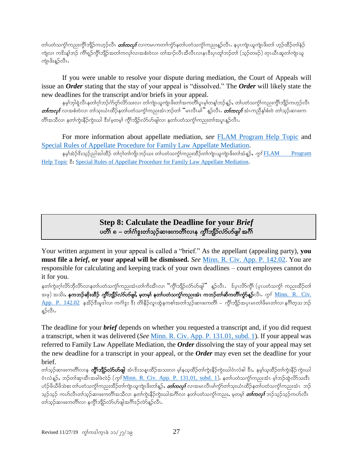တၢ်ပတံသက္ငံၤ်ကညးကွိၤ်ဘျိဉ်ကဟ္ဥ်လီၤ *တၤ်ကလုၤ်* လၤကမၤကတၢၤ်ကွာ်နတၤ်ပတံသက္ငံၤ်ကညးန္ဥ်လီၤႉ နပုၤကျဲၤယူကျဲၤဖိးတၤ် ဟူဉ်ထိဉ်တၤ်နဲ့ဉ် ကျဲလ၊ ကဒိးန္1့ဘဉ် ကိၢိရူဉ်ကွိ1်ဘျိဉ်အတ1်ကလု1်လ၊အစံးဝဲလ၊ တ1်အၢဉ်လီၤအီလီၤလ၊နၤဒီးပုၤတု1်ဘဉ်တၤ် (သုဉ်တဖဉ်) တုၤယီၤဆူတ1်ကျဲၤယူ ကဲူၤဖိးန္}လီၤ.

If you were unable to resolve your dispute during mediation, the Court of Appeals will issue an *Order* stating that the stay of your appeal is "dissolved." The *Order* will likely state the new deadlines for the transcript and/or briefs in your appeal.

နမ္)ဘုါရဲလိၤနတာ်ဂု)်ဘဉ်က်လှာ်လိာသးလ၊ တာ်ကျဲၤယူကျဲၤဖိးတာ်အကတိၤ်ပူးမွ၊်တန္)်ဘည်နှဉ်, တာ်ပတံသင်္ကာကားကွိ၊်ဘျိဉ်ကဟွဉ်လီၤ  $\emph{on}$ တု $\emph{for}$  လာအစီးဝဲလ၊ တါသုးယံၤထိဉ်နတါပတံသက္ဂါကညးအံၤဘဉ်တါ "မၤလီၤမါ $"$  နူဉ်လီၤ $\emph{.}$  တ $\emph{for}$ ကု $\emph{for}$ နာ်စီးဝဲ တါသုဉ်ဆ၊ဖးက တိၢ်အသိလ၊ နတၢ်ကဲ့းနိဉ်ကူးယါ ဒီး/မှတမှ) ကိုၤ်ဘျိဉ်လ်ာဟ်ဖျါလ၊ နတၤ်ပတံသကုံၤ်ကညးတ၊်အပူၤနဉ်လီၤ

For more information about appellate mediation, *see* [FLAM Program Help Topic](http://mncourts.gov/CourtOfAppeals/COAHelpTopics.aspx#tab08COAMediation) and [Special Rules of Appellate Procedure for Family Law Appellate Mediation.](http://www.mncourts.gov/mncourtsgov/media/assets/appellate_courts/documents/Spec_Rules_re_Fam_L_Med_12-6_rev.pdf)

နမ္)အဲ့ဉ်ဒိးသုဉ်ညါအါထိဉ် တ၊်ဂ္ဂါတ၊်ကျိၤဘဉ်ယး တ၊်ပတံသက္ခံ)ကညးထိဉ်တ၊်ကျဲၤယူကျဲၤဖိးတ၊်အံနဉ်, *ကုန်*  $FLAM$  Program Help [Topic](http://mncourts.gov/CourtOfAppeals/COAHelpTopics.aspx#tab08COAMediation)  $\hat{\mathcal{Z}}$ : [Special Rules of Appellate Procedure for Family Law Appellate Mediation.](http://www.mncourts.gov/mncourtsgov/media/assets/appellate_courts/documents/Spec_Rules_re_Fam_L_Med_12-6_rev.pdf)

## **Step 8: Calculate the Deadline for your** *Brief* ပတိ်၊ ၈ – တၢ်ဂၢ်ဒူးတၢ်သ္ဥ်ဆၤဖးကတိၢလၢန *ကိုၤ်ဘျိုဥ်လာ်ပာ်ဖျါ* အင်္ဂါ

Your written argument in your appeal is called a "brief." As the appellant (appealing party), **you must file a** *brief***, or your appeal will be dismissed.** *See* [Minn. R. Civ. App. P. 142.02.](https://www.revisor.mn.gov/court_rules/ap/subtype/rcap/id/142/#142.02) You are responsible for calculating and keeping track of your own deadlines – court employees cannot do it for you.

နတၢ်ကွဲးဂုၤ်လိာဘိုလိ>်လၢနတၤ်ပတံသကွဲၤ်ကညးအံၤတၤ်ကိႏအီၤလ၊ "ကွိၤ်ဘျိဉ်လံ>်ပၖဖျါ" နူဉ်လီၤ. ဒ်ပုၤလိ>်ကွိၤ် (ပုၤပတံသကွံၤ် ကညးထိဉ်တၤ် အဖု) အသိး, နကဘဉ်ဆိုးထိဉ် *ကွိၤ်ဘျိဉ်လံ5ဟ်ဖျါ,* မှတမှ၊် နတၤ်ပတံသက္ဂၤ်ကညးအံၤ ကဘဉ်တၢ်ဆိကတိၢ်ကွဲာ်နူဉ်လိၤ. *ကွ<sup>ု</sup> <u>Minn. R. Civ.</u>*  $\Delta$ pp. <code>P. 142.02</code> နအိ $\beta$ ဒီးမူဒါလ၊ ကင်္ဂါဒွး ဒီး တိ၊ိနိဉ်လူၤထွဲနကစါအတါသူဉ်ဆ၊ဖးကတိ၊် – ကွိၢ်ဘျိဉ်အပုၤမၤတ၊ိဖိမၤတ၊်လ၊ နဂိၢ်တ္သာ ဘဉ် န္5လီၤ.

The deadline for your *brief* depends on whether you requested a transcript and, if you did request a transcript, when it was delivered (*See* [Minn. R. Civ. App. P. 131.01, subd. 1\)](https://www.revisor.mn.gov/court_rules/ap/subtype/rcap/id/131/#131.01). If your appeal was referred to Family Law Appellate Mediation, the *Order* dissolving the stay of your appeal may set the new deadline for a transcript in your appeal, or the *Order* may even set the deadline for your brief.

တၢ်သ္၃်ဆၤဖးကတိၤ်လၤန **ကိုၤ်ဘျီဉ်လ်ာဟ်ဖျါ** အံၤဒိးသန္ၤထိဉ်အသးလၢ မ့ၢ်နယ္နထိဉ်တၢ်ကွဲးနိဉ်ကွဲးယါဝံၤလံဓါ ဒီး, နမ္၊်ယ္နထိဉ်တၢ်ကွဲးနိဉ်ကွဲးယါ စံၤလံန္ဉ်, ဘဉ်တါဆု၊အီၤအခါဖဲလဲဉ် (*ကွ*f <u>[Minn. R. Civ. App. P. 131.01, subd. 1](https://www.revisor.mn.gov/court_rules/ap/subtype/rcap/id/131/#131.01)</u>). နတၤ်ပတံသက္ငါကညးအံၤ မ္၊်ဘဉ်ထွဲလိာသးဒီး ဟံဉ်ဖိယီဖိသဲစး တါပတံသက္ခံโကညးထိဉ်တါကျဲၤယူကျဲၤဖိးတါန္ဉ**်,** *တါကလု***်**လ၊အမၤလီၤမါကွံ၁်တါသုးယံၤထိဉ်နတါပတံသက္ခံโကညးအံၤာာဉ် သုဉ်သုဉ် ကဟ်လီၤတၢ်သုဉ်ဆၤဖးကတိၢ်အသိလၢ နတၢ်ကွဲးနိဉ်ကွဲးယါအင်္ဂါလၢ နတ၊်ပတံသကွဲၤ်ကညး**,** မှတမှါ *တ်ကလု၊်* ဘဉ်သုဉ်သုဉ်ကဟ်လီၤ တၢ်သူဉ်ဆ၊ဖးကတိၢ်လ၊ နက္ဂိၢဘျိဉ်လံာ်ဟ်ဖျါအဂိၢ်ဒဉ်လဲာနူဉ်လီၤ.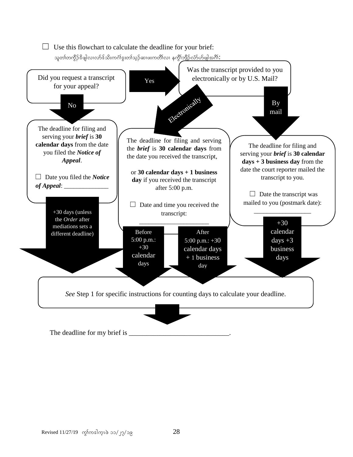

The deadline for my brief is \_\_\_\_\_\_\_\_\_\_\_\_\_\_\_\_\_\_\_\_\_\_\_\_\_\_\_\_\_.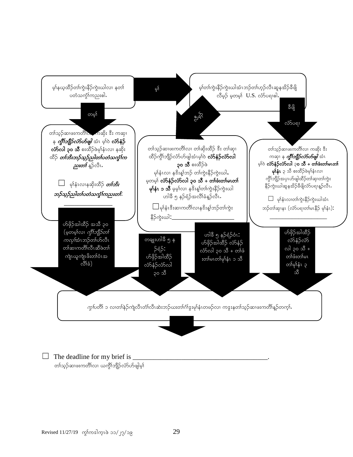

 $\Box$  The deadline for my brief is တၢ်သူဉ်ဆၢဖးကတိၢ်လၢ ယက္ဂိၢ်ဘျိဉ်လံာ်ဟ်ဖျါမ့၊်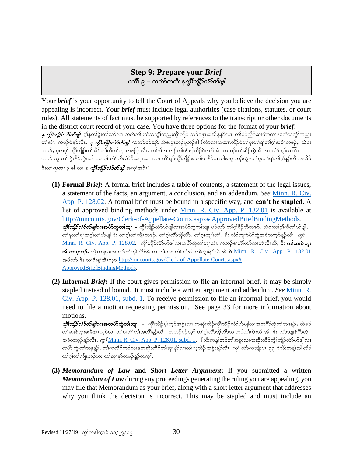## **Step 9: Prepare your** *Brief* ပတိ်၊ ၉ – ကတ်ာကတီၤန*က္ဒိၤဘျိုဉ်လံာ်ဟ်ဖျါ*

Your *brief* is your opportunity to tell the Court of Appeals why you believe the decision you are appealing is incorrect. Your *brief* must include legal authorities (case citations, statutes, or court rules). All statements of fact must be supported by references to the transcript or other documents in the district court record of your case. You have three options for the format of your *brief*:  $\,$ န *ကွိါ်ဘျိုာ်လံာ်ယာ်ဖျါ* မ့ါနတါခွဲးတါယာ်လ၊ ကတဲတါပတံသက္ဂါကညးကွိါဘျိဉ် ဘဉ်မနုၤအယိနနာ်လ၊ တါစံဉ်ညီဉ်ဆ၊တဲာ်လ၊နပတံသကွါ်ကညး တါအံၤ ကမဉ်ဝဲန္ဉာ်လီၤ**.** *န ကွိၤ်ဘျိဉ်လံ5ဟ်ဖျါ***ာ**ဘာဉ်ပဉ်ယှာ် သဲစးပုၤဘဉ်မူဘဉ်ဒါ (လံာ်လၢအယၢၤထိဉ်ဝဲတါမူးတါရါတါဂုါအမံၤတဖဉ်,သဲစး တဖဉ်, မ့တမ့်၊ ကွိၢ်ဘျိဉ်တ၊်သိဉ်တ၊်သိတ၊်ဘျ၊တဖဉ်) လီၤ. တ၊်ဂ့၊်လ၊ဘဉ်တ၊်ဟ်ဖျါထိဉ်ခဲလ၊ာ်အံၤ ကဘဉ်တ၊်ဆိဉ်ထွဲအီၤလ၊ လာ်ကွ၊်သတြၤ တဖဉ် ဆူ တါကွဲးနိဉ်ကွဲးယါ မ့တမ့)် လံာ်တီလံာမိအဂုၤအဂၤလ၊ ကိၢရျာ်ကွိၤ်ဘျိဉ်အတၢ်မၤနိဉ်မၤယါအပူၤဘဉ်ထွဲနတၢ်မူးတၢ်ရၢ်တၢ်ဂ့ၢ်နူဉ်လီၤ.နအိဉ် ီးတ်က*ုထၢ* ၃ ခါ လ၊ န *ကွိၤ်ဘျိဉ်လံဉ်ဟိဖျါ အ*က္ခ္ပါအဂိၤ:

- **(1) Formal** *Brief***:** A formal brief includes a table of contents, a statement of the legal issues, a statement of the facts, an argument, a conclusion, and an addendum. *See* [Minn. R. Civ.](https://www.revisor.mn.gov/court_rules/ap/subtype/rcap/id/128/#128.02)  [App. P. 128.02.](https://www.revisor.mn.gov/court_rules/ap/subtype/rcap/id/128/#128.02) A formal brief must be bound in a specific way, and **can't be stapled.** A list of approved binding methods under [Minn. R. Civ. App. P. 132.01](https://www.revisor.mn.gov/court_rules/ap/subtype/rcap/id/132/#132.01) is available at [http://mncourts.gov/Clerk-of-Appellate-Courts.aspx# ApprovedBriefBindingMethods.](http://mncourts.gov/Clerk-of-Appellate-Courts.aspx# ApprovedBriefBindingMethods)  $\partial\!\!\!\!/f$ ်တို့ $\partial\!\!\!\!/f$ တ် $\partial\!\!\!\!/f$ လာအ $\partial\!\!\!\!S$ တွဲကျူးလည်း ပြလ $\partial\!\!\!\!/f$ းတွဲတာ $\eta$ ျားပြသည် တာကိုခြင်းတို့တွဲတွဲများ တါမူးတါရါအဂ္ဂါတါဟ်ဖျါ ဒီး တါဂုါတါကျိၤတဖဉ်, တါဂုါလိ $5$ ဘိုလိ $5$ , တါဂုါကျၢါတံ), ဒီး လံ $5$ ဘူးစဲဟိထွဲအခံတဘ့ဉ်န္ဉာ်လီၤ. *ကွ* $\mathfrak f$ [Minn. R. Civ. App. P. 128.02.](https://www.revisor.mn.gov/court_rules/ap/subtype/rcap/id/128/#128.02) ကွိါဘျိဉ်လံာ်ဟ်ဖျါလ၊အဟိထွဲတါဘျ၊အံၤ ကဘဉ်စ၊တံါယာ်လ၊ကျဲလီၤဆီ, ဒီး **တါဆးစဲဘူး** အီးတသူဘဉ်. ကျိၤကျဲလၢအဘဉ်တၢ်တူ၊်လိာ်အီးလ၊တၢ်ကစ၊တံ၊်တၢ်အံၤတၢ်ကွဲးရဲဉ်လီၤအီၤဖဲ <u>[Minn. R. Civ. App. P. 132.01](https://www.revisor.mn.gov/court_rules/ap/subtype/rcap/id/132/#132.01)</u> အဖိလာ် ဒီး တၢိနိးနှုတ်ဆဲသူဖဲ http://mncourts.gov/Clerk-of-Appellate-Courts.aspx# [ApprovedBriefBindingMethods.](http://mncourts.gov/Clerk-of-Appellate-Courts.aspx# ApprovedBriefBindingMethods)
- **(2) Informal** *Brief***:** If the court gives permission to file an informal brief, it may be simply stapled instead of bound. It must include a written argument and addendum. *See* [Minn. R.](https://www.revisor.mn.gov/court_rules/ap/subtype/rcap/id/128/#128.01)  [Civ. App. P. 128.01, subd. 1.](https://www.revisor.mn.gov/court_rules/ap/subtype/rcap/id/128/#128.01) To receive permission to file an informal brief, you would need to file a motion requesting permission. See page 33 for more information about motions.

 $\partial\!p$ ိါဘျိုာ် $\partial\!p\partial\partial\omega$ ပြလာအတ $\partial\!S$ ထွဲတ $\mathfrak{d}$ ဘျု $\,$  – ကွိ $\,$ ဘျိဉ်မှ $\,$ ဟွဉ်အခွဲးလ၊ ကဆိုးထိဉ်ကွိ $\,$ ဘျိဉ်လံ $\,$ ပ်ပျါလ၊အတ $\,$ ပိာထွဲတ $\,$ ဘျ၊နူဉ် $\,$  ထဲဒဉ် တ)ဆႏစဲဘူးစးခိအံၤသ့ဝဲလ၊ တ)်စ၊တံ)တ၊်အလိ၊်နူဉ်လီၤ. ကဘဉ်ပဉ်ယှာ် တ၊်ဂ္ဂါလိာဘိုလိာ်လ၊ဘဉ်တ၊်ကွဲးလီၤအီၤ ဒီး လံာ်ဘူးစဲဟိုထွဲ အခံတဘုဉ်နူဉ်လီၤ $\cdot$  *ကွ* $\overline{1}$ *<u>Minn. R. Civ. App. P. 128.01, subd. 1</u>.*  $\,$ *န်သိႏကန္၊်ဘဉ်တ၊်အခွဲးလ၊ကဆိုးထိဉ်ကွိၤ်ဘျိဉ်လံာဟ်ဖျါလ၊* တပိာ်ထွဲတ၊်ဘျ၊နူဉ်ႇ တ၊်ကလိဉ်ဘဉ်လ၊နကဆိုးထိဉ်တ၊်ဆု၊နုာ်လ၊တ၊်ယုထိဉ် အစွဲးနူဉ်လီၤႉ ကွ၊် လံာ်ကဘျံးပၤ ၃၃ ဒ်သိးကန္၊်အါ ထိဉ် တၢ်ဂ့ါတ၊်ကျိၤဘဉ်ယး တ၊်ဆု၊နှာ်တဖဉ်န္ဉာ်တက္န၊်.

**(3)** *Memorandum of Law* **and** *Short Letter Argument***:** If you submitted a written *Memorandum of Law* during any proceedings generating the ruling you are appealing, you may file that Memorandum as your brief, along with a short letter argument that addresses why you think the decision is incorrect. This may be stapled and must include an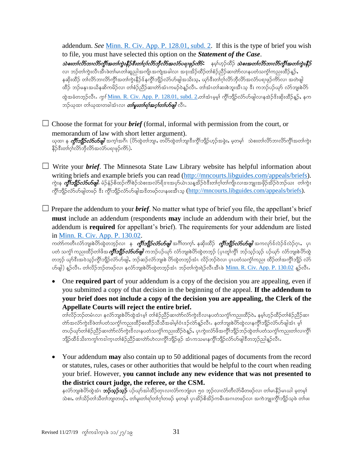addendum. *See* [Minn. R. Civ. App. P. 128.01, subd. 2.](https://www.revisor.mn.gov/court_rules/ap/subtype/rcap/id/128/#128.01) If this is the type of brief you wish to file, you must have selected this option on the *Statement of the Case*.  $\omega$ ) *သစးတၤ်လိ5ဘၤလိ5ကို့ အတၤ်ကွဲးနီဉ်ဒီးတၤ်ဂၤလိ5ဘိုလိ5အလံ5ပရၢဖုဉ်ကိ*5း နမ္Sဟ္ဥတိဉ် *သဲစးအတၤ်လိ5ဘၤလိ5ကို့* အတ1်ကွဲးနီဉ် လ၊ ဘဉ်တၢ်ကွဲးလီၤအီၤဖဲတ၊်မၤတၢ်ဆူညါအကျိၤအကျဲအခါလ၊ အန $\,$ းအိဉ်ထိဉ်တၢ်စံဉ်ညိဉ်ဆ၊တဲာ်လၢနပတံသကွံၤ်ကညးထိဉ်နှဉ်, နဆိုးထိဉ် တါလိ>်ဘ၊လိ>်ကွီၤ်အတၢ်ကွဲးနိဉ်ဒ်နကွီၤ်ဘျိဉ်လံ>်ပာ်ဖျါအသိးသ့ႇ ယှာ်ဒီးတၢ်ဂုၤ်လိ>်ဘိုလိာ်အလံ>်ပရၢဖှဉ်ကိ>်လ၊ အတဲဖျါ .<br>ထိဉ် ဘဉ်မနုၤအယိနဆိကမိဉ်လ၊ တၢ်စံဉ်ညီဉ်ဆ၊တဲာ်အံၤကမဉ်ဝဲန္**ဉ်လီၤ. တၢ်အံၤတၢ်ဆးစဲဘူးအီၤသ္ ဒီး ကဘ**ဉ်ပဉ်ယှာ် လံာ်ဘူးစဲဟိ ထွဲအခံတဘုဉ်လီၤ. *ကွ<sup>{</sup>* <u>[Minn. R. Civ. App. P. 128.01, subd. 2](https://www.revisor.mn.gov/court_rules/ap/subtype/rcap/id/128/#128.01)</u>.တါအံၤမ္နမ္၊် ကွိၢ်ဘျိဉ်လံာ်ဟ်ဖျါလၢနအဲဉ်ဒီးဆိုးထိဉ်နူဉ်, နက ဘဉ်ယုထ၊ တါယုထ၊တခါအံၤလ၊ *တၢ်မူးတၢ်ရၢ်အဂ္ဂၢ်တ်ဟိဖျါ လီၤ* 

 $\Box$  Choose the format for your *brief* (formal, informal with permission from the court, or memorandum of law with short letter argument). ယုထ၊ န *ကွိၤ်ဘျိဉ်လံာ်ပာဖျါ* အက္ခါအဂီၤ (ပိဉ်ထွဲတါဘျ၊, တပိဉ်ထွဲတါဘျ၊ဒီးကွိါဘျိဉ်ဟူဉ်အခွဲး, မှတမ့ါ သဲစးတါလိဉ်ဘၤလိဉ်ကွိါအတါကွဲး နိ5်ဒီးတၢ်ဂ္ဂါလိ5်ဘိုလိ5်အလံ5်ပရາဖုဉ်ကိ5်).

☐ Write your *brief*. The Minnesota State Law Library website has helpful information about writing briefs and example briefs you can read [\(http://mncourts.libguides.com/appeals/briefs\)](http://mncourts.libguides.com/appeals/briefs). ကွဲးန *ကွိၢ်ဘျိုာ်လံာ်ဟ်ဖျါ.* မံဉ်နံဉ်စိထဉ်ကိ<sup>ု</sup>စဉ်သဲစးအလံာ်ရိဒၤးအပှာ်ယဲၤသန္**အိဉ်ဝဲဒီးတၢ်ဂ္**ဂါကျိၤလၢအဘျုးအဖှိဉ်အိဉ်ဝဲဘဉ်ယး တ၊်ကွဲး ကိုၤ်ဘျိဉ်လံာ်ပာ်ဖျါတဖဉ် ဒီး ကိုၤ်ဘျိဉ်လံာ်ပာ်ဖျါအဒိတဖဉ်လၢနဖးအီၤသ္ [\(http://mncourts.libguides.com/appeals/briefs\)](http://mncourts.libguides.com/appeals/briefs).

 $\Box$  Prepare the addendum to your *brief*. No matter what type of brief you file, the appellant's brief **must** include an addendum (respondents **may** include an addendum with their brief, but the addendum is **required** for appellant's brief). The requirements for your addendum are listed in [Minn. R. Civ. App. P. 130.02.](https://www.revisor.mn.gov/court_rules/ap/subtype/rcap/id/130/#130.02)

ကတ်ာကတီၤလံာ်ဘျးစဲဟိထွဲတဘုဉ်လ၊ န *ကွိၢ်ဘျိုာ်လံာ်ဟ်ဖျါ* အင်္ဂါတက့ၤ်. နဆိုးထိဉ် *ကွိၤ်ဘျိုာ်လံာဟ်ဖျါ* အကလှာ်ဒ်လဲဉ်ဒ်လဲဉ်ဂၤ, ပုၤ ပတံ သက္ခံ၊ ကညးထိဉ်တ၊်ဖိအ*ကိုးဘူး လာဟိဖျါ ကဘဉ်ပ*ဉ်ယုဝ် လံာဘူးစဲပိဝ်ထွဲတဘုဉ် (ပုၤတု၊်ကို၊ ဘဉ်သုဉ်သုဉ် ပဉ်ယုဝ် လံာဘူးစဲပိဝ်ထွဲ တဘုဉ် ယှာ်ဒီးအဝဲသုဉ်ကွိၤ်ဘျိဉ်လံာဟ်ဖျါႇ ဘဉ်ဆဉ်လံာ်ဘျးစဲ ဟိသွ်တဘုဉ်အံၤ လိဉ်ဘဉ်ဝဲလ၊ ပုၤပတံသကွံၤ်ကညး ထိဉ်တၤ်အကွိၤ်ဘျိဉ် လံာ် ဟ်ဖျါ) နူဉ်လီး. တၢ်လိဉ်ဘဉ်တဖဉ်လ၊ နင်္လာဘူးစဲဟိထွဲတဘုဉ်အံၤ ဘဉ်တၢ်ကွဲးရဲဉ်လီၤအီၤဖဲ <u>[Minn. R. Civ. App. P. 130.02](https://www.revisor.mn.gov/court_rules/ap/subtype/rcap/id/130/#130.02)</u> နူဉ်လီး.

 One **required part** of your addendum is a copy of the decision you are appealing, even if you submitted a copy of that decision in the beginning of the appeal. **If the addendum to your brief does not include a copy of the decision you are appealing, the Clerk of the Appellate Courts will reject the entire brief.**

တၢ်လိဉ်ဘဉ်တမံၤလၢ နင်္လာဘျးစဲဟိထွဲအံၤမ္၊် တၢ်စံဉ်ညီဉ်ဆ၊တဲာ်လံာကွဲးဒိလ၊နပတံသင်္ကုကညးထိဉ်ဝဲ,နမ္၊်ဟ္ဥတိဉ်တၢ်စံဉ်ညီဉ်ဆ၊ တ်ာအလံာ်ကွဲးဒိဖဲတ၊်ပတံသကွဲၤ်ကညးထိဉ်စးထိဉ်သိသိအခါမှၤ်ဝံၤဒဉ်လဲာန္ဉာလီၤ. နတၤ်ဘျးစဲဟိလွှဲလၤနကွိၤ်ဘျိဉ်လံာဟ်ဖျါအံၤ မ္ တပဉ်ယှာ်တၢ်စံဉ်ညိဉ်ဆ၊တဲာ်လံာ်ကွဲးဒိလ၊နပတံသကွံၤ်ကညးထိဉ်ဝဲနူဉ်, ပုၤကွဲးလံာ်ဖိအကွိၢ်ဘျိဉ်ဘဉ်ထွဲတ၊်ပတံသကွံၤ်ကညးတၤ်လ၊ကွိၤ် ဘျိဉ်ထိဒ်သိးကကွ\ကဒါကူၤတ\စံဉ်ညိဉ်ဆၢတ်ာ်ဟဲလၢကွိ\်ဘျိဉ်ဖှဉ် အံၤကသမၢနကွိ\်ဘျိဉ်လံာ်ဟ်ဖျါဒီတဘုဉ်ညါနူဉ်လီၤ

 Your addendum **may** also contain up to 50 additional pages of documents from the record or statutes, rules, cases or other authorities that would be helpful to the court when reading your brief. However, **you cannot include any new evidence that was not presented to the district court judge, the referee, or the CSM.**

နင်္လာဘျးစဲဟိတွဲအံၤ **ဘဉ်သုဉ်သုဉ်** ပဉ်ယှာ်အါထိဉ်တုၤလ၊လံာ်ကဘျံးပၤ ၅၀ ဘုဉ်လ၊လံာတီလံာမိတဖဉ်လ၊ တ၊်မၤနိဉ်မၤယါ မ့တမ့၊် သဲစး, တါသိဉ်တါသိတါဘျ၊တဖဉ်, တါမူးတါရါတါဂုါတဖဉ် မဲ့တမ္နါ ပုၤအိဉ်စိအိဉ်ကမီၤအဂၤတဖဉ်လ၊ အကဲဘျုးကွိါဘိုုဉ်သဲ့ဖဲ တါဖး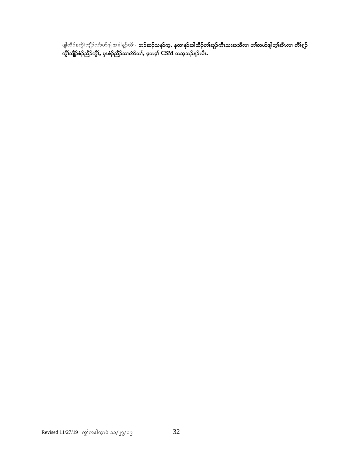ဖျါထိဉ်နကွိၤ်ဘျိဉ်လံာ်ဟ်ဖျါအခါန္ဉ်လိၤ**. ဘဉ်ဆဉ်သနာ်က့ႇ နထၢနုာ်အါထိဉ်တၢ်အုဉ်ကီၤသးအသီလၢ တၢ်တဟ်ဖျါတ့ၢ်အီၤလၢ ကိၢရ္ဉ်** ကွိၢ်ဘျိဉ်စံဉ်ညိဉ်ကွိၢ်, ပှၤစံဉ်ညိဉ်ဆ၊တဲာ်တၢ်, မှတမ့ၢ်  $\bold{CSM}$  တသ့ဘဉ်န့ဉ်လီၤ.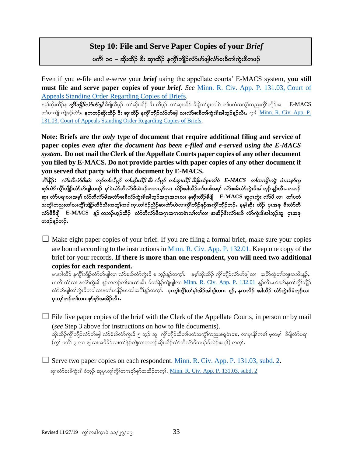## **Step 10: File and Serve Paper Copies of your** *Brief* ပတိ််၊ ၁၀ – ဆိုးထီဉ် <sup>နွ</sup>ီး ဆု၊ထီဉ် နက္ဂိၤ်ဘျီဉ်လံာ်ပာ်ဖျါလံာ်စးခိတၤ်ကွဲးဒိတဖဉ်

Even if you e-file and e-serve your *brief* using the appellate courts' E-MACS system, **you still must file and serve paper copies of your** *brief***.** *See* [Minn. R. Civ. App. P. 131.03,](https://www.revisor.mn.gov/court_rules/ap/subtype/rcap/id/131/#131.03) [Court of](http://mncourts.gov/mncourtsgov/media/Appellate/Court%20of%20Appeals/ORADM108010-031014_1.pdf)  Appeals [Standing Order Regarding Copies of Briefs.](http://mncourts.gov/mncourtsgov/media/Appellate/Court%20of%20Appeals/ORADM108010-031014_1.pdf)

နမ့္ပ်ဆိုးထိဉ်န *ကွီးဘျီဉ်လံာ်ဟ်ဖျါ* ဒီဖျိလိမ့ဉ်–တါဆိုးထိဉ် ဒီး လိမ့ဉ်–တါဆု၊ထိဉ် ခီဖျိတ၊်စူးကါဝဲ တ၊်ပတံသကွံၤ်ကညးကွိၤ်ဘျိဉ်အ E-MACS တါမၤကျိၤကျဲဒဉ်လဲ9်, နု<mark>ကဘဉ်ဆိုးထိဉ် ဒီး ဆု၊ထိဉ် နက္ဂိၤ်ဘျိဉ်လံာဟ်ဖျါ လၤလံာစးခိတၤ်ကွဲးဒိအါဘှဉ်နူဉ်လီၤ. *ကွၤ်* <u>Minn. R. Civ. App. P.</u></mark> [131.03,](https://www.revisor.mn.gov/court_rules/ap/subtype/rcap/id/131/#131.03) [Court of Appeals Standing Order Regarding Copies of Briefs.](http://mncourts.gov/mncourtsgov/media/Appellate/Court%20of%20Appeals/ORADM108010-031014_1.pdf)

**Note: Briefs are the** *only* **type of document that require additional filing and service of paper copies** *even after the document has been e-filed and e-served using the E-MACS system***. Do not mail the Clerk of the Appellate Courts paper copies of any other document you filed by E-MACS. Do not provide parties with paper copies of any other document if you served that party with that document by E-MACS.**

လိ\ိနိ**်:** လံာ်တီလံာမီအံၤ ဘဉ်တၤ်လီမှဉ်−တၤ်ဆိုးထိဉ် ဒီး လီမှဉ်−တၤ်ဆု၊ထိဉ် ခီဖျိတၤ်စူးကါဝဲ E-MACS တၤ်မၤကျိၤကျ ဝ໋ၤသနာ်က္  $\hat{\mathit{c}}$ ည်တို့ကျိည်လာတြီးများ မှုတ်လာတို့လာရီထဲနေတကလုတ်လျှ လိုဉ်အါထိဉ်တျ်မၤန်အမှု၊ လာအနိုလာကွဲးနေခါဘူဉ် နဉ်လီၤ $\boldsymbol{\cdot}$ တဘဉ် ဆု၊ လံာ်ပရၢလၢအမှါ လံာ်တီလံာ်မီအလံာ်စးခိလံာ်ကွဲးဖိအါဘူာ်အဂုၤအဂၤလ၊ နဆိုးထိဉ်ခ်ီဖျိ $\;\;\;\;E\text{-MACS}$  ဆူပုၤကွဲး လံာ်ဖိ လ၊ တၢ်ပတံ သက္ခံၤ်ကညးတၤ်လ၊ကွိၤ်ဘျီဉ်ထိဒ်သိးကကွၤ်ကဒါကူၤတၤ်စံဉ်ညိဉ်ဆ၊တဲာ်ဟဲလ၊ကွိၤ်ဘျီဉ်ဖှဉ်အကွိၤ်ဘျီဉ်ဘဉ်. နမ္၊်ဆိုး ထိဉ် ပုၤအဖု ဒီးလံာ်တီ လံာ်မီခီဖျိ E-MACS နဉ် တဘဉ်ဟွဉ်ထိဉ် လံာ်တီလံာ်မီအဂ္ဂၤအဂၤတမံၤလၢ်လၤ်လ၊ အအိဉ်ဒီးလံာ်စးခိ လံာ်ကွဲးဒိအါဘွဉ်ဆူ ပုၤအဖု တဖဉ်နူဉ်ဘဉ်.

 $\Box$  Make eight paper copies of your brief. If you are filing a formal brief, make sure your copies are bound according to the instructions in [Minn. R. Civ. App. P. 132.01.](https://www.revisor.mn.gov/court_rules/ap/subtype/rcap/id/132/#132.01) Keep one copy of the brief for your records. **If there is more than one respondent, you will need two additional copies for each respondent.**

မၤအါထိဉ် နက္ဂိၤ်ဘျိဉ်လံာ်ဟ်ဖျါလ၊ လံာ်စးခိလံာ်ကွဲးဒိ ၈ ဘူဉ်န္ဥာ်တက္i်. နမ္နါဆိုးထိဉ် ကွီၤ်ဘျိဉ်လံာ်ဟ်ဖျါလ၊ အပိာထွဲတၤ်ဘျ၊အသိးန္ဥ်ာ မၤလီၤတံၤ်လ၊ နင်္လာကွဲးဒိ န္ဥာ်ကဘဉ်တၤ်စၢယာ်အီၤ ဒ်တၤ်နဉ်ကျဲဖျါလ၊ <u>[Minn. R. Civ. App. P. 132.01](https://www.revisor.mn.gov/court_rules/ap/subtype/rcap/id/131/#131.03) န</u>ှဉ်လီၤႉဟ်ယာ်နတၤ်ကွိၤဘျိဉ လံာ်ပာဖျါတၢ်ကွဲးဒိတခါလၢနတၢ်မၤနိဉ်မၤယါအဂ်ိၢန္ဥာ်တက္င္ပါ**. ပုၤတူ၊်က္ဂိၤ်တ၊်မ္ၤ်အိဉ်အါန္1်တဂၤန္ဥ်ႇ နကလိဉ် အါထီဉ် လံာ်ကွဲးဒိခံဘူဉ်လ၊** ပုၤတု႞ဘဉ်တၢ်တဂၤစုာ်စုာ်အအိဉ်လီၤ.

 $\Box$  File five paper copies of the brief with the Clerk of the Appellate Courts, in person or by mail (*see* Step 3 above for instructions on how to file documents).

ဆိုးထိဉ်ကွိၤ်ဘျိဉ်လံာဟ်ဖျါ လံာ်စံးခိလံာ်ကွဲးဒိ ၅ ဘွဉ် ဆူ ကွိၤ်ဘျိဉ်ထိတၤ်ပတံသကွဲၤ်ကညးစရူဝဲၤဒၢး, လၤပုၤနိၤ်ကစၤ် မူတမူၤ် ခီဖျိလံာ်ပရၢ  $(\eta_2)$  ပတိ $\eta_2$ လ၊ ဖျါလ၊အဖီခိဉ်လ၊တ $\lambda$ န်ဉ်ကျဲလ၊ကဘဉ်ဆိုးထိဉ်လံာတီလံာမီတဖဉ်ဒ်လဲဉ်အဂ္ဒ $\eta$ ) တက္ $\Omega$ .

 $\Box$  Serve two paper copies on each respondent. [Minn. R. Civ. App. P. 131.03, subd. 2.](https://www.revisor.mn.gov/court_rules/ap/subtype/rcap/id/131/#131.03) ဆု၊လံာ်စးခ်ကွဲးဒိ ခံဘူဉ် ဆူပုၤတူ၊်ကွိၤ်တဂၤစုာ်စုာ်အအိဉ်တကူၤ်. <u>[Minn. R. Civ. App. P. 131.03, subd. 2](https://www.revisor.mn.gov/court_rules/ap/subtype/rcap/id/131/#131.03)</u>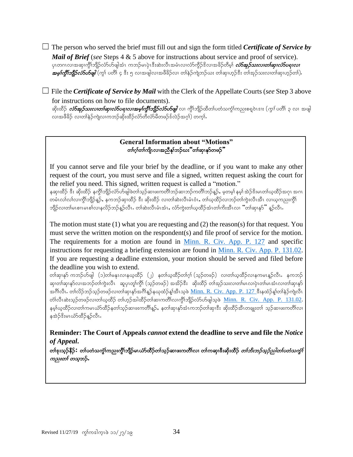$\Box$  The person who served the brief must fill out and sign the form titled *Certificate of Service by Mail of Brief (see Steps 4 & 5 above for instructions about service and proof of service).* ပုၤတဂၤလၢအဆု၊ကွိၢ်ဘျိဉ်လံာ်ဟ်ဖျါအံၤ ကဘဉ်မၤပုံၤဒီးဆဲးလီၤအမံၤလ၊လံာ်ကွိဉ်ဒိလ၊အခိဉ်တိမ့္ပ် *လံာ်အှဉ်သးလ၊တ<sup>ု့</sup>ဆု၊လံာ်ပရ၊လ၊*  $x$ မှ $\eta$ တိုကျိ $\beta$ လံ $\delta$ ဟ်ဖျါ $\left(\gamma_{\lambda}\right)$  ပတိ $\left|\varsigma\right\rangle$ း ၅ လၢအဖျါလ၊အဖိခိဉ်လ၊ တါနဉ်ကျဲဘဉ်ယး တါဆု၊ဟူဉ်ဒီး တါအှဉ်သးလ၊တါဆု၊ဟူဉ်တ $\left.\right)$ .

☐ File the *Certificate of Service by Mail* with the Clerk of the Appellate Courts (*see* Step 3 above for instructions on how to file documents).

ဆိုးထိဉ် *လံာ်အုဉ်သးလၢတၢ်ဆု၊လံာ်ပရၢလၢအမ္ဂ်ကို္ဘာျိုာ်လံာ်ပာ်ဖျါလ၊ ကိုု*ဘျိဉ်ထိတ၊်ပတံသကဲ့ုုကညးစရူဝဲၤဒၢႏ (*ကုု ပ*တိ၊ ၃ လ၊ အဖျါ လ၊အဖိခိဉ် လ၊တၢ်နဲဉ်ကျဲလ၊ကဘဉ်ဆိုးထိဉ်လံာ်တိလံာမိတဖဉ်ဒ်လဲဉ်အဂ္) တက္ $\mathbf{i}$ .

### **General Information about "Motions"** တၢ်ဂ္ဂါတၢ်ကျိၤလၢအညီနှၤ်ဘဉ်ဃး"တၢ်ဆု၊နုာ်တဖဉ်"

If you cannot serve and file your brief by the deadline, or if you want to make any other request of the court, you must serve and file a signed, written request asking the court for the relief you need. This signed, written request is called a "motion."

နဆု၊ထိဉ် ဒီး ဆိုးထိဉ် နက္ဂိါဘျိဉ်လံာ်ဟ်ဖျါဖဲတါသူဉ်ဆ၊ဖးကတိါဘဉ်ဆ၊ဘဉ်ကတိါဘဉ်နူဉ်, မှတမူ၊် နမူ၊် အဲဉ်ဒိးမၤတ၊်ယူထိဉ်အဂုၤ အဂၤ တမံၤလၢ်လ၊လျွိာ်ဘျိဉ်နူဉ်, နကဘဉ်ဆှ၊ထိဉ် ဒီး ဆိုးထိဉ် လ၊တ၊်ဆဲးလီၤမံၤဝံၤ, တ၊်ယ္ထိပ်ာလ၊ဘဉ်တ၊်ကွဲးလီၤအီၤ လ၊ယ့ကညးကွိၤ ဘျိဉ်လ၊တါမၤစၢ၊မၤစါလၢနလိဉ်ဘဉ်နဉ်လီၤ. တါဆဲးလီၤမံၤအံၤ,လံာ်ကွဲးတါယ္နထိဉ်အံၤတါကိႏအီၤလ၊ "တါဆု၊န $\Sigma$ " န္ $\mathit{p}$ လီၤ.

The motion must state (1) what you are requesting and (2) the reason(s) for that request. You must serve the written motion on the respondent(s) and file proof of service for the motion. The requirements for a motion are found in [Minn. R. Civ. App. P. 127](https://www.revisor.mn.gov/court_rules/ap/subtype/rcap/id/127/) and specific instructions for requesting a briefing extension are found in [Minn. R. Civ. App. P. 131.02.](https://www.revisor.mn.gov/court_rules/ap/subtype/rcap/id/131/#131.02) If you are requesting a deadline extension, your motion should be served and filed before the deadline you wish to extend.

တါဆု၊နု၁် ကဘဉ်ဟ်ဖျါ $\;$  (၁)တါမနုၤလၢနဃ္နထိဉ်  $\;$  (၂) နတါဃ္နထိဉ်တါဂ္)  $\;$ (သ့ဉ်တဖဉ်) လ၊တါဃ္နထိဉ်လ၊နကမၤန္ဉာလိၤ $\;$ နကဘဉ် ဆု၊တါဆု၊နှာ်လ၊အဘဉ်တါကွဲးလီၤ ဆူပု၊တူ၊်ကွီ) (သူဉ်တဖဉ်) အအိဉ်ဒီး ဆိုးထိဉ် တါအုဉ်သးလ၊တါမၤလ၊ပုံ၊တာ်မၤအံၤလ၊တါဆု၊နဉ အင်္ဂါလီၤ. တါလိဉ်ဘဉ်သှဉ်တဖဉ်လ၊တါဆု၊နှာ်အင်္ဂါန္ဉာ်နယုထံဉ်နှုံအီၤသ့ဖဲ <u>[Minn. R. Civ. App. P. 127](https://www.revisor.mn.gov/court_rules/ap/subtype/rcap/id/127/) အီး</u>နထံဉ်နှုတ်)နဉ်ကျဲလီၤ တ်္ဂလီးဆဲးသ္ဥ်ာတဖဉ်လ၊တ္ပါယ္အထိဉ် တ္ပါဟ္ဥါအါထိဉ်တ္ပါဆ္၊ကတိုလ၊က္ဂိုဘူိုဉလံာ်ပာဖျါသ္ဖဖဲ [Minn. R. Civ. App. P. 131.02.](https://www.revisor.mn.gov/court_rules/ap/subtype/rcap/id/131/#131.02) နမ့္ပ်ယ္နထိဉ်လ၊တ္ပ်ကမၤယံာ်ထိဉ်နတ္ပ်သ္ဥခ်ားဖူးကတိ၊န္ဥ်, နတ္ပ်ဆု၊နဉ်အံၤကဘဉ်တ္ပ်ဆု၊ဒီး ဆိုးထိဉ်အီၤတချုးတ္ပ် သူဉ်ဆ၊ဖူးကတိၤလ၊ နအဲဉ်ဒီးမၤယံာ်ထိဉ်နဉ်လီၤ.

**Reminder: The Court of Appeals** *cannot* **extend the deadline to serve and file the** *Notice of Appeal***.**

တ<sup>ရ</sup>န်းသွဉ်နိ**ဉ်:** တ၊်ပတံသကွံၤ်ကညးကွိၤ်ဘျိဉ်မၤယံာ်ထိဉ်တ၊်သွဉ်ဆ၊ဖႏကတိၤ်လ၊ တ၊်ကဆု၊ဒီးဆိုးထိဉ် *တ၊်ဘိးဘဉ်သူဉ်ညါတၤ်ပတံသကွၤ်* က*ညးတၤ် တသ္*ဘဉ်**.**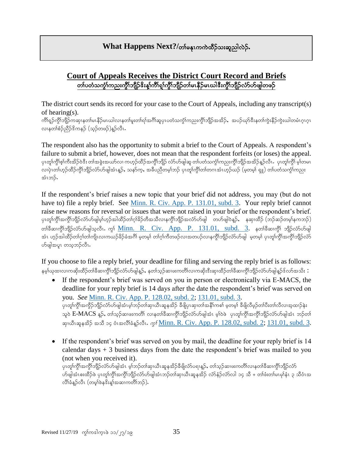## **What Happens Next?/**တါမနုၤကကဲထိဉ်သးဆူညါလဲဉ်.

## **Court of Appeals Receives the District Court Record and Briefs** တၢ်ပတံသကွံၤ်ကညးကွိၤ်ဘျိဉ်&းန္1်ကိၤ်ရှၤ်ကွိၤ်ဘျိဉ်တၢ်မၤနိဉ်မၤယါ&းကွိၤ်ဘျိဉ်လံာ်ပာ်ဖျါတဖဉ်

The district court sends its record for your case to the Court of Appeals, including any transcript(s) of hearing(s).

ကိၢရှဉ်ကွိၤဘျိဉ်ကဆုၤနတၤ်မၤနိဉ်မၤယါလၤနတၤ်မူးတၤ်ရၤ်အဂိၢ်ဆူပုၤပတံသက္ဂၤ်ကညးကွိၤဘျိဉ်အအိဉ်,အပဉ်ယှာဒိန်ဆော်ကွဲးနိဉ်ကွဲးယါတမံၤဂူၤဂူၤ လၢနတၢ်စံဉ်ညီဉ်ဒိကနဉ် (သူဉ်တဖဉ်)နဉ်လီၤ.

The respondent also has the opportunity to submit a brief to the Court of Appeals. A respondent's failure to submit a brief, however, does not mean that the respondent forfeits (or loses) the appeal. ပုၤတူ၊်ကွိၤ်စု၊်ကီးအိဉ်ဝဲဒီး တ၊်အခွဲးအယာ်လ၊ ကဟုဉ်ထိဉ်အကွိၢ်ဘျိဉ် လံာ်ပာဖျါဆူ တ၊်ပတသကွံ၊်ကညးကွိၢ်ဘျိဉ်အအိဉ်နည်လီၤ<br>ပုပတ်ကြီးတဲ့ ပေါက်ဆိုးကြောင်း လၢပုံၤတၢ်ဟ္ဥာထိဥ်က္ဂိၤဘျိဥ်လာတဖြူအံၤန္ဥန္ သနၥ်က္နန္ အခ်ီပညီတမူာ်ဘဥ် ပုၤတူဂ်က္ဂိၤတဂၤအံၤဟ္ဥသည် (မူတမူ) ရူူ) တ၊်ပတံသက္ဂါကညး အံၤဘ>်.

If the respondent's brief raises a new topic that your brief did not address, you may (but do not have to) file a reply brief. See [Minn. R. Civ. App. P. 131.01, subd. 3.](https://www.revisor.mn.gov/court_rules/ap/subtype/rcap/id/131/#131.01) Your reply brief cannot raise new reasons for reversal or issues that were not raised in your brief or the respondent's brief. ပုၤတူ၊်ကွိၤ်အကွိၤ်ဘျိဉ်လံာ်ပာ်ဖျါမ့္ပ်ဟ္ဥအါထိဉ်တၤဂူးခိဉ်တီအသီလၤနကွိၤ်ဘျိဉ်အလံာ်ပာ်ဖျါ\_\_\_တဟ်ဖျါဝဲနူဉ်ႇ\_\_ နဆုၤထိဉ် (ဘဉ်ဆဉ်တမ့ၤ်နကဘဉ်) တ္ပါခ်ီဆ၊က္ဂိါဘူိုည်လ်ဟ်ဖျါသူလီၤ. ကွ<sup>ု</sup> [Minn. R. Civ. App. P. 131.01, subd. 3.](https://www.revisor.mn.gov/court_rules/ap/subtype/rcap/id/131/#131.01) နတ္ပါခ်ီဆ၊က္ဂိါ ဘူိုည်လ်ဟ်ဖျါ အံၤ ဟူဉ်အါထိဉ်တၢ်ဂုၢ်တ၊်ကျိၤလၢကဃဉ်ခိဉ်ခံအဂိၢ် မှတမှ၊် တ၊ဂု၊်ကိတဖဉ်လ၊အတပဉ်လ၊နက္ဂိ၊်ဘျိဉ်လံာပဖျါ ့မှတမှ၊် ပုၤတု၊်ကွိ၊်အကွိ၊်ဘျိဉ်လံာ ဟ်ဖျါအပူၤ တသ့ဘဉ်လီၤ.

If you choose to file a reply brief, your deadline for filing and serving the reply brief is as follows: နမ့္ပ်ယုထ၊လ၊ကဆိုးထိဉ်တ၊်ခ်ီဆ၊ကွိၢ်ဘျိဉ်လံာ်ပာ်ဖျါန္**ဉ်**, နတၤ်သ္ဉ်ဆ၊ဖးကတိၤ်လ၊ကဆိုးဒီးဆု၊ထိဉ်တ၊်ခ်ီဆ၊ကွိၢ်ဘျိဉ်လံာ်ပာဖျါန္ဉာ်ဒ်လာအသိး:

- If the respondent's brief was served on you in person or electronically via E-MACS, the deadline for your reply brief is 14 days after the date the respondent's brief was served on you. *See* [Minn. R. Civ. App. P. 128.02, subd. 2;](https://www.revisor.mn.gov/court_rules/ap/subtype/rcap/id/128/#128.02) [131.01, subd. 3.](https://www.revisor.mn.gov/court_rules/ap/subtype/rcap/id/131/#131.01) ပုၤတု၊်ကွိၤ်အကွိဉ်ဘျိဉ်လံာ်ပာ်ဖျါအံၤမ့္သာဉ်တၤ်ဆု၊ယီၤဆူနအိဉ် ခီဖျိပုၤဆု၊တၤ်အနီၤ်ကစၤ် မ့တမ္နါ ခီဖျိလီမှဉ်တၤ်ပီးတၤ်လီလၤအ့ထၤဉ်နဲး သူဝဲ  $\rm E\text{-}MACS$  နူ $\hat{\rho}$ , တ $\hat{\rho}$ သုဘေးကတိ $\hat{\rho}$  လၢနတ $\hat{\delta}$ ဆ၊ကွိ $\hat{\gamma}$ ဘို့)တိမျါအံၤ မှ $\hat{\rho}$ ဝဲဖဲ ပှၤတု $\hat{\gamma}$ ကွိ $\hat{\sigma}$ ဘိုဘိုကွိ $\hat{\gamma}$ လာပျေါအံၤ ဘ $\hat{\rho}$ တ $\hat{\delta}$ ဆု၊ယီၤဆူနအိဉ် အသီ ၁၄ ဝံၤအလိၢိခံနူဉ်လီၤ. *ကွ* <u>[Minn. R. Civ. App. P. 128.02, subd. 2;](https://www.revisor.mn.gov/court_rules/ap/subtype/rcap/id/128/#128.02) 131.01, subd. 3</u>.
- If the respondent's brief was served on you by mail, the deadline for your reply brief is 14 calendar days  $+3$  business days from the date the respondent's brief was mailed to you (not when you received it). ပုၤတု၊်ကွိၤ်အကွိၤ်ဘျိဉ်လံာ်ပာဖျါအံၤ မူ၊်ဘဉ်တ၊်ဆု၊ဃီၤဆူနအိဉ်ခီဖျိလံာ်ပရၢနူဉ်, တ၊်သူဉ်ဆ၊ဖးကတိ၊်လ၊နတ၊်ခီဆ၊ကွိၤ်ဘျိဉလံ ဟ်ဖျါအံၤစးထိဉ်ဖဲ ပုၤတူၢ်ကွိၤ်အကွိၤ်ဘျိဉ်လံာ်ဟ်ဖျါအံၤဘဉ်တၤ်ဆု၊သီၤဆူနအိဉ် လံာ်နံဉ်လံာ်လါ ၁၄ သိ + တၢ်ဖီးတ၊်မၤမု၊နံၤ ၃ သီဝံၤအ

လိ\်ခံနဉ်လီၤ (တမ္\ဖဲနဒိးနှ\်အဆၢကတိ\်ဘဉ်).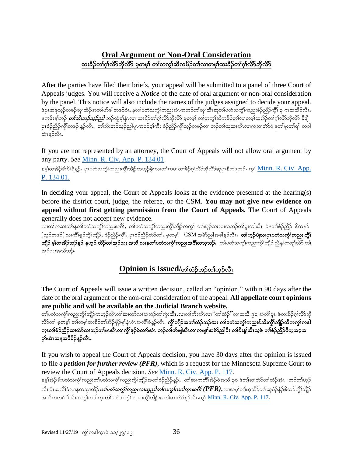## **Oral Argument or Non-Oral Consideration** ထးခိဉ်တ္ပ်က္လ်က္လည္တယ္လီမွ မလမ္ပါ တျပာယ္ပါ့ဆူမည္ေတာ့မွာထားခဲ့သူမွာ ထား

After the parties have filed their briefs, your appeal will be submitted to a panel of three Court of Appeals judges. You will receive a *Notice* of the date of oral argument or non-oral consideration by the panel. This notice will also include the names of the judges assigned to decide your appeal. ဖဲပုၤအဖုသွဉ်တဖဉ်ဆု၊ထိဉ်အတၢ်ဟ်ဖျါတဖဉ်ဝံၤႇနတၢ်ပတံသက္ငံ၊်ကညးအံၤကဘဉ်တ၊်ဆု၊အို၊ဆူတ၊်ပတံသက္ငံ၊်ကညးစံဉ်ညီဉ်ကွီ၊် ၃ ဂၤအအိဉ်လီၤ နက<sup>္မွ</sup>ိးနှုသည် *တၢ်ဘိးဘှဉ်သူ့ဉ်သု]* ဘဉ်ထွဲမှုနံၤလ၊ ထးခိဉ်တၢ်ဂု၊်လိာဘိုလိာ မှတမှ၊် တၢ်တကွ၊်ဆိကမိဉ်တ၊်လ၊တမ္၊်ထးခိဉ်တ၊်ဂု၊်လိ၁ဘိုလိ၁ ခီဖျိ ပုၤစံဉ်သိဉ်ကွိၤ်တဖဉ် နူဉ်လီၤႉ တ၊်ဘိးဘဉ်သူဉ်ညါပူၤကပဉ်စ့ၤ်ကီး စံဉ်ညီဉ်ကွိၤ်သူဉ်တဖဉ်လ၊ ဘဉ်တ၊်ယုထ၊အီၤလ၊ကဆ၊တဲာ်ဝဲ နတ၊်မူးတ၊်ရ၊် တခါ အံၤန္βလီၤ.

If you are not represented by an attorney, the Court of Appeals will not allow oral argument by any party. *See* [Minn. R. Civ. App. P. 134.01](https://www.revisor.mn.gov/court_rules/ap/subtype/rcap/id/134/)

နမ့္ပ်တအိဉ်ဒီးပိါရီနူဉ်ႇ ပုၤပတံသက္ငံါကညးကွိါဘျိဉ်တဟုဉ်ခွဲးလ၊တ၊်ကမၤထးခိဉ်ဂ္ဂါလိာ်ဘိုလိာ်ဆူပုၤနီတဖုဘဉ်ႇ ကွ\ <u>Minn. R. Civ. App.</u> [P. 134.01.](https://www.revisor.mn.gov/court_rules/ap/subtype/rcap/id/134/)

In deciding your appeal, the Court of Appeals looks at the evidence presented at the hearing(s) before the district court, judge, the referee, or the CSM. **You may not give new evidence on appeal without first getting permission from the Court of Appeals.** The Court of Appeals generally does not accept new evidence.

လ၊တါကဆ၊တဲာ်နတၤ်ပတံသကွံါကညးအင်္ဂါ, တါပတံသကွံါကညးကွိါဘျိဉ်ကကွါ တါအှဉ်သးလ၊အဘဉ်တါစူးကါအိၤ ဖဲနတၢ်စံဉ်ညီဉ် ဒိကနဉ် (သုဉ်တဖဉ်) လၢကိၢရျာ်ကွိၢ်ဘျိဉ်, စံဉ်ညီဉ်ကွိၢ်, ပှၤစံဉ်ညီဉ်တာ်တၢ်, မှတမ့၊်  $\sim$  CSM အမဲဉ်ညါအခါနူဉ်လီၤ $\cdot$  တ**်ဟှဉ်ပျဲလၢပၤပတံသကဲ့ ၊်ကညး ကွိ<sup>ရ</sup>် ဘျီဉ် မှၤ်တအိဉ်ဘဉ်နူဉ် နဟ္ဥာ် ထိဉ်တၤ်အှဉ်သး အသိ လၤနတၤ်ပတံသက္ဂၤ်ကညးအင်္ဂါတသ္စဘဉ်…**တၤ်ပတံသက္ဂၤ်ကညးကွိၤ်ဘျိဉ် ညီနှၤ်တတူ၊လိ၁် တၤ် အု}သးအသီဘု်.

## **Opinion is Issued/**တ်ထံဉ်ဘဉ်တ်ဟုဉ်လီၤ

The Court of Appeals will issue a written decision, called an "opinion," within 90 days after the date of the oral argument or the non-oral consideration of the appeal. **All appellate court opinions are public and will be available on the Judicial Branch website.**

တ)်ပတံသကွံ\ကညးကွိ\ဘျိဉ်ကဟှဉ်လီၤတါဆ၊တဲာ်လၢအဘဉ်တါကွဲးအီၤႇလ၊တါကိႈအီၤလ၊ "တါထံဉ်"လ၊အသိ ၉၀ အတိါပူၤ ဖဲထးခိဉ်ဂ္ဂါလိာဘို လိာ်တာ် မှတမှာ် တာတမှာ်ထးခိဉ်တာ်အိဉ်ဖိုဉ်မှာ်နှံးဝံၤအလိၢ်ခံနှဉ်လီး**. ကွိၢ်ဘျိဉ်အတာ်ထံဉ်ဘဉ်ယႏ တာ်ပတံသကွဲ၊်ကညးဖ်သိႏကွိၢ်ဘျိဉ်ထိကကွn်ကဒါ** က္ၤတၢ်စံဉ်ညီဉ်ဆ၊တဲာ်လ၊ဘဉ်တ၊်မၤအီၤလ၊ကွီၢ်ဖုဉ်ခဲလ၊ာ်အံၤ ဘဉ်တ၊်ဟ်ဖျါအီၤလ၊ကမျn်အမဲာ်ညါဒီး တ၊်ဒီးန္၊်အီၤသ္၀ဲ တ၊်စံဉ်ညီဉ်ပီတုအဒူအ ဟ်ယဲၤသန္*အ*ဖီခိဉ်န္**ဉ်လီၤ**•

If you wish to appeal the Court of Appeals decision, you have 30 days after the opinion is issued to file a *petition for further review (PFR)*, which is a request for the Minnesota Supreme Court to review the Court of Appeals decision. *See* [Minn. R. Civ. App. P. 117.](https://www.revisor.mn.gov/court_rules/ap/subtype/rcap/id/117/)

နမ့္်အဲ့ဒီးပတံသက္ငံ္ဂ်ကညးတၤ်ပတံသက္ငံ္ဂ်ကညးကွိၤ်ဘျိဉ်အတၤ်စံဉ်ညိဉ်န္ဉ်ာ, တၤ်ဆၤကတိၤ်အိဉ်ဝဲအသိ ၃၀ ဖဲတၤ်ဆၤတာ်တၤ်ထံဉ်အၤ ဘဉ်တၤ်ဟ္ဉ် လီၤ ဝံၤအလိၢ်ခံလၢနကဆု၊ထိဉ် *တၤ်ပတံသက္ဂၤ်ကညးလၢဆူညါတၤ်ကကွၤ်ကဒါက္*ၤအ*ဂ်ီ၊ (* $PFR$ *)*, လၢအမ္န၊်တၢ်ယ္စထိဉ်တၢ် ဆူမံဉ်နံဉ်စိထဉ်ကွိၢ်ဘျိဉ် အထိကတၢါ န်သိႏကက္ခါကလျောက်ပတဲ့သက္ခါကညးကိုုဘူညီအတ္ပါဆ၊တဲာနဉ်လီၤ.ကွါ <u>Minn. R. Civ. App. P. 117</u>.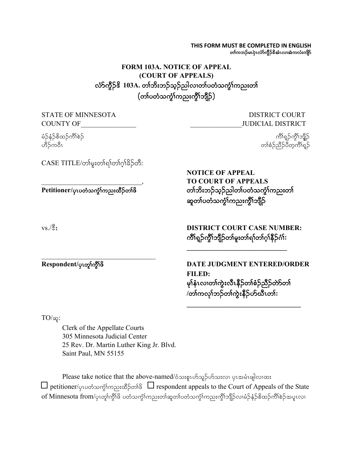#### **THIS FORM MUST BE COMPLETED IN ENGLISH** တၢ်ကဘဉ်မၤပုဲၤလံာ်ကွိဉ်&အံၤလ၊အဲကလံးကျိာ်

**\_\_\_\_\_\_\_\_\_\_\_\_\_\_\_\_\_\_\_\_\_\_\_\_\_\_\_\_\_\_\_\_\_**

## **FORM 103A. NOTICE OF APPEAL (COURT OF APPEALS)** လ်ာ်ကွိဉ်<sup>8</sup> 103A. တၢ်ဘိးဘဉ်သ့ဉ်ညါလ၊တၢ်ပတံသကွံၢ်ကညးတ၊်  $($ တၢ်ပတံသက္ဂိၢ်ကညးကွိၢ်ဘိုဉ် $)$

| <b>STATE OF MINNESOTA</b><br><b>COUNTY OF</b>                | <b>DISTRICT COURT</b><br><b>JUDICIAL DISTRICT</b>                                                                             |
|--------------------------------------------------------------|-------------------------------------------------------------------------------------------------------------------------------|
| မံဉ်နံဉ်စိထဉ်ကိၢိစဉ်<br>ဟိဉ်ကဝီၤ                             | ကိၢရှဉ်ကွိၢ်ဘျိုဉ်<br>တၢ်စံဉ်ညီဉ်ပီတူကိၢ်ရှဉ်                                                                                 |
| CASE TITLE/တၢ်မှုးတၢ်ရၢ်တၢ်ဂ္ဂါခိဉ်တီ:                       | <b>NOTICE OF APPEAL</b><br><b>TO COURT OF APPEALS</b>                                                                         |
| Petitioner/ပုၤပတံသက္ငံ <sup>ရ</sup> ကညးထိဉ်တ <sup>6</sup> ဖိ | တၢ်ဘိးဘဉ်သူဉ်ညါတၢ်ပတံသက္ခံၢ်ကညးတၢ်<br>ဆူတၢ်ပတံသက္ခံၤ်ကညးကွိၤ်ဘျိဉ်                                                            |
| $\rm vs. / \text{\%}$ :                                      | <b>DISTRICT COURT CASE NUMBER:</b><br>ကိၢရှဉ်ကွိၢ်ဘျိဉ်တ၊်မူးတ၊်ရ၊်တ၊်ဂွ၊်နိဉ်ဂံ၊်:                                           |
| Respondent/ပုၤတု၊်ကွီးဖိ                                     | DATE JUDGMENT ENTERED/ORDER<br><b>FILED:</b><br>မှၢ်နှံၤလၢတၢ်ကွဲးလီၤနိဉ်တၢ်စံဉ်ညီဉ်တာ်တ၊်<br>/တၢ်ကလုၢ်ဘဉ်တၢ်ကွဲးနိ5ုဟ်ယီၤတၢ်: |

 $TO/$ αρ:

Clerk of the Appellate Courts 305 Minnesota Judicial Center 25 Rev. Dr. Martin Luther King Jr. Blvd. Saint Paul, MN 55155

Please take notice that the above-named/oံသးရုၤဟ်သူဉ်ဟ်သးလ၊ ပှၤအမံၤဖျါလ၊ထး  $\Box$  petitioner/yioonorg respondent appeals to the Court of Appeals of the State of Minnesota from/ပုၤတူၢ်က္ဂိ<sup>ု</sup>ဖိ ပတံသက္ဂၢ်ကညးတၢ်ဆူတၢ်ပတံသက္ဂၢ်ကညးကွိၢ်ဘျိုာ်လၢမံဉ်နံဉ်စိထဉ်ကိၢ်စဉ်အပူၤလ၊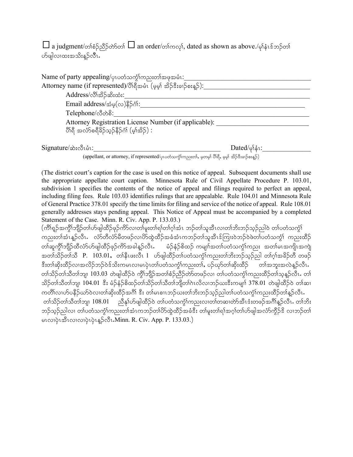$\Box$  a judgment/တၢဴစံဉ်ညီဉ်တ်တော်  $\Box$  an order/တၢဴကလု၊်, dated as shown as above./မုနံၤန်ဘဉ်တ၊် .<br>ဟိဖျါလ၊ထးအသိးနဉ်လီး**.** 

| Name of party appealing/ပုပတံသက္ခါကညးတါအဖုအမံၤ:                                                      |                                         |  |  |  |
|------------------------------------------------------------------------------------------------------|-----------------------------------------|--|--|--|
| Attorney name (if represented)/ပိါရီအမံၤ (မှမ္ခါ အိဉ်ဒီးခၢဉ်စးန္):                                   |                                         |  |  |  |
| Address/လိ <sup>ု</sup> အိ>်ဆီးထံး:                                                                  |                                         |  |  |  |
| Email address/ $\dot{\mathcal{Z}}$ မှ $(\infty)$ နိ5်င်္ဂါ:                                          |                                         |  |  |  |
| Telephone/လီတဲစိ:                                                                                    |                                         |  |  |  |
| Attorney Registration License Number (if applicable):                                                |                                         |  |  |  |
| ပိုးရှိ အလံ>်စရီခိဉ်သ္ဉ်နီဉ်ဂံ၊် (မ္)်အိဉ်) :                                                        |                                         |  |  |  |
| $Signature/\n\infty$ :လီးပံ1:                                                                        | Dated/ $\varphi$ <sup>1</sup> $\zeta$ : |  |  |  |
| (appellant, or attorney, if represented/ပုၤပတံသက္ခံ)ကညးတ၊်, မှတမှ၊် ပိါရီ, မှမှ၊် အိဉ်ဒီးခၢဉ်စးန္ဉ်) |                                         |  |  |  |

(The district court's caption for the case is used on this notice of appeal. Subsequent documents shall use the appropriate appellate court caption. Minnesota Rule of Civil Appellate Procedure P. 103.01, subdivision 1 specifies the contents of the notice of appeal and filings required to perfect an appeal, including filing fees. Rule 103.03 identifies rulings that are appealable. Rule 104.01 and Minnesota Rule of General Practice 378.01 specify the time limits for filing and service of the notice of appeal. Rule 108.01 generally addresses stays pending appeal. This Notice of Appeal must be accompanied by a completed Statement of the Case. Minn. R. Civ. App. P. 133.03.)

(ကိၢိရ္ဉ်အကွိၢ်ဘျိဉ်တ၊်ဟ်ဖျါထိဉ်ဖုဉ်ကိ5်လ၊တ၊်မူးတ၊်ရ၊်တ၊်ဂ့ၢ်အံၤာဉ်တ၊်သူအီၤလ၊တ၊်ဘိးဘဉ်သုဉ်ညါဝဲ တ၊်ပတံသကွံ၊် ကညးတါအံၤန္ဉ်လီၤ လံာ်တီလံာ်မိတဖဉ်လ၊ဟိထွဲထိဉ်အခံအံၤကဘဉ်တါသူအီၤဒ်ကြၢးဝဲဘဉ်ဝဲဖဲတ၊်ပတံသက္ဂါ ကညးထိဉ် တၢ်ဆူကွိၢ်ဘျိဉ်ထိလံာ်ပာ်ဖျါထိဉ်ဖှဉ်ကိ5အခါနူဉ်လီၤ**.** မဉ်နံဉ်စိထဉ် ကမျာ၊်အတၢ်ပတံသကွံၢ်ကညး အတၢ်မၤအကျိၤအကျဲ <u>အတၢ်သိ</u>ဉ်တၢ်သိ P. 103.01, တ၊နိုးဖူးလီး 1 ဟ်ဖျါထိဉ်တ၊်ပတံသကွဲ၊်ကညးတ၊်ဘိးဘဉ်သုဉ်ညါ တ၊်ဂ့၊်အခိဉ်တီ တဖဉ် <u>ဒီးတါဆိုးထိ</u>ဉ်လ၊အလိဉ်ဘဉ်ဝဲဒ်သိးကမၤလ၊မၤပုဲၤတၤ်ပတ໋သက္ဂၤ်ကညးတၢ်,ပဉ်ယှာ်တၢ်ဆိုးထိဉ် တၢ်အဘူးအလဲန္ဉာလီၤ. တၢ်သိဉ်တၢ်သိတၢ်ဘျ၊ 103.03 တဲဖျါထိဉ်ဝဲ ကွိၢ်ဘျိဉ်အတၢ်စံဉ်ညိဉ်တဲာတဖဉ်လ၊ တ၊်ပတံသကွံၢ်ကညးထိဉ်တၢ်သူနူဉ်လီၤ**.** တ၊် သိဉ်တၢ်သီတၢ်ဘျ၊  $104.01$  ဒီး မံဉ်နံဉ်စိထဉ်တၢ်သိဉ်တၢ်သီတၢ်ဘျီတၢ်ဂဲၤလိလၢဘဉ်ယးဒီးကမျ $\mathfrak n$  378.01 တဲဖျါထိဉ်ဝဲ တၢ်ဆ၊ ကတိၤ်လ၊ဟ်ပနိဉ်ယာ်ဝဲလ၊တ၊်ဆိုးထိဉ်အင်္ဂါ ဒီး တ၊်မၤစၢၤဘဉ်ယးတ၊်ဘိုးဘဉ်သွဉ်ညါတ၊်ပတံသကွဲၤ်ကညးထိဉ်တ၊်နှဉ်လီၤ တ)်သိဉ်တ)သိတ္ပါဘျ၊  $108.01$  ညီနှုပ်ာဖျါထိဉ်ဝဲ တျပတံသက္ငါကညးလ၊တ္ပါတဆ၊တဲာ်အီၤဒံးတဖဉ်အင်္ဂါနဉ်လီၤ. တ)်ဘိး ဘဉ်သူဉ်ညါလ၊ တါပတံသကွံၢ်ကညးတါအံၤကဘဉ်တါဟိလွှဲထိဉ်အခံဒီး တါမူးတါရါအဂ္ဂါတါဟ်ဖျါအလံာ်ကွိဉ်ဒိ လ၊ဘဉ်တါ မၤလၢပုံးအီးလၢလၢပုံးပုံးနှဉ်လီး.Minn. R. Civ. App. P. 133.03.)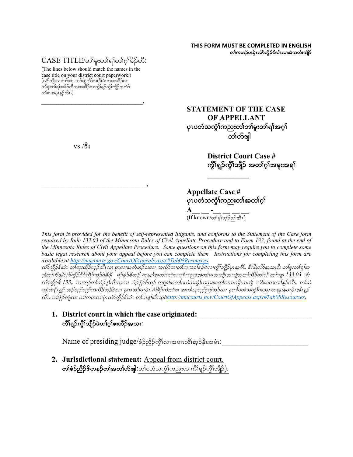**THIS FORM MUST BE COMPLETED IN ENGLISH** တၢ်ကဘဉ်မၤပုံၤလံာ်ကွိဉ်&အံၤလ၊အဲကလံးကျိဉ်

## $CASE\ TITLE/$ တါမူးတါ၍တါဂ္ဂါခိဉ်တီ:

(The lines below should match the names in the case title on your district court paperwork.)  $(\hat{\mathrm{c}}$ တ်ကျိၤလ၊လာ်အံၤာာဉ်ထွဲလိ $\mathrm{c}$ သးဒီးမံၤလ၊အအိဉ်လ၊ တ၊်မူးတ၊်ရၢ်အခိဉ်တိလ၊အအိဉ်လ၊ကွိၢ်ရှဉ်ကွိၢ်ဘျိဉ်အလံာ် တါမၤအပူၤန္ဉ<လီၤ.)

 $\overline{\phantom{a}}$ 

 $\overline{\phantom{a}}$ 

**STATEMENT OF THE CASE OF APPELLANT** ပုၤပတံသက္ငံ်ကညးတၢ်တ၊်မူးတ၊်ရၢ်အဂ္ဂါ တၤ်တိဖျါ

> **District Court Case #** ကွိၢ်ရှဉ်ကွိၢ်ဘျိဉ် အတၢ်ဂွါအမူးအရ၊်

**Appellate Case #** ပုၤပတံသက္ဂၤ်ကညးတၤ်အတၤ်ဂုၤ **A\_\_ \_ -\_ \_\_ \_\_ \_\_**  $(\text{If known/}$ တ်မှ်သည်ညါအီၤ $)$ 

**\_\_\_\_\_\_\_\_\_\_\_**

*This form is provided for the benefit of self-represented litigants, and conforms to the Statement of the Case form required by Rule 133.03 of the Minnesota Rules of Civil Appellate Procedure and to Form 133, found at the end of the Minnesota Rules of Civil Appellate Procedure. Some questions on this form may require you to complete some basic legal research about your appeal before you can complete them. Instructions for completing this form are available at http://mncourts.gov/CourtOfAppeals.aspx#Tab08Resources.* 

လ်ာ်ကွိဉ်ဒိအံၤ တါထူးထိဉ်ဟူဉ်အီၤလ၊ ပုၤလ၊အက်ခၢဉ်စးလ၊ ကလိာဘ၊တ၊်အကစါဒဉ်ဝဲလ၊ကွိါဘျိဉ်ပူ၊အင်္ဂါ, ဒီးဖိးလိာ်အသးဒီး တမူးတါရ၊်အ  $\sim$ က်ဟ်ဖျါလံာ်ကွိဉ်<sup>ငွ</sup>င်္လည်ဘဉ်ဝဲခီဖျိ $\sim$ မာ်ှန်ဉ်စိထဉ် ကများအတၤ်ပတံသကွားကညးအတၤ်မၤအကျိၤအကျဲအတၤ်သိဉ်တၤ်သီ တၤ်ဘျ၊  $133.03$ းနီး လံာ်တို့ဉ်ဒိ 133<sub>•</sub> လ၊ဘဉ်တ၊်ထံဉ်န့၊်အီးသူလ၊ မံဉ်နံဉ်စိထဉ် ကမျှπ်အတ၊်ပတံသက္ခံ၊်ကညးအတ၊်မၤအကျိ၊အကျဲ လံာ်အကတၢါနူဉ်လီး တ၊်သံ ကွက်ခန်းနူ၌ ဘဉ်သူဉ်သည်ကလိဉ်ဘဉ်ဝဲလ၊ နကဘဉ်မ်းပုံ၊ ငံ္ဂါခီဥထီးသံစး အတၤ်ယုသည်သါဘဉ်ယး နတၤ်ပတံသက္ခၤ်ကညး တချုးနမၤပုံးအီးနူဉ  $\beta$ u. တန်*ဉ်ကျဲလ၊ တ*ါကမၤလ၊ပုံၤလံာ်တို့ဉ်နီအံၤ တါမၤန္နါအီၤသုဖဲ<u>http://mncourts.gov/CourtOfAppeals.aspx#Tab08Resources</u>.

**1.** District court in which the case originated: ကိၢရှဉ်ကိုၤဘျီဉ်ဖဲတၢ်ဂ္ဂၢ်စးထိဉ်အသး:

 $N$ ame of presiding judge/စံဉ်ညီဉ်ကွိၤ်လ၊အပၢၤလိၢ်ဆ္ဉ်နီၤအမံၤ $:$ 

**2. Jurisdictional statement:** Appeal from district court. တ**်္စဉ်ညီဉ်ဒိကနဉ်တၤ်အတၤ်ဟ်ဖျါ:**တၤ်ပတံသကွဲၤ်ကညးလၤကိၢ်ရှဉ်ကွိၤ်ဘျိဉ်).

 $vs.$ / $\frac{6}{3}$ ;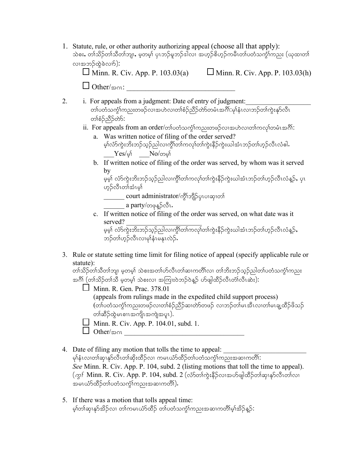- 1. Statute, rule, or other authority authorizing appeal (choose all that apply): သဲစး, တၢ်သိဉ်တၢ်သိတၢ်ဘျ၊, မ့တမ့၊် ပုၤဘဉ်မူဘဉ်ဒါလ၊ အဟူဉ်စိဟုဉ်ကမီၤတၢ်ပတံသက္ငံ၊်ကညး (ယုထ၊တ၊် လ၊အဘဉ်ထွဲခဲလည်):  $\Box$  Minn. R. Civ. App. P. 103.03(a)  $\Box$  Minn. R. Civ. App. P. 103.03(h)  $\Box$  Other/ $\infty$ 01:
- 2. i. For appeals from a judgment: Date of entry of judgment: whopword was expended to book the conservation of the conservation of the conservation of the conservation of t တစ်ဉ်သိဉ်တ်ာ်:
	- $ii.$  For appeals from an order/တါပတံသက္ငါကညးတဖဉ်လၢအဟဲလ၊တါကလုါတမံၤအဂိါ:
		- a. Was written notice of filing of the order served? မှါလံာ်ကွဲးဘိးဘဉ်သုဉ်ညါလ၊ကွိၢ်တါကလု၊်တါကွဲးနိဉ်ကွဲးယါအံၤဘဉ်တါဟ့ဉ်လီၤလံဓါ**.**  $\mathrm{Yes}/\mathrm{\varphi}$ ် No/တမ္ $\mathsf{No}$
		- b. If written notice of filing of the order was served, by whom was it served by

```
မ့မ့်၊ လံာ်ကွဲးဘိးဘဉ်သုဉ်ညါလ၊ကွိၢ်တ၊်ကလု၊်တ၊်ကွဲးနိဉ်ကွဲးယါအံၤဘဉ်တ၊်ဟုဉ်လီၤလံန္ဉ်, ပုၤ
ဟုဉ်လီၤတၢ်အံၤမ္ပါ
```
 $\overline{\phantom{0}}$  court administrator/ကွိၤ်ဘျိဉ်ပှ $\overline{\phantom{0}}$ လေးတြ

- $\frac{1}{2}$  a party/တဖုန္ $\delta$ လီၤ $\cdot$
- c. If written notice of filing of the order was served, on what date was it served? \_\_\_\_\_\_\_\_\_\_\_\_\_\_\_\_\_\_\_\_\_\_

မှုမှ) လံာ်ကွဲးဘိးဘဉ်သူဉ်ညါလ၊ကွိၢ်တၢ်ကလု၊်တ၊်ကွဲးနိဉ်ကွဲးယါအံၤဘဉ်တ၊်ဟုဉ်လီၤလံနူဉ်**,** ဘဉ်တ၊်ဟ္၄်ာလီၤလၢမှါနံၤမန္နၤလဲဉ်.

3. Rule or statute setting time limit for filing notice of appeal (specify applicable rule or statute):

တၢ်သိဉ်တၢ်သိတၢ်ဘျ၊ မှတမ့)် သဲစးအတၢ်ဟ်လီၤတၢ်ဆၢကတိၢ်လ၊ တၢ်ဘိးဘဉ်သုဉ်ညါတ၊်ပတံသက္ဂၢ်ကညး အဂိါ (တၢ်သိဉ်တၢ်သီ မှတမှာ် သဲစးလ၊ အကြားဝဲဘဉ်ဝဲနဉ် ဟ်ဖျါထီဉ်လီၤတံၤ်လီၤဆဲး):

- $\Box$  Minn. R. Gen. Prac. 378.01 (appeals from rulings made in the expedited child support process) (တၢ်ပတံသက္ငံ္ကေညးတဖဉ်လၢတၢ်စံဉ်ညီဉ်ဆၢတဲာ်တဖဉ် လၢဘဉ်တ၊်မၤအီၤလ၊တၢ်မၤချ့ထီဉ်ဖိသဉ် တၢဴဆိဉ်ထွဲမၤစၢၤအကျိုးအကျဲအပူၤ).
- $\Box$  Minn. R. Civ. App. P. 104.01, subd. 1.
- $\Box$  Other/ $\infty$  on
- 4. Date of filing any motion that tolls the time to appeal: မှၢ်နံၤလ၊တါဆု၊နုာ်လီၤတါဆိုးထိဉ်လ၊ ကမၤယံာ်ထိဉ်တါပတံသက္ငံ)ကညးအဆ၊ကတိါ $\colon$ *See* Minn. R. Civ. App. P. 104, subd. 2 (listing motions that toll the time to appeal).  $(\infty)$  Minn. R. Civ. App. P. 104, subd. 2 (လံ $\delta$ တ်ကွဲးနီဉ်လ၊အဟ်ဖျါထိဉ်တါဆု၊နှာ်လီၤတါလ၊ အမၤယံာ်ထိဉ်တၢ်ပတံသက္ဂၢ်ကညးအဆၢကတိၢ်).
- 5. If there was a motion that tolls appeal time: .<br>မ့ၢ်တၢ်ဆု၊နှာ်အိဉ်လ၊ တ၊်ကမၤယံာ်ထိဉ် တ၊်ပတံသကွဲၢ်ကညးအဆၢကတိၢမ့၊်အိဉ်နဉ်: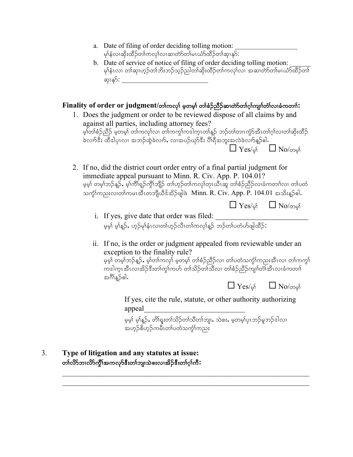- a. Date of filing of order deciding tolling motion: မှါနံလ၊ဆိုးထိဉ်တါကလု၊်လ၊ဆ၊တဲာ်တါမၤယံာ်ထိဉ်တါဆု၊နှာ် $\colon$
- b. Date of service of notice of filing of order deciding tolling motion: မှ)နံးလ၊ တါဆု၊ဟွဉ်တါဘိးဘဉ်သွဉ်ညါတါဆိုးထိဉ်တါကလု၊်လ၊ အဆ၊တ်ာ်တါမၤယံာ်ထိဉ်တါ ဆု၊နု>်:

## $\mathbf{Finally}$  of order or judgment/တါကလု၊် မှတမှ၊် တါစဉ်ညီဉ်ဆ၊တဲာ်တါဂုါကျn်တဲါလ၊ခံကတn်:

- 1. Does the judgment or order to be reviewed dispose of all claims by and against all parties, including attorney fees? မှာ်တါစံဉ်ညီဉ် မှတမှါ တါကလုါလ၊ တါကကွါကဒါကူၤတါန္ဉာ် ဘဉ်တါတၤၤကွံာ်အီၤတၢ်ဂူါလ၊တါဆိုးထိဉ် ခဲလ<sup>ှ</sup>ာ် အီဒါပုၤလ၊ အဘဉ်ထွဲခဲလ<sup>ှ</sup>ာ, လၢအပဉ်ယှာ်ဒီး ပိါရီအဘူးအလဲခဲလ<sup>ှ</sup>ာ်နှဉ်ဓါ.  $\Box$  Yes/oi  $\Box$  No/000i
- 2. If no, did the district court order entry of a final partial judgment for immediate appeal pursuant to Minn. R. Civ. App. P. 104.01? မူမှ၊် တမ္ါာဘဉ်နူဉ်, မ့္က်ကိုရူဉ်ကွိၢ်ဘျိဉ် တ္က်ဟ္ဥတ္က်ကလုုံတုၤယီၤဆူ တျစံဉ်ညီဉ်လၢခံကတ္ကုုလ၊ တျပတံ သက္င်္ဂါကညးလ၊တါကမၤအီၤတဘျိယီဒ်အိဉ်ဖျါဖဲ Minn. R. Civ. App. P. 104.01 အသိးန္ဉာ်ဓါ.
	- $\Box$  Yes/oi  $\Box$  No/000i
	- i. If yes, give date that order was filed: .<br>မှမ့်၊ မ့)်နူဉ်, ဟုဉ်မု)်နံၤလ၊တါဟုဉ်လီၤတၢ်ကလု)်နူဉ် ဘဉ်တ၊်ပတံဟ်ဖျါထိဉ်:
	- ii. If no, is the order or judgment appealed from reviewable under an exception to the finality rule?

မူမှု၊ တမ္ခါဘဉ်နှဉ်, မှုါတ္ကါကလု<sup>ုံ</sup> မှုတမှု၊် တါစဉ်ညီဉ်လ၊ တျပတံသကွဲါကညးအီၤလ၊ တါကကွ<sup>ု</sup> ကဒါကူၤအီၤလၢအိဉ်နီးတၢ်ကွၢ်ကဟ် တၢဴသိဉ်တၤ်သီလ၊ တၢဴစံဉ်ညီဉ်ကျၤါတာ၊်အီၤလၢခံကတၤါ အဂ်ိ\န္ဉ်)ေါ.

 $\Box$  Yes/oi  $\Box$  No/000

If yes, cite the rule, statute, or other authority authorizing appeal\_\_\_\_\_\_\_\_\_\_\_\_\_\_\_\_\_\_\_\_\_\_\_\_\_\_\_

မွမှ) မှုန့ဉ်, တိုရူးတ၊်သိဉ်တ၊်သီတ၊်ဘျ၊, သဲစး, မှတမှု၊်ပုၤဘဉ်မှုဘဉ်ဒါလ၊ အဟ္5်စိဟ္5်ကမီၤတၤ်ပတံသက္ငါကညး

 $\mathcal{L}_\text{max}$  and  $\mathcal{L}_\text{max}$  and  $\mathcal{L}_\text{max}$  and  $\mathcal{L}_\text{max}$  and  $\mathcal{L}_\text{max}$  and  $\mathcal{L}_\text{max}$ 

3. **Type of litigation and any statutes at issue:** တၢ်လိ်ာဘၢလိ်ာကွိ<sup>ု</sup>အကလှာ်ဒီးတၢ်ဘျာသဲစးလၢအိဉ်ဒီးတၢ်ဂ္ဂါကီ**:**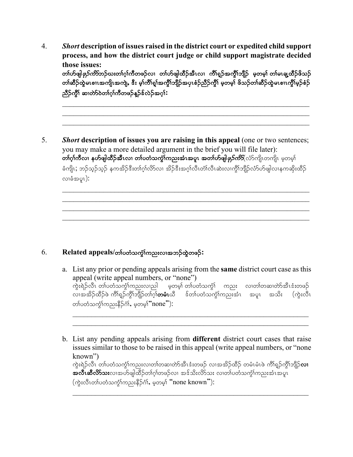4. *Short* **description of issues raised in the district court or expedited child support process, and how the district court judge or child support magistrate decided those issues:** တၢဴဟ်ဖျါ*ဖုဉ်ကိ*ဘာဉ်ဃးတၢ်ဂ့ၢ်ကီတဖဉ်လၢ တ၊်ဟ်ဖျါထီဉ်အီၤလၢ ကိၢရှဉ်အကွိၢ်ဘျိဉ် မှတမှ၊် တ၊်မၤချ့ထီဉ်ဖိသဉ် တၢ်ဆီဉ်ထွဲမၤစၢၤအကျို၊အကျဲ, ဒီး မှ၊်ကိၢ်ရှု၊်အကွိၤ်ဘျိဉ်အပုၤစံဉ်ညီဉ်ကွီ၊ မှတမှ၊် ဖိသဉ်တ၊်ဆီဉ်ထွဲမၤစၢၤကွိၤ်မှဉ်စံဉ ညီဉ်ကို၊် ဆ၊တဲာ်ဝဲတၢ်ဂ္ပါကီတဖဉ်နဉ်န်လဲဉ်အဂ္ပါ**:** 

 $\mathcal{L}_\text{max}$  and  $\mathcal{L}_\text{max}$  and  $\mathcal{L}_\text{max}$  and  $\mathcal{L}_\text{max}$  and  $\mathcal{L}_\text{max}$  and  $\mathcal{L}_\text{max}$ 

 $\mathcal{L}_\text{max} = \mathcal{L}_\text{max} = \mathcal{L}_\text{max} = \mathcal{L}_\text{max} = \mathcal{L}_\text{max} = \mathcal{L}_\text{max} = \mathcal{L}_\text{max} = \mathcal{L}_\text{max} = \mathcal{L}_\text{max} = \mathcal{L}_\text{max} = \mathcal{L}_\text{max} = \mathcal{L}_\text{max} = \mathcal{L}_\text{max} = \mathcal{L}_\text{max} = \mathcal{L}_\text{max} = \mathcal{L}_\text{max} = \mathcal{L}_\text{max} = \mathcal{L}_\text{max} = \mathcal{$ 

 $\mathcal{L}_\text{max} = \mathcal{L}_\text{max} = \mathcal{L}_\text{max} = \mathcal{L}_\text{max} = \mathcal{L}_\text{max} = \mathcal{L}_\text{max} = \mathcal{L}_\text{max} = \mathcal{L}_\text{max} = \mathcal{L}_\text{max} = \mathcal{L}_\text{max} = \mathcal{L}_\text{max} = \mathcal{L}_\text{max} = \mathcal{L}_\text{max} = \mathcal{L}_\text{max} = \mathcal{L}_\text{max} = \mathcal{L}_\text{max} = \mathcal{L}_\text{max} = \mathcal{L}_\text{max} = \mathcal{$ 

 $\mathcal{L}_\text{max}$  and  $\mathcal{L}_\text{max}$  and  $\mathcal{L}_\text{max}$  and  $\mathcal{L}_\text{max}$  and  $\mathcal{L}_\text{max}$  and  $\mathcal{L}_\text{max}$ 

5. *Short* **description of issues you are raising in this appeal** (one or two sentences; you may make a more detailed argument in the brief you will file later): တ**်ဂ္**ဂ်ကီလ၊ နဟ်ဖျါထီဉ်အီၤလ၊ တၢ်ပတံသင်္ကာ်ကညးအံၤအပူ၊ အတၢ်ဟ်ဖျါ*ဖုဉ်ကိ*ဘိ(လံာ်ကျိၤတကျိၤ မဲ့တမ္ါ ခံကျိၤ; ဘဉ်သွဉ်သွဉ် နကအိဉ်ဒီးတၢ်ဂွၢ်လိ၁်လ၊ အိဉ်ဒီးအဂွ၊်လီၤတံ၊လီၤဆဲးလ၊ကွိၢ်ဘျိဉ်လံာ်ဟ်ဖျါလ၊နကဆိုးထိဉ်  $\omega$ ည်အပူ $\Omega$ ):

## 6. **Related appeals/တၤ်ပတံသက္ခါကညးလၢ**အဘဉ်ထွဲတဖဉ်:

- a. List any prior or pending appeals arising from the **same** district court case as this appeal (write appeal numbers, or "none") ကွဲးရဲဉ်လီၤ တၢ်ပတံသကွ်ၤ်ကညးလၢည $\vert$  မှတမ့ $\vert$  တၢ်ပတံသကွံ $\vert$  ကညး လၢတၢ်တဆၢတဲာ်အီၤဒံးတဖဉ် လာအ်အိဉ်ထိဉ်ဖဲ ကိ<sup>ု</sup>ရှဉ်ကွိၢ်ဘျိဉ်တဂြက်**တမံ**းယိ ဒ်တဂ်ပတံသက္ခံဂ်ကည်းအံုး အပူး အသိး (ကွဲးလီး တၢ်ပတံသက္ဂ်ၢ်ကညးနိဉ်ငံ္က်, မ့တမ္ပါၱ $\text{none}$ ီ $)$ :
- b. List any pending appeals arising from **different** district court cases that raise issues similar to those to be raised in this appeal (write appeal numbers, or "none known") ကွဲးရဲဉ်လိ $\overline{\mathrm{1}}$  တ $\overline{\mathrm{0}}$ တာ်သက္ခံ $\overline{\mathrm{1}}$ ကားလ $\overline{\mathrm{0}}$ တာတိုအီးအာ $\overline{\mathrm{0}}$  လ $\overline{\mathrm{1}}$  တစ်သို့သို့ တိုးရွှဉ်ကို $\overline{\mathrm{1}}$ ည်လ $\overline{\mathrm{1}}$ <u>အလီးဆီလိ§သးလၢအပ</u>်ာဖျါထိဉ်တၢ်ဂ့ၢ်တဖဉ်လ၊ အဒ်သိးလိ§်သး လ၊တၢ်ပတ်သကွံၤ်ကညးအံၤအပူၤ  $(\phi_i, \phi_i)$ က်ပတ်သင်္ကျကညးနိ $\beta$ ဂါ, မှတမ္ $\phi_i$ ် $\mathsf{none}\ \mathsf{known}$ း $\mathsf{the}\ \mathsf{num}$

 $\mathcal{L}_\text{max} = \frac{1}{2} \sum_{i=1}^n \mathcal{L}_\text{max}(\mathbf{z}_i - \mathbf{z}_i)$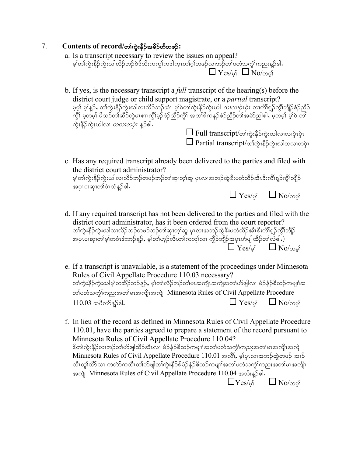## $7.$  **Contents of record/**တ်ကွဲးနီဉ်အခိဉ်တီတဖဉ်:

- a. Is a transcript necessary to review the issues on appeal? မ့)်တကွဲးနိဉ်ကွဲးယါလိဉ်ဘဉ်ဝဲဒ်သိးကကွ\ကဒါက္ၤတၢ်ဂ့)်တဖဉ်လျှဘဉ်တ၊်ပတံ<u>သ</u>ကွံ\ကညးန္ဉာ်ဓါ**.**  $\Box$  Yes/of  $\Box$  No/000f
- b. If yes, is the necessary transcript a *full* transcript of the hearing(s) before the district court judge or child support magistrate, or a *partial* transcript? မ့မှါ မ့ါနူဉ်, တါကွဲးနီဉ်ကွဲးယါလ၊လိဉ်ဘဉ်အံၤ မ့ါဝဲတါကွဲးနီဉ်ကွဲးယါ *လ၊လ၊ပှဲၤပှဲၤ* လ၊ကိၢရှ်ဉ်ကွိၢ်ဘျိဉ်စံဉ်ညီဉ် ကွိ\် မှတမှ)် ဖိသဉ်တါဆိဉ်ထွဲမၤစၢၤကွိ\မှဉ်စံဉ်ညိဉ်ကွိ\် အတ<sup>ိုင္မိ</sup>ကနဉ်စံဉ်ညိဉ်တါအမဲာ်ညါဓါ, မှတမှ\်မှ်ါဝဲ တါ ကွဲးနိဉ်ကွဲးယါလ၊ *တလၢတပုံၤ* န္<sup>6</sup>ေါ.  $\Box$  Full transcript/တာ်ကုံးနိ $5$ ကုံးယါလာလာပုံပုံပ
- c. Has any required transcript already been delivered to the parties and filed with the district court administrator? မှာ်တါကွဲးနိဉ်ကွဲးယါလၤလိဉ်ဘဉ်တဖဉ်ဘဉ်တါဆု၊တ့ါဆူ ပုၤလၢအဘဉ်ထွဲဒီးပတံထိဉ်အီၤဒီးကိါရှဉ်ကွိါဘျိဉ် အပုၤပၢဆု၊တၢ်ဝံၤလံန္5်ဓါ.  $\Box$  Yes/of  $\Box$  No/000

 $\square$  Partial transcript/တက်ႏနီဉိကဲ့းယါတလ၊တပုံၤ

- d. If any required transcript has not been delivered to the parties and filed with the district court administrator, has it been ordered from the court reporter? တၢ်ကွဲးနိဉ်ကွဲးယါလ၊လိဉ်ဘဉ်တဖဉ်ဘဉ်တ၊်ဆု၊တ့၊်ဆူ ပုၤလ၊အဘဉ်ထွဲဒီးပတံထိဉ်အီၤဒီးကိၢိရှဉ်ကွိၢ်ဘျိဉ် အပှၤပၢဆု၊တၢ်မ့ၢ်တဝံၤဒံးဘဉ်န္β, မ့ၢ်တ၊်ဟုဉ်လီၤတ၊်ကလု၊်လ၊ ကွိဉ်ဘျိဉ်<u>အ</u>ပှၤဟ်ဖျါထိဉ်တ၊်<u>လံ</u>ဓါ.)  $\Box$  Yes/of  $\Box$  No/000
- e. If a transcript is unavailable, is a statement of the proceedings under Minnesota Rules of Civil Appellate Procedure 110.03 necessary? တၢ်ကွဲးနိဉ်ကွဲးယါမ့ၢ်တအိဉ်ဘဉ်န**ှ**, မ့ၢ်တၢ်လိဉ်ဘဉ်တ၊်မၤအကျိၤအကျဲအတၢ်ဟ်ဖျါလၢ မံဉ်နံဉ်စိထဉ်ကမျာ၊်အ တ္ပါပတဲ့သက္ခ်ီကညးအတ္ပါမၤအကျိုးအကျဲ Minnesota Rules of Civil Appellate Procedure  $110.03$  အဖီလ $5.5$ န်းခါ.
- f. In lieu of the record as defined in Minnesota Rules of Civil Appellate Procedure 110.01, have the parties agreed to prepare a statement of the record pursuant to Minnesota Rules of Civil Appellate Procedure 110.04? ဒ်တၢ်ကွဲးနိဉ်လ၊ဘဉ်တ၊်ဟ်ဖျါထိဉ်အီၤလ၊ မံဉ်နံဉ်စိထဉ်ကမျာ်အတ၊်ပတံသကွံၤ်ကညးအတ၊်မၤအကျိၤအကျဲ Minnesota Rules of Civil Appellate Procedure 110.01 အလိ၊်, မ့္ဆ်ပုလ္အေဆာဉ်ထွဲတဖဉ် အျဉ် လီၤတူါလိ>်လၢ ကတဲာ်ကတီၤတါဟ်ဖျါတါကွဲးနိဉ််ဒိမံဉ်နံဉ်စိထဉ်ကမျာ၊်အတာ်ပတံသကွံါကညးအတာ်မၤအကျိၤ အကျဲ Minnesota Rules of Civil Appellate Procedure 110.04 အသီးန္5်ေဓါ.  $\Box$  Yes/of  $\Box$  No/000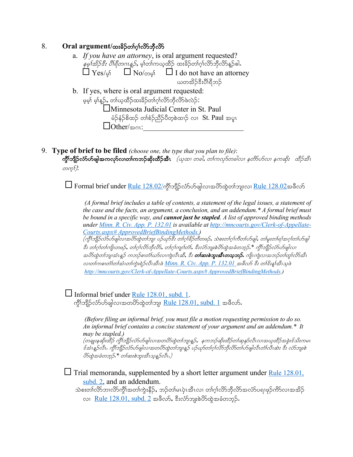### 8. **Oral argument/**ထးခိဉ်တၢ်ဂ္ဂါလိာ်ဘိုလိ

| a. If you have an attorney, is oral argument requested?<br><i>နမ့်ໂအိုဉ်ဒီး ပိါရီတဂၤန္နဉ်,</i> မ့)်တာ်ကယ္ဝထိဉ် ထးခ်ိဉ်တာ်ဂုၤ်လိ၁်ဘီလိ၁်န္ဉာ်ဓါ. |
|-------------------------------------------------------------------------------------------------------------------------------------------------|
| $\Box$ Yes/ $\emptyset$ $\Box$ No/ $\circ$ $\Theta$ $\Box$ I do not have an attorney                                                            |
| ယတအိဉ်ဒီးပီးရှိဘဉ်                                                                                                                              |
| b. If yes, where is oral argument requested:                                                                                                    |
| မ့မှ၊် မှ၊်နူဉ်, တ၊်ယုထိဉ်ထးခိဉ်တ၊်ဂု၊်လိာဘိုလိာ်ဖဲလဲဉ်:                                                                                        |
| Minnesota Judicial Center in St. Paul                                                                                                           |
| မံဉ်နံဉ်စိထဉ် တၢ်စံဉ်ညီဉ်ပိတ့စဲထၢဉ် လၢ St. Paul အပူၤ                                                                                            |
| Other/gon:                                                                                                                                      |

9. **Type of brief to be filed** *(choose one, the type that you plan to file)*: ကွိ $\mathcal{D}$ ကျီညီညီယာများကြွက်ပြီးမှာ ကျွန်းတွင်းထွင်းသွား ( $\omega$ က တခါ, တကြလုတ်ခါလ၊ နတ်ာ်ဟ်လ၊ နကဆိုး ထိဉ်အီး  $\infty$ n $\Omega$ :

 $\Box$  Formal brief under <u>Rule 128.02/</u>ကွိ\ဘျိဉ်လံာ်ဟ်ဖျါလၢအပိာ်ထွဲတါဘျ၊လ၊ <u>Rule 128.02</u>အဖိလာ်

*(A formal brief includes a table of contents, a statement of the legal issues, a statement of the case and the facts, an argument, a conclusion, and an addendum.\* A formal brief must be bound in a specific way, and cannot just be stapled. A list of approved binding methods under Minn. R. Civ. App. P. 132.01 is available at http://mncourts.gov/Clerk-of-Appellate-Courts.aspx# ApprovedBriefBindingMethods.)*  $(\sigma^S_\ell$ ်တို့အားကြွက်အမြို့တွေကြသည်။ ပည်ယုတ်နီး တက်ပြည့်တွေကွန်း ဘုရားတုပ်ပုံပုံပွဲမျှ၊ တုန်းတုပ်စုံအပ်တုပုဂ္ နီး တၢ်ဂ္ဂါတ၊်ကျိၤတဖဉ်, တၢ်ဂ္ဂါလိ၁်ဘိုလိ5်, တၢ်ဂ္ဂါကျ၊်တံၢ်, နီးလံ5်ဘူးစဲပိ5်ထွဲအခံတဘုဉ် \* ကွိၤ်ဘျိဉ်လံ5်ဟ်ဖျါလ၊ အပိာ်ထွဲတ1်ဘျ၊အံၤန္ဦ ကဘဉ်စ၊တံ1ဃာ်လ၊ကျဲလီၤဆီ, ဒီး **တ1်ဆးစဲဘူးအီၤတသ္ဘာဉ်.** ကျိုကျဲလ၊အဘဉ်တ1်တု1်လိာ်အီၤ *လၤတၤ်ကစၤတၤ်တၤ်အဲးတၤ်ကွဲးရဲ*ဉ်လီးအီးဖဲ <u>Minn. R. Civ. App. P. 132.01</u> အဖိလ5် နီး တၤ်နီးနူးအီးသူဖဲ *http://mncourts.gov/Clerk-of-Appellate-Courts.aspx# ApprovedBriefBindingMethods.)*

 $\Box$  Informal brief under <u>Rule 128.01, subd. 1</u>. ကိုၤ်ဘျိဉ်လံာ်ပာ်ဖျါလ၊အတပိာ်ထဲ့တၤ်ဘျ၊ Rule  $128.01$ , subd.  $1$  အဖိလာ်.

> *(Before filing an informal brief, you must file a motion requesting permission to do so. An informal brief contains a concise statement of your argument and an addendum.\* It may be stapled.)* (တချူးနဆိုးထိဉ် ကွိၤ်ဘျိဉ်လံ>ပာ်ဖျါလၢအတပိဉ်ထွဲတၢ်ဘျ၊နူဉ်, နကဘဉ်ဆိုးထိဉ်တၢ်ဆုနု၁်လီၤလၢအဃ္**ထိ**ဉ်အခွဲးဒ်သိးကမၤ

> `<br>`န်အံၤန္ဥာလီၤ. ကွီၫဘျဉ်လံ>်ပာဖျါလ၊အတပိ5ထွဲတ၊်ဘျ၊န္ဥာ ပဉ်ယှာ်တ၊ဂူၫ်လိ5ဘိုလိ5တ၊်ပာဖျါလီၤတံၤလီၤဆဲး နီး လံ5ဘူးစဲ  $\partial$ Sထွဲအခံတဘုဉ်း $^*$  တ $\hbox{1}$ ဆးစဲဘူးအီၤသ္စ္ပည္ပလိၤ.)

 $\Box$  Trial memoranda, supplemented by a short letter argument under <u>Rule 128.01</u>, subd. 2, and an addendum.

သဲစးတၢ်လိာဘၢလိာ်ကွိၢ်အတၢ်ကွဲးနီဉ်, ဘဉ်တၢ်မၤပှဲၤအီၤလ၊ တၢ်ဂ္ဂၢ်လိာဘိုလိာအလံာ်ပရၢဖုဉ်ကိာ်လၢအအိဉ် လ၊ Rule  $128.01$ ,  $subd. 2$  အဖိလ $\delta$ , ဒီးလံာ်ဘူးစဲဟိထွဲအခံတဘု့ဉ်.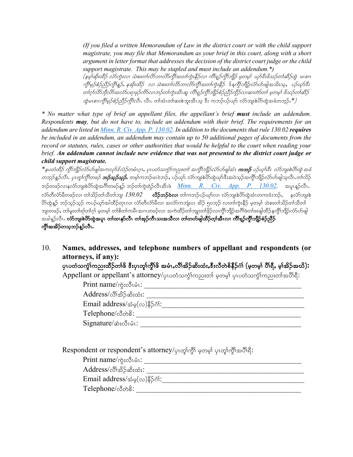*(If you filed a written Memorandum of Law in the district court or with the child support magistrate, you may file that Memorandum as your brief in this court, along with a short argument in letter format that addresses the decision of the district court judge or the child support magistrate. This may be stapled and must include an addendum.\*)*

(နမ္၊်ဆိုးထိဉ် လံာ်ကွဲးလ၊ သဲစးတၤ်လိာဘၤလိာ်ကွီၤ်အတၤ်ကွဲးနီဉ်လ၊ ကိၢရှဉ်ကွီၤ်ဘျိဉ် မူတမ္၊ ယှာ်ဒီးဖိသဉ်တၤ်ဆိဉ်ထွဲ မၤစၢၤ ကွိ<sup>န်</sup>မှ*ဉ်စံဉ်ညီဉ်ကွိ<sup>န်</sup>နှဉ်, နဆိုးထိဉ် လၢ သဲစးတၤ်လိာဘၤလိာ်ကွိၤ်အတၤ်ကွဲးနိဉ်* ဒ်နကွိၤ်ဘျိဉ်လ်ာပ်ာဖျါအသိးသ့, *ပဉ်ယှာ်ဒီး* တၢဂုၢ်လိ၁ဘိုလိာ်အလံာ်ပရၢဖုဉ်ကိ5်လ၊ဘဉ်တ၊်ကွဲးအီးဆူ ကိၢရှဉ်ကွိ၊်ဘျိဉ်စံဉ်ညီဉ်ကွိဉ်လ၊ဆ၊တဲာ်တ၊် မူတမူ၊် ဖိသဉ်တ၊်ဆိဉ  $\partial\phi$ *မၤစၢၤကိုးမှဉ်စံဉ်ညီဉ်ကိုၤ်လီး* လီး တါအံၤတါဆးစဲဘူးအီၤသ္ ဒီး ကဘဉ်ပဉ်ယှာ် လံာ်ဘူးစဲဟ်ထွဲအခံတဘ့ဉ် \*)

*\* No matter what type of brief an appellant files, the appellant's brief must include an addendum. Respondents may, but do not have to, include an addendum with their brief. The requirements for an addendum are listed in Minn. R. Civ. App. P. 130.02. In addition to the documents that rule 130.02 requires be included in an addendum, an addendum may contain up to 50 additional pages of documents from the record or statutes, rules, cases or other authorities that would be helpful to the court when reading your brief. An addendum cannot include new evidence that was not presented to the district court judge or child support magistrate.*

\*နှ*ပတံထိဉ် ကွိၤ်ဘျိဉ်လံ5ဟ်ဖျါအကလှ*ာ်ဒလဉ်တမံၤဂူး, ပုၤပတံသက္ခၤ်ကညးတၤ် အကွိၤ်ဘျိဉ်လံ5ဟ်ဖျါအံၤ **ကဘှ** ပဉ်ယှာ်ဒီး လံ5ဘျးစဲဟ်တွဲ အခံ *တဘူဉ်နူဉ်လီး. ပုၤတူဂြာ္ဂ်ီတဖဉ် ဘဉ်သူဉ်သူဉ်, တမ့*ဂ်ကဘဉ်မၤဝဲဘဉ်, ပဉ်ယှာ် လံာဘျးစဲဟ်ထွဲယှာ်ဒီးအဝဲသူဉ်အကွိၢ်ဘျိဉ်လံာဟ်ဖျါသူလီး တ၊်လိဉ် ဘဉ်တဖဉ်လၢနင်္လာဘူးစဲဟိတွဲအင်္ဂါတဖဉ်နဉ် ဘဉ်တၢ်ကွဲးရဲဉ်လီၤအီၤဖဲ <u>Minn. R. Civ. App. P. 130.02</u>. အပူၤန္ဉာ်လီၤ. လ်ာတိလ်ာမိတဖဉ်လ၊ တၢ်သိဉ်တၢ်သိတၢ်ဘျ၊  $130.02$  **လိဉ်ဘဉ်ဝဲလ၊** တၢ်ကဘဉ်ပဉ်ယှာ်လ၊ လ်ာဘျးစဲဟ်ထွဲအံၤတကးဒံးဘဉ်, နှလ်ာဘျးစဲ ဟိထွဲနူဉ် ဘဉ်သူဉ်သူဉ် ကပဉ်ယှာ်အါထိဉ်တုၤလ၊ လံာ်တီလံာမိလ၊ အလံာ်ကဘျံးပၤ အိဉ် ၅၀ဘုဉ် လ၊တၢ်ကွဲးနိဉ် မ့တမ့၊် သဲစးတၢ်သိဉ်တၢ်သိတ၊် ဘျ၊တဖဉ်, တ၊်မူးတ၊်ရ၊်တ၊်ဂ္၊် မ့တမ့၊် တ၊်စိတ၊်ကမီၤအဂၤတဖဉ်လ၊ အကဲထိဉ်တ၊်ဘျူးတ၊်ဖိုဉ်လ၊ကွိၤ်ဘျိဉ်အဂိၢ်ဖဲတ၊်ဖးဖျါထိဉ်နကွိၤ်ဘျိဉ်လံာ်ဟ်ဖျါ အခါန္ဉ်လိၤ**. လံာဘျးစဲတိတွဲအပူၤ တၤ်ထ၊နှာ်လီၤ တၤ်အှဉ်ကီၤသးအသိလ၊ တၢ်တဟ်ဖျါထိဉ်တဲ့ၤ်အီၤလ၊ ကိၢရှ္ဉ်ကိုၤ်ဘိုဉ်စံဉ်ညီဉ်** ကိုၤ်အအိဉ်တသွဘဉ်နဉ်လီၤ.

10. **Names, addresses, and telephone numbers of appellant and respondents (or attorneys, if any):**

ပုၤပတံသကွဲၤ်ကညးထိဉ်တၢ်ဖိ ဒီးပုၤတုၤ်ကွီၤ်ဖိ အမံၤႇလိၤ်အိဉ်ဆိးထံးႇဒီးလီတဲစိနိဉ်ဂံၤ် (မှတမ္<sup>ု</sup> ပိၢရိႇ မ္ၤ်အိဉ်အယိ)**:** 

Appellant or appellant's attorney/ပုၤပတံသက္ငါကညးတါ မှတမှါ ပုၤပတံသက္ငါကညးတါအပိါရိ:

 $\text{Print name} \Leftrightarrow \lambda_i \& \lambda_i \& \ldots$ 

Address/vD>td.qd;xH;: \_\_\_\_\_\_\_\_\_\_\_\_\_\_\_\_\_\_\_\_\_\_\_\_\_\_\_\_\_\_\_\_\_\_\_\_\_\_\_\_\_\_

 $\emph{Email address}/\dot{\mathcal{Z}}$ မ္ $(\infty)$ နိ $\beta$ ဂံ $\Omega$ :

 $\text{Telephone} \wedge \text{\&} \wedge \text{\&} \cdot \text{?}$ 

 ${\rm Signature}/$ ဆဲးလီၤမံၤ $:$ 

Respondent or respondent's attorney/ပုလျှာ်ကို မှတမှာ် ပုလျှာ်ကိုလော်ရီ:

 $\text{Print name} \wedge_{\mathcal{C}} \mathcal{S} \text{ is } \mathcal{C}$ 

Address/vD>td.qd;xH;: \_\_\_\_\_\_\_\_\_\_\_\_\_\_\_\_\_\_\_\_\_\_\_\_\_\_\_\_\_\_\_\_\_\_\_\_\_\_\_\_\_\_

 $\rm{Email \; address/_{\simeq\, \varphi}(\infty) \$ ိ $\rm \gamma\delta\gamma:$ 

 $\text{Telephone}/\text{mod}\text{?}$ :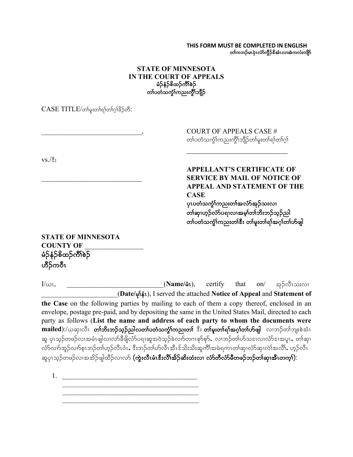**THIS FORM MUST BE COMPLETED IN ENGLISH** တၢ်ကဘဉ်မၤပုဲၤလံာ်ကွိဉ်&အံၤလ၊အဲကလံးကျိာ်

### **STATE OF MINNESOTA IN THE COURT OF APPEALS** မံဉ်နံဉ်စိထဉ်ကိၢိစဉ် တၤ်ပတံသက္ခၤ်ကညးကွိၤဘျိဉ်

 $CASE\ TITLE/$ တ်မူးတါရ)်တါဂ္ဂါခိဉ်တီ:

COURT OF APPEALS CASE # တၤ်ပတံသကွဲၤ်ကညးကွိၤ်ဘျိဉ်တၤ်မူးတၤ်ရၤ်တၤ်ဂွါ

 $\mathcal{L}_\text{max}$  , where  $\mathcal{L}_\text{max}$  , we have the set of  $\mathcal{L}_\text{max}$ 

 $vs.$ / $\hat{\mathbb{S}}$ :

**APPELLANT'S CERTIFICATE OF** \_\_\_\_\_\_\_\_\_\_\_\_\_\_\_\_\_\_\_\_\_\_\_\_\_\_\_\_\_ **SERVICE BY MAIL OF NOTICE OF APPEAL AND STATEMENT OF THE CASE** ပုၤပတံသက္ဂ်ၢ်ကညးတၢ်အလံာ်အုဉ်သးလၢ

တၢ်ဆု၊ဟူဉ်လံာ်ပရၢလၢအမှု၊်တၢ်ဘိးဘဉ်သူဉ်ညါ တၤ်ပတံသကွဲၤ်ကညးတၤ် $\mathbf{\hat{s}}$ း တၤ်မူးတၤ်ရၤ်အဂ္ဂါတၤ်ဟ်ဖျါ

## **STATE OF MINNESOTA COUNTY OF** \_\_\_\_\_\_\_\_\_\_\_\_\_\_\_\_\_ မံဉ်နံဉ်စိထဉ်ကိၢိစဉ် ဟိဉ်ကဝီၤ

 $I/\omega$ 1, \_\_\_\_\_\_\_\_\_\_\_\_\_\_\_\_\_\_\_\_\_\_\_\_\_\_\_\_\_\_\_\_(**Name/**&1), certify that on/  $\omega$ \_\_\_\_\_\_\_\_\_\_\_\_\_\_\_\_\_\_\_\_\_\_(**Date/** rk>eHR), I served the attached **Notice of Appeal** and **Statement of the Case** on the following parties by mailing to each of them a copy thereof, enclosed in an envelope, postage pre-paid, and by depositing the same in the United States Mail, directed to each party as follows (**List the name and address of each party to whom the documents were**  mailed):/ယဆု၊လိၤ **တၢ်ဘိးဘဉ်သူဉ်ညါလတၢ်ပတံသက္ခံ၊်ကညးတ၊်** ဒီး **တ၊်မူးတ၊်ရ၊်အဂ္ဂါတ၊်ဟ်ဖျါ** လ၊ဘဉ်တ၊်ဘျးစဲအံၤ ဆူ ပုၤသ္ဉ်တဖဉ်လၢအမံၤဖျါလ၊လာ်ခီဖိျလံာပရၢဆူအဝဲသ့ဉ်ခဲလၢာ်တဂၤစုာ်စုာ်,လ၊ဘဉ်တၢ်ဟ်သဒၢလ၊လံာ်ဒ၊အပူၤ,တၢ်ဆု၊ .<br>လာလက်ဘူဉ်လက်စုၤဘဉ်တၢ်ဟုဉ်လီၤဝံၤ, ဒီးဘဉ်တၢ်ဟ်လီၤအီၤဒ်သိးသိုးဆူကီၤ်အမဲရကၤတၢ်ဆု၊လံာ်ဆု၊လဲၤ်အလိၢ်, ဟုဉ်လိၤ ဆူပုၤသ့ဉ်တဖဉ်လၢအအိဉ်ဖျါထိဉ်လၢလာ် **(ကွဲးလီၤမံၤဒီးလီၤ်အိဉ်ဆိးထံးလၢ လံာ်တီလံာ်မီတဖဉ်ဘဉ်တၢ်ဆု၊အီၤတက္၊်):** 

1. \_\_\_\_\_\_\_\_\_\_\_\_\_\_\_\_\_\_\_\_\_\_\_\_\_\_\_\_\_\_\_\_\_\_\_\_\_\_\_  $\mathcal{L}_\text{max}$  and the contract of the contract of the contract of the contract of the contract of the contract of the contract of the contract of the contract of the contract of the contract of the contract of the contrac  $\mathcal{L}_\text{max}$  and the contract of the contract of the contract of the contract of the contract of the contract of the contract of the contract of the contract of the contract of the contract of the contract of the contrac

 $\mathcal{L}_\text{max}$  and the contract of the contract of the contract of the contract of the contract of the contract of the contract of the contract of the contract of the contract of the contract of the contract of the contrac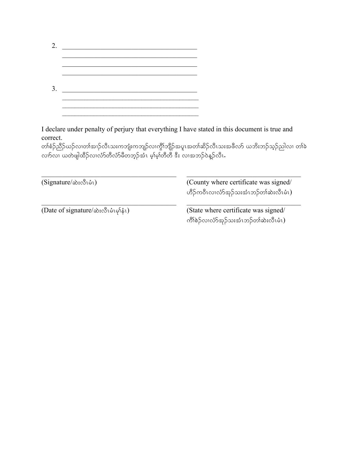| 2. | <u> 1980 - Jan Barbara Barbara, m</u> |  |
|----|---------------------------------------|--|
|    |                                       |  |
|    |                                       |  |
|    |                                       |  |
| 3  |                                       |  |
|    |                                       |  |
|    |                                       |  |

I declare under penalty of perjury that everything I have stated in this document is true and correct.

တၢ်စံဉ်ညိဉ်ယဉ်လ၊တၢ်အ၊ဉ်လီၤသးကဘျံးကဘျဉ်လ၊ကွိၢ်ဘျိဉ်အပူၤအတၢ်ဆိဉ်လီၤသးအဖိလာ် ယဘိးဘဉ်သုဉ်ညါလ၊ တၢ်ခဲ vXmvXA,wJzsgxD.vXvHmwDvHmrDwbh.tHRArh>rh>wDwDA'D;AvXtb.0JM.vDRI

| (County where certificate was signed/<br>ဟိဉ်ကဝီၤလၢလံာ်အုဉ်သးအံၤဘဉ်တၢ်ဆဲးလီၤမံၤ) |
|----------------------------------------------------------------------------------|
| (State where certificate was signed/<br>ကိၢိစဲဉ်လ၊လံာ်အုဉ်သးအံၤဘဉ်တ၊်ဆဲးလီၤမံၤ)  |
|                                                                                  |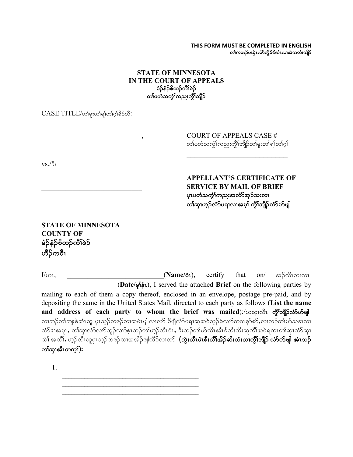**THIS FORM MUST BE COMPLETED IN ENGLISH** တၢ်ကဘဉ်မၤပုဲၤလံာ်ကွိဉ်&အံၤလ၊အဲကလံးကျိာ်

### **STATE OF MINNESOTA IN THE COURT OF APPEALS** မံဉ်နံဉ်စိထဉ်ကိဳ\စဉ် တၤ်ပတံသက္ခိၤ်ကညးကွိၤ်ဘျိဉ်

 $CASE\ TITLE/$ တ်မူးတါရာတါဂူါခိဉ်တီ:

COURT OF APPEALS CASE # တ်ပတံသက္ဂ်္ဂါကညးကွိၢ်ဘျိဉ်တၢ်မူးတၢ်ရာတာကု

 $VS.\sqrt{3}$ :

**APPELLANT'S CERTIFICATE OF** \_\_\_\_\_\_\_\_\_\_\_\_\_\_\_\_\_\_\_\_\_\_\_\_\_\_\_\_\_ **SERVICE BY MAIL OF BRIEF** ပုၤပတံသက္ငံၢ်ကညးအလံာ်အုဉ်သးလၢ တၢ်ဆု၊ဟူဉ်လံာ်ပရၢလၢအမှု၊် ကွိၢ်ဘျီဉ်လံာ်ဟ်ဖျါ

**STATE OF MINNESOTA COUNTY OF** \_\_\_\_\_\_\_\_\_\_\_\_\_\_\_\_\_ မံဉိနံဉိစိထဉ်ကိၢိစဉ် ဟိုဉ်ကဝီၤ

 $I/\omega$ <sub>1</sub>,  $I/\omega$ <sub>2</sub>,  $I/\omega$ <sub>2</sub>,  $I/\omega$ <sub>2</sub>,  $I/\omega$ <sub>2</sub>,  $I/\omega$ <sub>2</sub>,  $I/\omega$ <sub>2</sub>,  $I/\omega$ <sub>2</sub>,  $I/\omega$ <sub>2</sub>,  $I/\omega$ <sub>2</sub>,  $I/\omega$ <sub>2</sub>,  $I/\omega$ <sub>2</sub>,  $I/\omega$ <sub>2</sub>,  $I/\omega$ <sub>2</sub>,  $I/\omega$ <sub>2</sub>,  $I/\omega$ <sub>2</sub>,  $I/\omega$ <sub>2</sub>,  $I/\omega$ <sub>2</sub>,  $I/\omega$ <sub>2</sub>,  $I/\omega$ <sub>2</sub>,  $I/\omega$ <sub>2</sub>,  $I/\omega$ <sub>2</sub>, \_\_\_\_\_\_\_\_\_\_\_\_\_\_\_\_\_\_\_\_\_\_(**Date/** rk>eHR), I served the attached **Brief** on the following parties by mailing to each of them a copy thereof, enclosed in an envelope, postage pre-paid, and by depositing the same in the United States Mail, directed to each party as follows (**List the name**  and address of each party to whom the brief was mailed):/ $\infty$ mpisor ogiongposition လၢဘဉ်တၢ်ဘျးစဲအံၤဆူ ပှၤသ့ဉ်တဖဉ်လၢအမံၤဖျါလ၊လာ် ခီဖျိလံာ်ပရၢဆူအဝဲသ့ဉ်ခဲလၢာ်တဂၤစုာ်စုာ်,လၢဘဉ်တၢ်ဟ်သဒၢလ၊ လ်ာ်ဒ၊အပူၤ, တါဆု၊လံာ်လ၊ာ်ဘူဉ်လ၊ာ်စူၤဘဉ်တါဟုဉ်လီၤဝံၤ, ဒီးဘဉ်တါဟ်လီၤအီၤဒ်သိးသိုးဆူကီ၊်အမဲရကၤတါဆု၊လံာ်ဆု၊ လဲ) အလိ), ဟူဉ်လီၤဆူပုၤသူဉ်တဖဉ်လၢအအိဉ်ဖျါထိဉ်လ၊လာ် **(ကွဲးလီၤမံၤဒီးလီၤ်အိဉ်ဆိးထံးလ၊ကွိၤ်ဘျိုဉ် လံာ်ဟ်ဖျါ အံၤဘဉ်** တ<sup>န</sup>သူအီၤတက္**)**;

1. \_\_\_\_\_\_\_\_\_\_\_\_\_\_\_\_\_\_\_\_\_\_\_\_\_\_\_\_\_\_\_\_\_\_\_\_\_\_\_  $\mathcal{L}_\text{max}$  , where  $\mathcal{L}_\text{max}$  and  $\mathcal{L}_\text{max}$  and  $\mathcal{L}_\text{max}$  $\mathcal{L}_\text{max}$  and the contract of the contract of the contract of the contract of the contract of the contract of the contract of the contract of the contract of the contract of the contract of the contract of the contrac